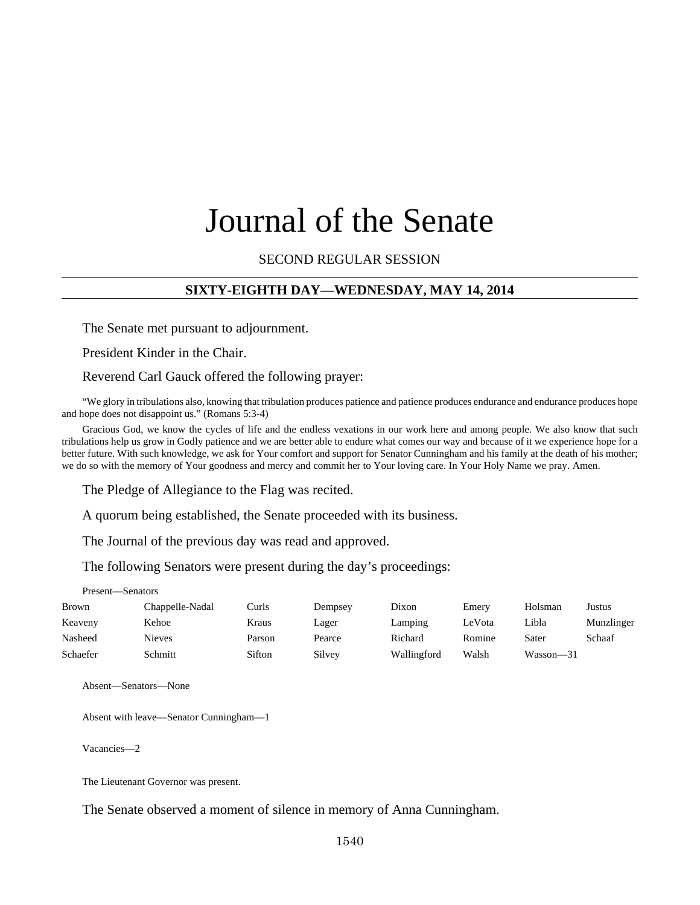# Journal of the Senate

#### SECOND REGULAR SESSION

#### **SIXTY-EIGHTH DAY—WEDNESDAY, MAY 14, 2014**

The Senate met pursuant to adjournment.

President Kinder in the Chair.

Reverend Carl Gauck offered the following prayer:

"We glory in tribulations also, knowing that tribulation produces patience and patience produces endurance and endurance produces hope and hope does not disappoint us." (Romans 5:3-4)

Gracious God, we know the cycles of life and the endless vexations in our work here and among people. We also know that such tribulations help us grow in Godly patience and we are better able to endure what comes our way and because of it we experience hope for a better future. With such knowledge, we ask for Your comfort and support for Senator Cunningham and his family at the death of his mother; we do so with the memory of Your goodness and mercy and commit her to Your loving care. In Your Holy Name we pray. Amen.

The Pledge of Allegiance to the Flag was recited.

A quorum being established, the Senate proceeded with its business.

The Journal of the previous day was read and approved.

The following Senators were present during the day's proceedings:

Present—Senators

| <b>Brown</b> | Chappelle-Nadal | Curls  | Dempsey | Dixon       | Emery  | Holsman   | Justus     |
|--------------|-----------------|--------|---------|-------------|--------|-----------|------------|
| Keaveny      | Kehoe           | Kraus  | Lager   | Lamping     | LeVota | Libla     | Munzlinger |
| Nasheed      | Nieves          | Parson | Pearce  | Richard     | Romine | Sater     | Schaaf     |
| Schaefer     | Schmitt         | Sifton | Silvey  | Wallingford | Walsh  | Wasson-31 |            |

Absent—Senators—None

Absent with leave—Senator Cunningham—1

Vacancies—2

The Lieutenant Governor was present.

The Senate observed a moment of silence in memory of Anna Cunningham.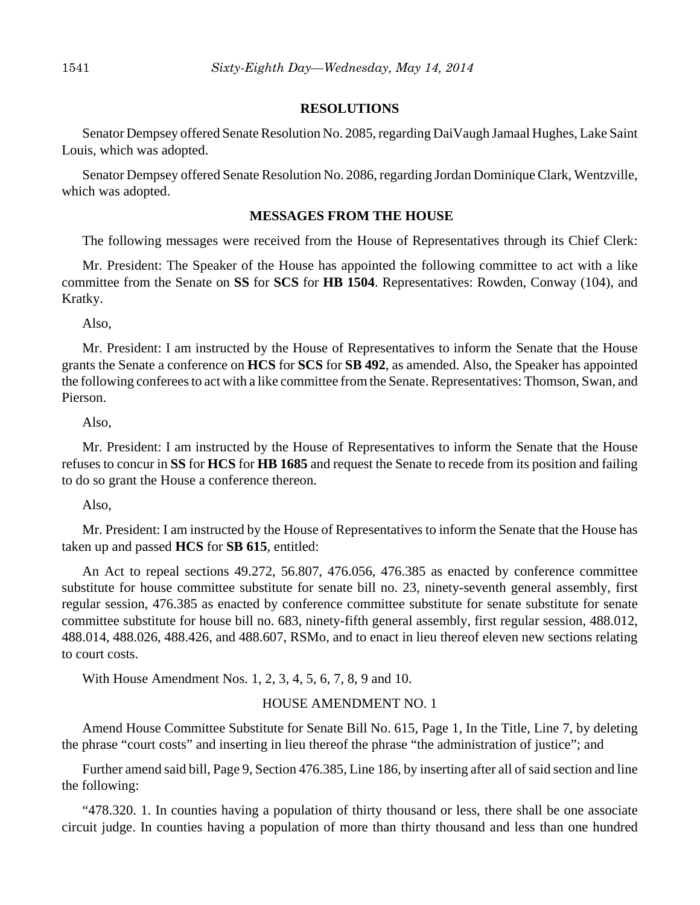#### **RESOLUTIONS**

Senator Dempsey offered Senate Resolution No. 2085, regarding DaiVaugh Jamaal Hughes, Lake Saint Louis, which was adopted.

Senator Dempsey offered Senate Resolution No. 2086, regarding Jordan Dominique Clark, Wentzville, which was adopted.

#### **MESSAGES FROM THE HOUSE**

The following messages were received from the House of Representatives through its Chief Clerk:

Mr. President: The Speaker of the House has appointed the following committee to act with a like committee from the Senate on **SS** for **SCS** for **HB 1504**. Representatives: Rowden, Conway (104), and Kratky.

Also,

Mr. President: I am instructed by the House of Representatives to inform the Senate that the House grants the Senate a conference on **HCS** for **SCS** for **SB 492**, as amended. Also, the Speaker has appointed the following conferees to act with a like committee from the Senate. Representatives: Thomson, Swan, and Pierson.

Also,

Mr. President: I am instructed by the House of Representatives to inform the Senate that the House refuses to concur in **SS** for **HCS** for **HB 1685** and request the Senate to recede from its position and failing to do so grant the House a conference thereon.

Also,

Mr. President: I am instructed by the House of Representatives to inform the Senate that the House has taken up and passed **HCS** for **SB 615**, entitled:

An Act to repeal sections 49.272, 56.807, 476.056, 476.385 as enacted by conference committee substitute for house committee substitute for senate bill no. 23, ninety-seventh general assembly, first regular session, 476.385 as enacted by conference committee substitute for senate substitute for senate committee substitute for house bill no. 683, ninety-fifth general assembly, first regular session, 488.012, 488.014, 488.026, 488.426, and 488.607, RSMo, and to enact in lieu thereof eleven new sections relating to court costs.

With House Amendment Nos. 1, 2, 3, 4, 5, 6, 7, 8, 9 and 10.

#### HOUSE AMENDMENT NO. 1

Amend House Committee Substitute for Senate Bill No. 615, Page 1, In the Title, Line 7, by deleting the phrase "court costs" and inserting in lieu thereof the phrase "the administration of justice"; and

Further amend said bill, Page 9, Section 476.385, Line 186, by inserting after all of said section and line the following:

"478.320. 1. In counties having a population of thirty thousand or less, there shall be one associate circuit judge. In counties having a population of more than thirty thousand and less than one hundred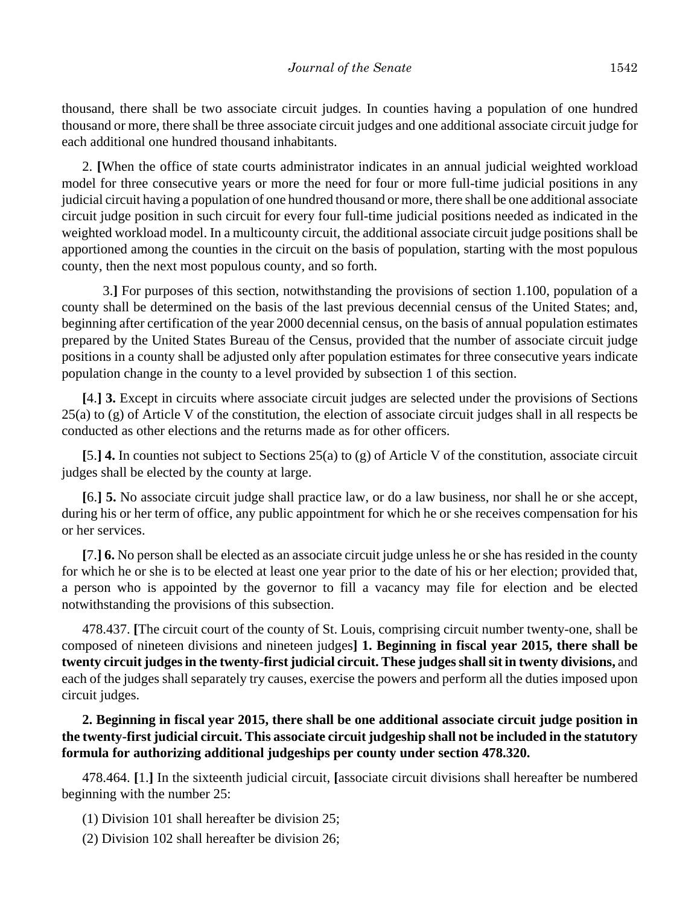thousand, there shall be two associate circuit judges. In counties having a population of one hundred thousand or more, there shall be three associate circuit judges and one additional associate circuit judge for each additional one hundred thousand inhabitants.

2. **[**When the office of state courts administrator indicates in an annual judicial weighted workload model for three consecutive years or more the need for four or more full-time judicial positions in any judicial circuit having a population of one hundred thousand or more, there shall be one additional associate circuit judge position in such circuit for every four full-time judicial positions needed as indicated in the weighted workload model. In a multicounty circuit, the additional associate circuit judge positions shall be apportioned among the counties in the circuit on the basis of population, starting with the most populous county, then the next most populous county, and so forth.

3.**]** For purposes of this section, notwithstanding the provisions of section 1.100, population of a county shall be determined on the basis of the last previous decennial census of the United States; and, beginning after certification of the year 2000 decennial census, on the basis of annual population estimates prepared by the United States Bureau of the Census, provided that the number of associate circuit judge positions in a county shall be adjusted only after population estimates for three consecutive years indicate population change in the county to a level provided by subsection 1 of this section.

**[**4.**] 3.** Except in circuits where associate circuit judges are selected under the provisions of Sections 25(a) to (g) of Article V of the constitution, the election of associate circuit judges shall in all respects be conducted as other elections and the returns made as for other officers.

**[**5.**] 4.** In counties not subject to Sections 25(a) to (g) of Article V of the constitution, associate circuit judges shall be elected by the county at large.

**[**6.**] 5.** No associate circuit judge shall practice law, or do a law business, nor shall he or she accept, during his or her term of office, any public appointment for which he or she receives compensation for his or her services.

**[**7.**] 6.** No person shall be elected as an associate circuit judge unless he or she has resided in the county for which he or she is to be elected at least one year prior to the date of his or her election; provided that, a person who is appointed by the governor to fill a vacancy may file for election and be elected notwithstanding the provisions of this subsection.

478.437. **[**The circuit court of the county of St. Louis, comprising circuit number twenty-one, shall be composed of nineteen divisions and nineteen judges**] 1. Beginning in fiscal year 2015, there shall be twenty circuit judges in the twenty-first judicial circuit. These judges shall sit in twenty divisions,** and each of the judges shall separately try causes, exercise the powers and perform all the duties imposed upon circuit judges.

**2. Beginning in fiscal year 2015, there shall be one additional associate circuit judge position in the twenty-first judicial circuit. This associate circuit judgeship shall not be included in the statutory formula for authorizing additional judgeships per county under section 478.320.**

478.464. **[**1.**]** In the sixteenth judicial circuit, **[**associate circuit divisions shall hereafter be numbered beginning with the number 25:

(1) Division 101 shall hereafter be division 25;

(2) Division 102 shall hereafter be division 26;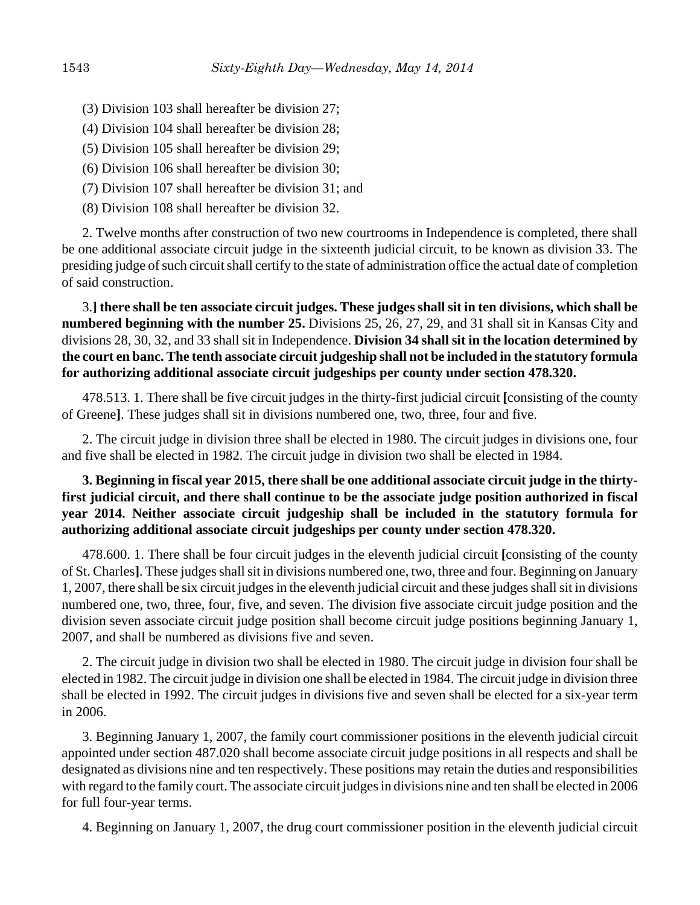- (3) Division 103 shall hereafter be division 27;
- (4) Division 104 shall hereafter be division 28;
- (5) Division 105 shall hereafter be division 29;
- (6) Division 106 shall hereafter be division 30;
- (7) Division 107 shall hereafter be division 31; and
- (8) Division 108 shall hereafter be division 32.

2. Twelve months after construction of two new courtrooms in Independence is completed, there shall be one additional associate circuit judge in the sixteenth judicial circuit, to be known as division 33. The presiding judge of such circuit shall certify to the state of administration office the actual date of completion of said construction.

3.**] there shall be ten associate circuit judges. These judges shall sit in ten divisions, which shall be numbered beginning with the number 25.** Divisions 25, 26, 27, 29, and 31 shall sit in Kansas City and divisions 28, 30, 32, and 33 shall sit in Independence. **Division 34 shall sit in the location determined by the court en banc. The tenth associate circuit judgeship shall not be included in the statutory formula for authorizing additional associate circuit judgeships per county under section 478.320.**

478.513. 1. There shall be five circuit judges in the thirty-first judicial circuit **[**consisting of the county of Greene**]**. These judges shall sit in divisions numbered one, two, three, four and five.

2. The circuit judge in division three shall be elected in 1980. The circuit judges in divisions one, four and five shall be elected in 1982. The circuit judge in division two shall be elected in 1984.

**3. Beginning in fiscal year 2015, there shall be one additional associate circuit judge in the thirtyfirst judicial circuit, and there shall continue to be the associate judge position authorized in fiscal year 2014. Neither associate circuit judgeship shall be included in the statutory formula for authorizing additional associate circuit judgeships per county under section 478.320.**

478.600. 1. There shall be four circuit judges in the eleventh judicial circuit **[**consisting of the county of St. Charles**]**. These judges shall sit in divisions numbered one, two, three and four. Beginning on January 1, 2007, there shall be six circuit judges in the eleventh judicial circuit and these judges shall sit in divisions numbered one, two, three, four, five, and seven. The division five associate circuit judge position and the division seven associate circuit judge position shall become circuit judge positions beginning January 1, 2007, and shall be numbered as divisions five and seven.

2. The circuit judge in division two shall be elected in 1980. The circuit judge in division four shall be elected in 1982. The circuit judge in division one shall be elected in 1984. The circuit judge in division three shall be elected in 1992. The circuit judges in divisions five and seven shall be elected for a six-year term in 2006.

3. Beginning January 1, 2007, the family court commissioner positions in the eleventh judicial circuit appointed under section 487.020 shall become associate circuit judge positions in all respects and shall be designated as divisions nine and ten respectively. These positions may retain the duties and responsibilities with regard to the family court. The associate circuit judges in divisions nine and ten shall be elected in 2006 for full four-year terms.

4. Beginning on January 1, 2007, the drug court commissioner position in the eleventh judicial circuit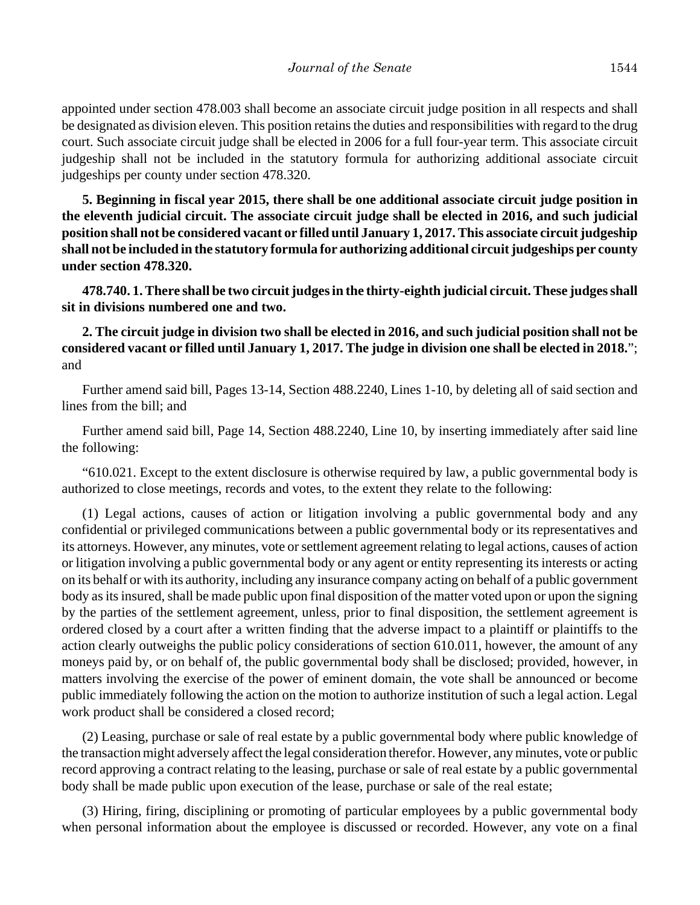appointed under section 478.003 shall become an associate circuit judge position in all respects and shall be designated as division eleven. This position retains the duties and responsibilities with regard to the drug court. Such associate circuit judge shall be elected in 2006 for a full four-year term. This associate circuit judgeship shall not be included in the statutory formula for authorizing additional associate circuit judgeships per county under section 478.320.

**5. Beginning in fiscal year 2015, there shall be one additional associate circuit judge position in the eleventh judicial circuit. The associate circuit judge shall be elected in 2016, and such judicial position shall not be considered vacant or filled until January 1, 2017. This associate circuit judgeship shall not be included in the statutory formula for authorizing additional circuit judgeships per county under section 478.320.**

**478.740. 1. There shall be two circuit judges in the thirty-eighth judicial circuit. These judges shall sit in divisions numbered one and two.**

**2. The circuit judge in division two shall be elected in 2016, and such judicial position shall not be considered vacant or filled until January 1, 2017. The judge in division one shall be elected in 2018.**"; and

Further amend said bill, Pages 13-14, Section 488.2240, Lines 1-10, by deleting all of said section and lines from the bill; and

Further amend said bill, Page 14, Section 488.2240, Line 10, by inserting immediately after said line the following:

"610.021. Except to the extent disclosure is otherwise required by law, a public governmental body is authorized to close meetings, records and votes, to the extent they relate to the following:

(1) Legal actions, causes of action or litigation involving a public governmental body and any confidential or privileged communications between a public governmental body or its representatives and its attorneys. However, any minutes, vote or settlement agreement relating to legal actions, causes of action or litigation involving a public governmental body or any agent or entity representing its interests or acting on its behalf or with its authority, including any insurance company acting on behalf of a public government body as its insured, shall be made public upon final disposition of the matter voted upon or upon the signing by the parties of the settlement agreement, unless, prior to final disposition, the settlement agreement is ordered closed by a court after a written finding that the adverse impact to a plaintiff or plaintiffs to the action clearly outweighs the public policy considerations of section 610.011, however, the amount of any moneys paid by, or on behalf of, the public governmental body shall be disclosed; provided, however, in matters involving the exercise of the power of eminent domain, the vote shall be announced or become public immediately following the action on the motion to authorize institution of such a legal action. Legal work product shall be considered a closed record;

(2) Leasing, purchase or sale of real estate by a public governmental body where public knowledge of the transaction might adversely affect the legal consideration therefor. However, any minutes, vote or public record approving a contract relating to the leasing, purchase or sale of real estate by a public governmental body shall be made public upon execution of the lease, purchase or sale of the real estate;

(3) Hiring, firing, disciplining or promoting of particular employees by a public governmental body when personal information about the employee is discussed or recorded. However, any vote on a final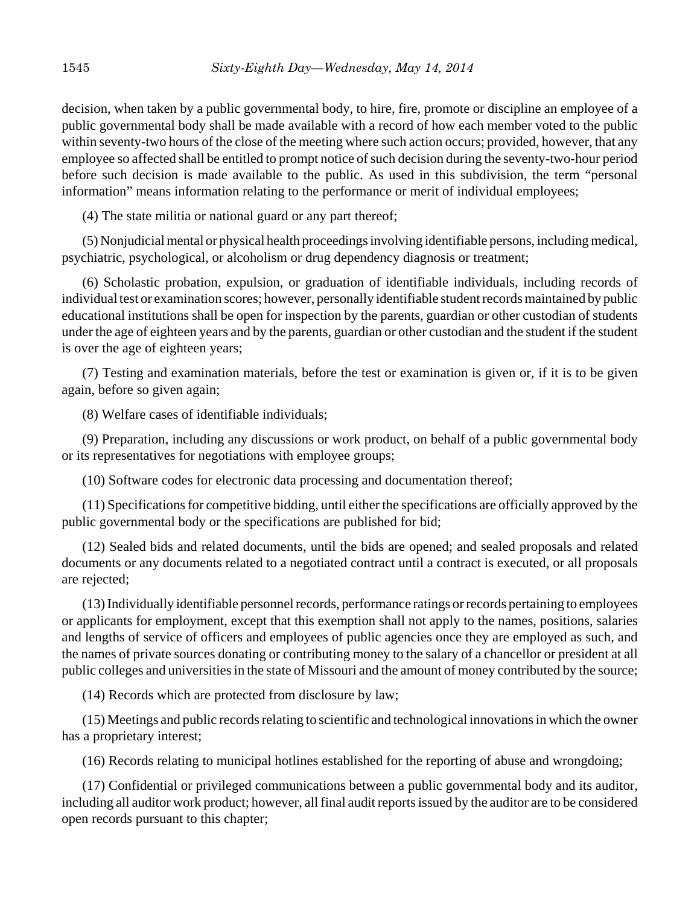decision, when taken by a public governmental body, to hire, fire, promote or discipline an employee of a public governmental body shall be made available with a record of how each member voted to the public within seventy-two hours of the close of the meeting where such action occurs; provided, however, that any employee so affected shall be entitled to prompt notice of such decision during the seventy-two-hour period before such decision is made available to the public. As used in this subdivision, the term "personal information" means information relating to the performance or merit of individual employees;

(4) The state militia or national guard or any part thereof;

(5) Nonjudicial mental or physical health proceedings involving identifiable persons, including medical, psychiatric, psychological, or alcoholism or drug dependency diagnosis or treatment;

(6) Scholastic probation, expulsion, or graduation of identifiable individuals, including records of individual test or examination scores; however, personally identifiable student records maintained by public educational institutions shall be open for inspection by the parents, guardian or other custodian of students under the age of eighteen years and by the parents, guardian or other custodian and the student if the student is over the age of eighteen years;

(7) Testing and examination materials, before the test or examination is given or, if it is to be given again, before so given again;

(8) Welfare cases of identifiable individuals;

(9) Preparation, including any discussions or work product, on behalf of a public governmental body or its representatives for negotiations with employee groups;

(10) Software codes for electronic data processing and documentation thereof;

(11) Specifications for competitive bidding, until either the specifications are officially approved by the public governmental body or the specifications are published for bid;

(12) Sealed bids and related documents, until the bids are opened; and sealed proposals and related documents or any documents related to a negotiated contract until a contract is executed, or all proposals are rejected;

(13) Individually identifiable personnel records, performance ratings or records pertaining to employees or applicants for employment, except that this exemption shall not apply to the names, positions, salaries and lengths of service of officers and employees of public agencies once they are employed as such, and the names of private sources donating or contributing money to the salary of a chancellor or president at all public colleges and universities in the state of Missouri and the amount of money contributed by the source;

(14) Records which are protected from disclosure by law;

(15) Meetings and public records relating to scientific and technological innovations in which the owner has a proprietary interest;

(16) Records relating to municipal hotlines established for the reporting of abuse and wrongdoing;

(17) Confidential or privileged communications between a public governmental body and its auditor, including all auditor work product; however, all final audit reports issued by the auditor are to be considered open records pursuant to this chapter;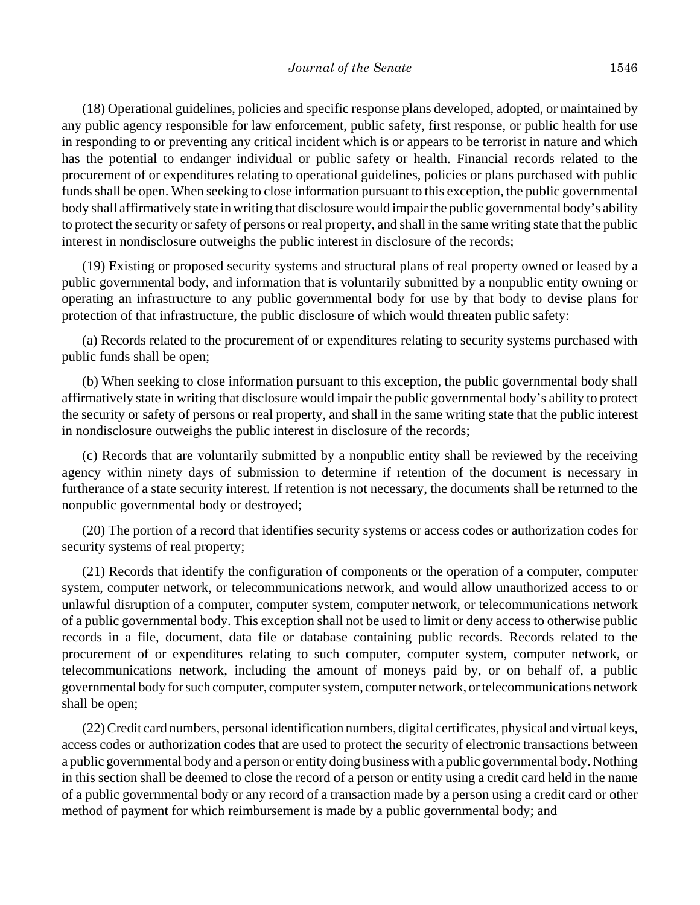(18) Operational guidelines, policies and specific response plans developed, adopted, or maintained by any public agency responsible for law enforcement, public safety, first response, or public health for use in responding to or preventing any critical incident which is or appears to be terrorist in nature and which has the potential to endanger individual or public safety or health. Financial records related to the procurement of or expenditures relating to operational guidelines, policies or plans purchased with public funds shall be open. When seeking to close information pursuant to this exception, the public governmental body shall affirmatively state in writing that disclosure would impair the public governmental body's ability to protect the security or safety of persons or real property, and shall in the same writing state that the public interest in nondisclosure outweighs the public interest in disclosure of the records;

(19) Existing or proposed security systems and structural plans of real property owned or leased by a public governmental body, and information that is voluntarily submitted by a nonpublic entity owning or operating an infrastructure to any public governmental body for use by that body to devise plans for protection of that infrastructure, the public disclosure of which would threaten public safety:

(a) Records related to the procurement of or expenditures relating to security systems purchased with public funds shall be open;

(b) When seeking to close information pursuant to this exception, the public governmental body shall affirmatively state in writing that disclosure would impair the public governmental body's ability to protect the security or safety of persons or real property, and shall in the same writing state that the public interest in nondisclosure outweighs the public interest in disclosure of the records;

(c) Records that are voluntarily submitted by a nonpublic entity shall be reviewed by the receiving agency within ninety days of submission to determine if retention of the document is necessary in furtherance of a state security interest. If retention is not necessary, the documents shall be returned to the nonpublic governmental body or destroyed;

(20) The portion of a record that identifies security systems or access codes or authorization codes for security systems of real property;

(21) Records that identify the configuration of components or the operation of a computer, computer system, computer network, or telecommunications network, and would allow unauthorized access to or unlawful disruption of a computer, computer system, computer network, or telecommunications network of a public governmental body. This exception shall not be used to limit or deny access to otherwise public records in a file, document, data file or database containing public records. Records related to the procurement of or expenditures relating to such computer, computer system, computer network, or telecommunications network, including the amount of moneys paid by, or on behalf of, a public governmental body for such computer, computer system, computer network, or telecommunications network shall be open;

(22) Credit card numbers, personal identification numbers, digital certificates, physical and virtual keys, access codes or authorization codes that are used to protect the security of electronic transactions between a public governmental body and a person or entity doing business with a public governmental body. Nothing in this section shall be deemed to close the record of a person or entity using a credit card held in the name of a public governmental body or any record of a transaction made by a person using a credit card or other method of payment for which reimbursement is made by a public governmental body; and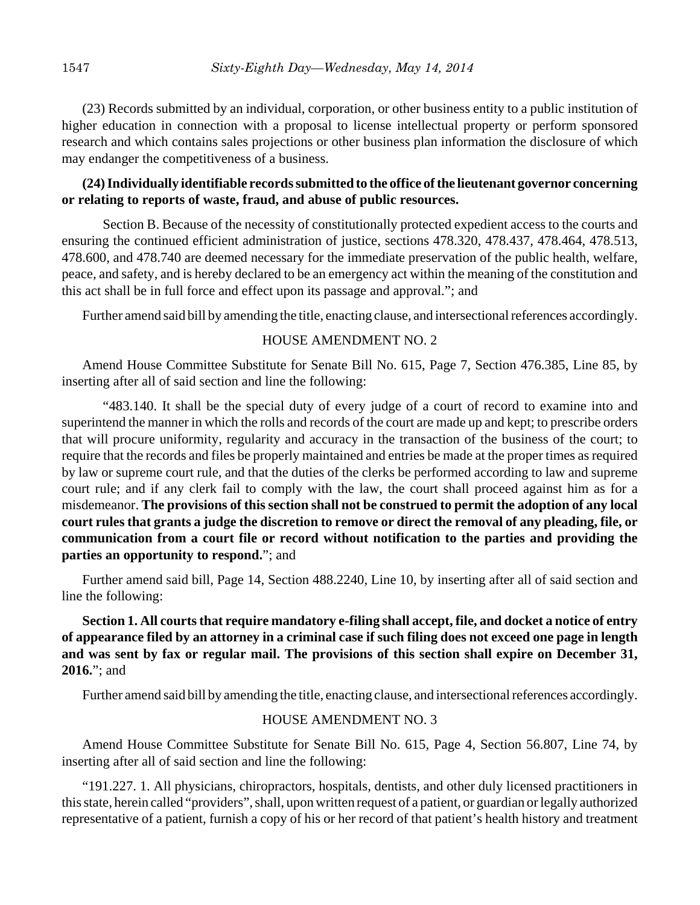(23) Records submitted by an individual, corporation, or other business entity to a public institution of higher education in connection with a proposal to license intellectual property or perform sponsored research and which contains sales projections or other business plan information the disclosure of which may endanger the competitiveness of a business.

## **(24) Individually identifiable records submitted to the office of the lieutenant governor concerning or relating to reports of waste, fraud, and abuse of public resources.**

Section B. Because of the necessity of constitutionally protected expedient access to the courts and ensuring the continued efficient administration of justice, sections 478.320, 478.437, 478.464, 478.513, 478.600, and 478.740 are deemed necessary for the immediate preservation of the public health, welfare, peace, and safety, and is hereby declared to be an emergency act within the meaning of the constitution and this act shall be in full force and effect upon its passage and approval."; and

Further amend said bill by amending the title, enacting clause, and intersectional references accordingly.

## HOUSE AMENDMENT NO. 2

Amend House Committee Substitute for Senate Bill No. 615, Page 7, Section 476.385, Line 85, by inserting after all of said section and line the following:

"483.140. It shall be the special duty of every judge of a court of record to examine into and superintend the manner in which the rolls and records of the court are made up and kept; to prescribe orders that will procure uniformity, regularity and accuracy in the transaction of the business of the court; to require that the records and files be properly maintained and entries be made at the proper times as required by law or supreme court rule, and that the duties of the clerks be performed according to law and supreme court rule; and if any clerk fail to comply with the law, the court shall proceed against him as for a misdemeanor. **The provisions of this section shall not be construed to permit the adoption of any local court rules that grants a judge the discretion to remove or direct the removal of any pleading, file, or communication from a court file or record without notification to the parties and providing the parties an opportunity to respond.**"; and

Further amend said bill, Page 14, Section 488.2240, Line 10, by inserting after all of said section and line the following:

**Section 1. All courts that require mandatory e-filing shall accept, file, and docket a notice of entry of appearance filed by an attorney in a criminal case if such filing does not exceed one page in length and was sent by fax or regular mail. The provisions of this section shall expire on December 31, 2016.**"; and

Further amend said bill by amending the title, enacting clause, and intersectional references accordingly.

## HOUSE AMENDMENT NO. 3

Amend House Committee Substitute for Senate Bill No. 615, Page 4, Section 56.807, Line 74, by inserting after all of said section and line the following:

"191.227. 1. All physicians, chiropractors, hospitals, dentists, and other duly licensed practitioners in this state, herein called "providers", shall, upon written request of a patient, or guardian or legally authorized representative of a patient, furnish a copy of his or her record of that patient's health history and treatment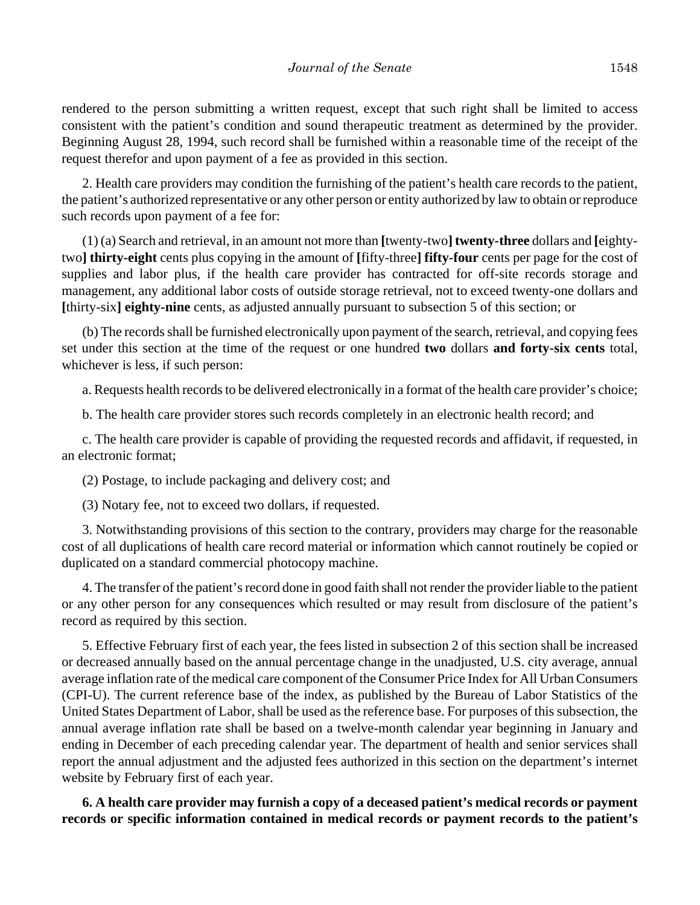rendered to the person submitting a written request, except that such right shall be limited to access consistent with the patient's condition and sound therapeutic treatment as determined by the provider. Beginning August 28, 1994, such record shall be furnished within a reasonable time of the receipt of the request therefor and upon payment of a fee as provided in this section.

2. Health care providers may condition the furnishing of the patient's health care records to the patient, the patient's authorized representative or any other person or entity authorized by law to obtain or reproduce such records upon payment of a fee for:

(1) (a) Search and retrieval, in an amount not more than **[**twenty-two**] twenty-three** dollars and **[**eightytwo**] thirty-eight** cents plus copying in the amount of **[**fifty-three**] fifty-four** cents per page for the cost of supplies and labor plus, if the health care provider has contracted for off-site records storage and management, any additional labor costs of outside storage retrieval, not to exceed twenty-one dollars and **[**thirty-six**] eighty-nine** cents, as adjusted annually pursuant to subsection 5 of this section; or

(b) The records shall be furnished electronically upon payment of the search, retrieval, and copying fees set under this section at the time of the request or one hundred **two** dollars **and forty-six cents** total, whichever is less, if such person:

a. Requests health records to be delivered electronically in a format of the health care provider's choice;

b. The health care provider stores such records completely in an electronic health record; and

c. The health care provider is capable of providing the requested records and affidavit, if requested, in an electronic format;

(2) Postage, to include packaging and delivery cost; and

(3) Notary fee, not to exceed two dollars, if requested.

3. Notwithstanding provisions of this section to the contrary, providers may charge for the reasonable cost of all duplications of health care record material or information which cannot routinely be copied or duplicated on a standard commercial photocopy machine.

4. The transfer of the patient's record done in good faith shall not render the provider liable to the patient or any other person for any consequences which resulted or may result from disclosure of the patient's record as required by this section.

5. Effective February first of each year, the fees listed in subsection 2 of this section shall be increased or decreased annually based on the annual percentage change in the unadjusted, U.S. city average, annual average inflation rate of the medical care component of the Consumer Price Index for All Urban Consumers (CPI-U). The current reference base of the index, as published by the Bureau of Labor Statistics of the United States Department of Labor, shall be used as the reference base. For purposes of this subsection, the annual average inflation rate shall be based on a twelve-month calendar year beginning in January and ending in December of each preceding calendar year. The department of health and senior services shall report the annual adjustment and the adjusted fees authorized in this section on the department's internet website by February first of each year.

**6. A health care provider may furnish a copy of a deceased patient's medical records or payment records or specific information contained in medical records or payment records to the patient's**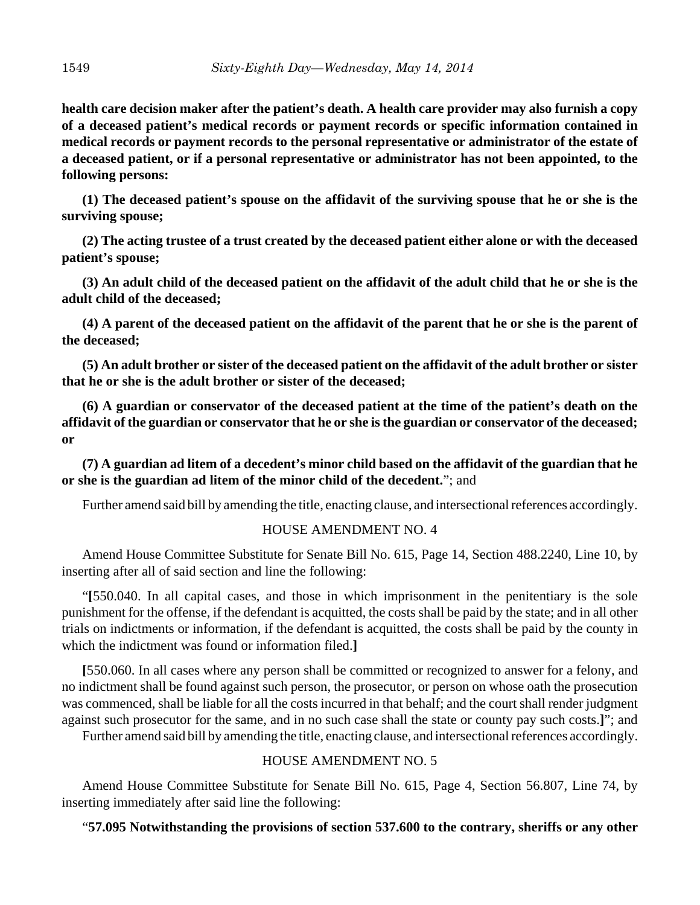**health care decision maker after the patient's death. A health care provider may also furnish a copy of a deceased patient's medical records or payment records or specific information contained in medical records or payment records to the personal representative or administrator of the estate of a deceased patient, or if a personal representative or administrator has not been appointed, to the following persons:**

**(1) The deceased patient's spouse on the affidavit of the surviving spouse that he or she is the surviving spouse;**

**(2) The acting trustee of a trust created by the deceased patient either alone or with the deceased patient's spouse;**

**(3) An adult child of the deceased patient on the affidavit of the adult child that he or she is the adult child of the deceased;**

**(4) A parent of the deceased patient on the affidavit of the parent that he or she is the parent of the deceased;**

**(5) An adult brother or sister of the deceased patient on the affidavit of the adult brother or sister that he or she is the adult brother or sister of the deceased;**

**(6) A guardian or conservator of the deceased patient at the time of the patient's death on the affidavit of the guardian or conservator that he or she is the guardian or conservator of the deceased; or**

**(7) A guardian ad litem of a decedent's minor child based on the affidavit of the guardian that he or she is the guardian ad litem of the minor child of the decedent.**"; and

Further amend said bill by amending the title, enacting clause, and intersectional references accordingly.

# HOUSE AMENDMENT NO. 4

Amend House Committee Substitute for Senate Bill No. 615, Page 14, Section 488.2240, Line 10, by inserting after all of said section and line the following:

"**[**550.040. In all capital cases, and those in which imprisonment in the penitentiary is the sole punishment for the offense, if the defendant is acquitted, the costs shall be paid by the state; and in all other trials on indictments or information, if the defendant is acquitted, the costs shall be paid by the county in which the indictment was found or information filed.**]**

**[**550.060. In all cases where any person shall be committed or recognized to answer for a felony, and no indictment shall be found against such person, the prosecutor, or person on whose oath the prosecution was commenced, shall be liable for all the costs incurred in that behalf; and the court shall render judgment against such prosecutor for the same, and in no such case shall the state or county pay such costs.**]**"; and

Further amend said bill by amending the title, enacting clause, and intersectional references accordingly.

# HOUSE AMENDMENT NO. 5

Amend House Committee Substitute for Senate Bill No. 615, Page 4, Section 56.807, Line 74, by inserting immediately after said line the following:

# "**57.095 Notwithstanding the provisions of section 537.600 to the contrary, sheriffs or any other**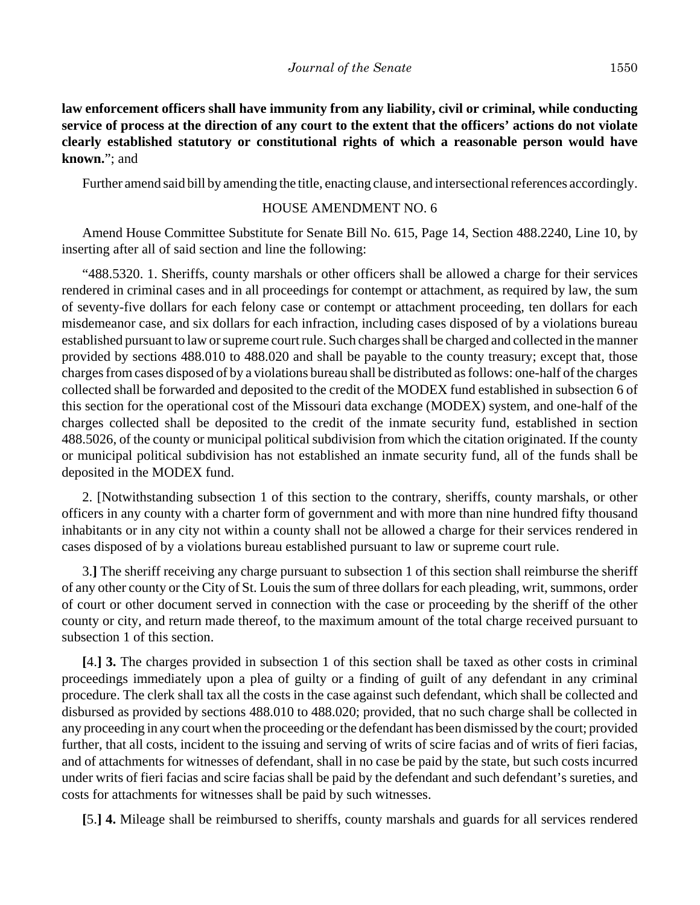**law enforcement officers shall have immunity from any liability, civil or criminal, while conducting service of process at the direction of any court to the extent that the officers' actions do not violate clearly established statutory or constitutional rights of which a reasonable person would have known.**"; and

Further amend said bill by amending the title, enacting clause, and intersectional references accordingly.

## HOUSE AMENDMENT NO. 6

Amend House Committee Substitute for Senate Bill No. 615, Page 14, Section 488.2240, Line 10, by inserting after all of said section and line the following:

"488.5320. 1. Sheriffs, county marshals or other officers shall be allowed a charge for their services rendered in criminal cases and in all proceedings for contempt or attachment, as required by law, the sum of seventy-five dollars for each felony case or contempt or attachment proceeding, ten dollars for each misdemeanor case, and six dollars for each infraction, including cases disposed of by a violations bureau established pursuant to law or supreme court rule. Such charges shall be charged and collected in the manner provided by sections 488.010 to 488.020 and shall be payable to the county treasury; except that, those charges from cases disposed of by a violations bureau shall be distributed as follows: one-half of the charges collected shall be forwarded and deposited to the credit of the MODEX fund established in subsection 6 of this section for the operational cost of the Missouri data exchange (MODEX) system, and one-half of the charges collected shall be deposited to the credit of the inmate security fund, established in section 488.5026, of the county or municipal political subdivision from which the citation originated. If the county or municipal political subdivision has not established an inmate security fund, all of the funds shall be deposited in the MODEX fund.

2. [Notwithstanding subsection 1 of this section to the contrary, sheriffs, county marshals, or other officers in any county with a charter form of government and with more than nine hundred fifty thousand inhabitants or in any city not within a county shall not be allowed a charge for their services rendered in cases disposed of by a violations bureau established pursuant to law or supreme court rule.

3.**]** The sheriff receiving any charge pursuant to subsection 1 of this section shall reimburse the sheriff of any other county or the City of St. Louis the sum of three dollars for each pleading, writ, summons, order of court or other document served in connection with the case or proceeding by the sheriff of the other county or city, and return made thereof, to the maximum amount of the total charge received pursuant to subsection 1 of this section.

**[**4.**] 3.** The charges provided in subsection 1 of this section shall be taxed as other costs in criminal proceedings immediately upon a plea of guilty or a finding of guilt of any defendant in any criminal procedure. The clerk shall tax all the costs in the case against such defendant, which shall be collected and disbursed as provided by sections 488.010 to 488.020; provided, that no such charge shall be collected in any proceeding in any court when the proceeding or the defendant has been dismissed by the court; provided further, that all costs, incident to the issuing and serving of writs of scire facias and of writs of fieri facias, and of attachments for witnesses of defendant, shall in no case be paid by the state, but such costs incurred under writs of fieri facias and scire facias shall be paid by the defendant and such defendant's sureties, and costs for attachments for witnesses shall be paid by such witnesses.

**[**5.**] 4.** Mileage shall be reimbursed to sheriffs, county marshals and guards for all services rendered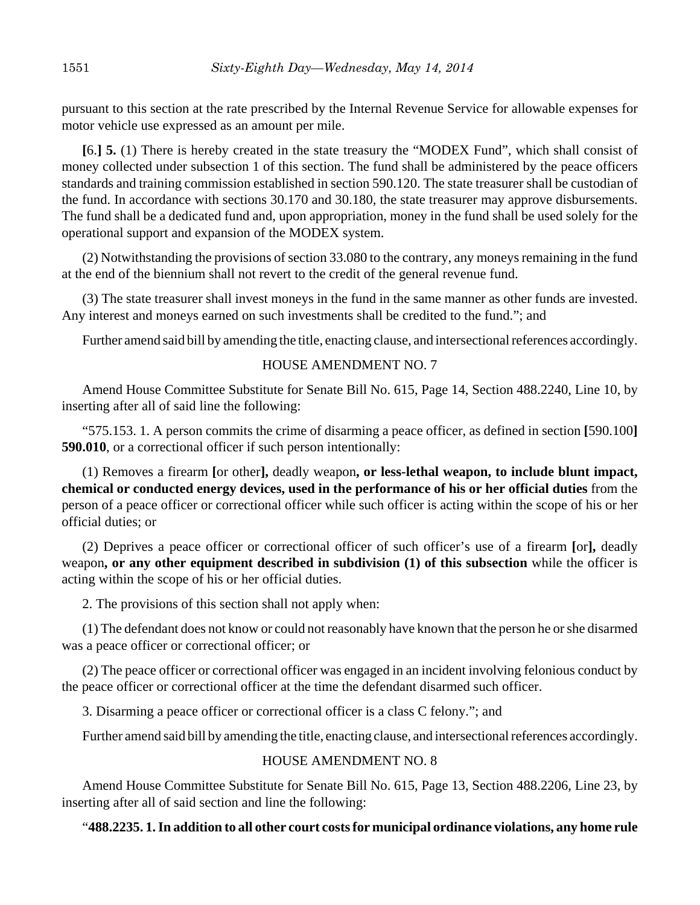pursuant to this section at the rate prescribed by the Internal Revenue Service for allowable expenses for motor vehicle use expressed as an amount per mile.

**[**6.**] 5.** (1) There is hereby created in the state treasury the "MODEX Fund", which shall consist of money collected under subsection 1 of this section. The fund shall be administered by the peace officers standards and training commission established in section 590.120. The state treasurer shall be custodian of the fund. In accordance with sections 30.170 and 30.180, the state treasurer may approve disbursements. The fund shall be a dedicated fund and, upon appropriation, money in the fund shall be used solely for the operational support and expansion of the MODEX system.

(2) Notwithstanding the provisions of section 33.080 to the contrary, any moneys remaining in the fund at the end of the biennium shall not revert to the credit of the general revenue fund.

(3) The state treasurer shall invest moneys in the fund in the same manner as other funds are invested. Any interest and moneys earned on such investments shall be credited to the fund."; and

Further amend said bill by amending the title, enacting clause, and intersectional references accordingly.

#### HOUSE AMENDMENT NO. 7

Amend House Committee Substitute for Senate Bill No. 615, Page 14, Section 488.2240, Line 10, by inserting after all of said line the following:

"575.153. 1. A person commits the crime of disarming a peace officer, as defined in section **[**590.100**] 590.010**, or a correctional officer if such person intentionally:

(1) Removes a firearm **[**or other**],** deadly weapon**, or less-lethal weapon, to include blunt impact, chemical or conducted energy devices, used in the performance of his or her official duties** from the person of a peace officer or correctional officer while such officer is acting within the scope of his or her official duties; or

(2) Deprives a peace officer or correctional officer of such officer's use of a firearm **[**or**],** deadly weapon**, or any other equipment described in subdivision (1) of this subsection** while the officer is acting within the scope of his or her official duties.

2. The provisions of this section shall not apply when:

(1) The defendant does not know or could not reasonably have known that the person he or she disarmed was a peace officer or correctional officer; or

(2) The peace officer or correctional officer was engaged in an incident involving felonious conduct by the peace officer or correctional officer at the time the defendant disarmed such officer.

3. Disarming a peace officer or correctional officer is a class C felony."; and

Further amend said bill by amending the title, enacting clause, and intersectional references accordingly.

## HOUSE AMENDMENT NO. 8

Amend House Committee Substitute for Senate Bill No. 615, Page 13, Section 488.2206, Line 23, by inserting after all of said section and line the following:

## "**488.2235. 1. In addition to all other court costs for municipal ordinance violations, any home rule**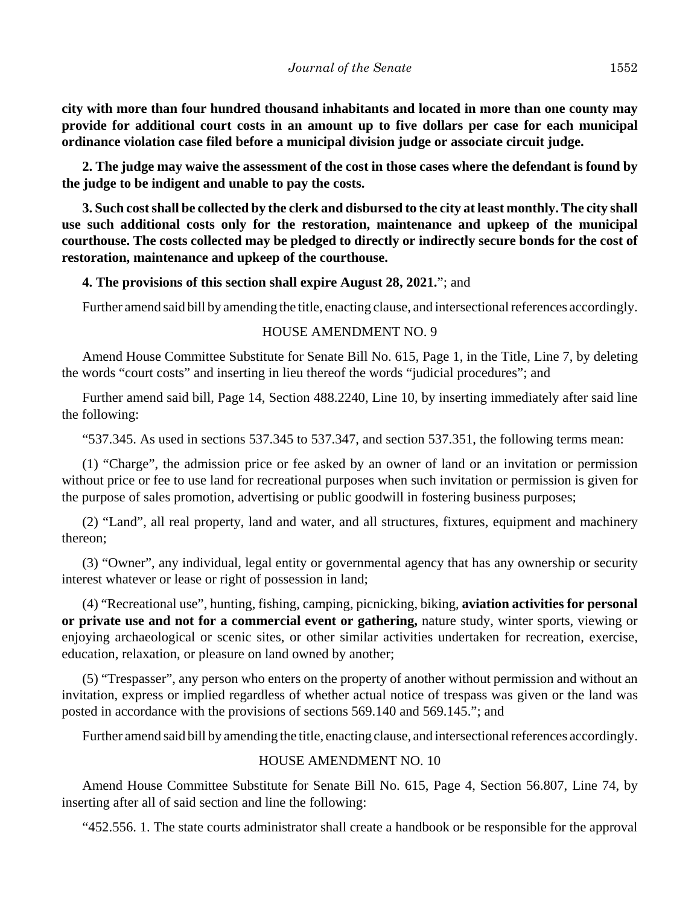**city with more than four hundred thousand inhabitants and located in more than one county may provide for additional court costs in an amount up to five dollars per case for each municipal ordinance violation case filed before a municipal division judge or associate circuit judge.**

**2. The judge may waive the assessment of the cost in those cases where the defendant is found by the judge to be indigent and unable to pay the costs.**

**3. Such cost shall be collected by the clerk and disbursed to the city at least monthly. The city shall use such additional costs only for the restoration, maintenance and upkeep of the municipal courthouse. The costs collected may be pledged to directly or indirectly secure bonds for the cost of restoration, maintenance and upkeep of the courthouse.**

**4. The provisions of this section shall expire August 28, 2021.**"; and

Further amend said bill by amending the title, enacting clause, and intersectional references accordingly.

#### HOUSE AMENDMENT NO. 9

Amend House Committee Substitute for Senate Bill No. 615, Page 1, in the Title, Line 7, by deleting the words "court costs" and inserting in lieu thereof the words "judicial procedures"; and

Further amend said bill, Page 14, Section 488.2240, Line 10, by inserting immediately after said line the following:

"537.345. As used in sections 537.345 to 537.347, and section 537.351, the following terms mean:

(1) "Charge", the admission price or fee asked by an owner of land or an invitation or permission without price or fee to use land for recreational purposes when such invitation or permission is given for the purpose of sales promotion, advertising or public goodwill in fostering business purposes;

(2) "Land", all real property, land and water, and all structures, fixtures, equipment and machinery thereon;

(3) "Owner", any individual, legal entity or governmental agency that has any ownership or security interest whatever or lease or right of possession in land;

(4) "Recreational use", hunting, fishing, camping, picnicking, biking, **aviation activities for personal or private use and not for a commercial event or gathering,** nature study, winter sports, viewing or enjoying archaeological or scenic sites, or other similar activities undertaken for recreation, exercise, education, relaxation, or pleasure on land owned by another;

(5) "Trespasser", any person who enters on the property of another without permission and without an invitation, express or implied regardless of whether actual notice of trespass was given or the land was posted in accordance with the provisions of sections 569.140 and 569.145."; and

Further amend said bill by amending the title, enacting clause, and intersectional references accordingly.

#### HOUSE AMENDMENT NO. 10

Amend House Committee Substitute for Senate Bill No. 615, Page 4, Section 56.807, Line 74, by inserting after all of said section and line the following:

"452.556. 1. The state courts administrator shall create a handbook or be responsible for the approval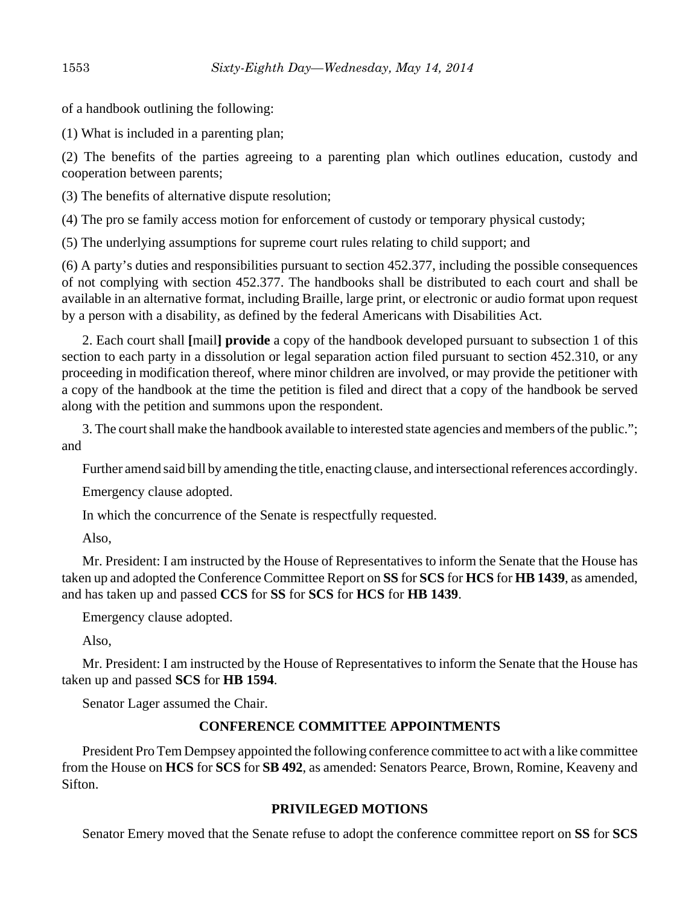of a handbook outlining the following:

(1) What is included in a parenting plan;

(2) The benefits of the parties agreeing to a parenting plan which outlines education, custody and cooperation between parents;

(3) The benefits of alternative dispute resolution;

(4) The pro se family access motion for enforcement of custody or temporary physical custody;

(5) The underlying assumptions for supreme court rules relating to child support; and

(6) A party's duties and responsibilities pursuant to section 452.377, including the possible consequences of not complying with section 452.377. The handbooks shall be distributed to each court and shall be available in an alternative format, including Braille, large print, or electronic or audio format upon request by a person with a disability, as defined by the federal Americans with Disabilities Act.

2. Each court shall **[**mail**] provide** a copy of the handbook developed pursuant to subsection 1 of this section to each party in a dissolution or legal separation action filed pursuant to section 452.310, or any proceeding in modification thereof, where minor children are involved, or may provide the petitioner with a copy of the handbook at the time the petition is filed and direct that a copy of the handbook be served along with the petition and summons upon the respondent.

3. The court shall make the handbook available to interested state agencies and members of the public."; and

Further amend said bill by amending the title, enacting clause, and intersectional references accordingly.

Emergency clause adopted.

In which the concurrence of the Senate is respectfully requested.

Also,

Mr. President: I am instructed by the House of Representatives to inform the Senate that the House has taken up and adopted the Conference Committee Report on **SS** for **SCS** for **HCS** for **HB 1439**, as amended, and has taken up and passed **CCS** for **SS** for **SCS** for **HCS** for **HB 1439**.

Emergency clause adopted.

Also,

Mr. President: I am instructed by the House of Representatives to inform the Senate that the House has taken up and passed **SCS** for **HB 1594**.

Senator Lager assumed the Chair.

# **CONFERENCE COMMITTEE APPOINTMENTS**

President Pro Tem Dempsey appointed the following conference committee to act with a like committee from the House on **HCS** for **SCS** for **SB 492**, as amended: Senators Pearce, Brown, Romine, Keaveny and Sifton.

# **PRIVILEGED MOTIONS**

Senator Emery moved that the Senate refuse to adopt the conference committee report on **SS** for **SCS**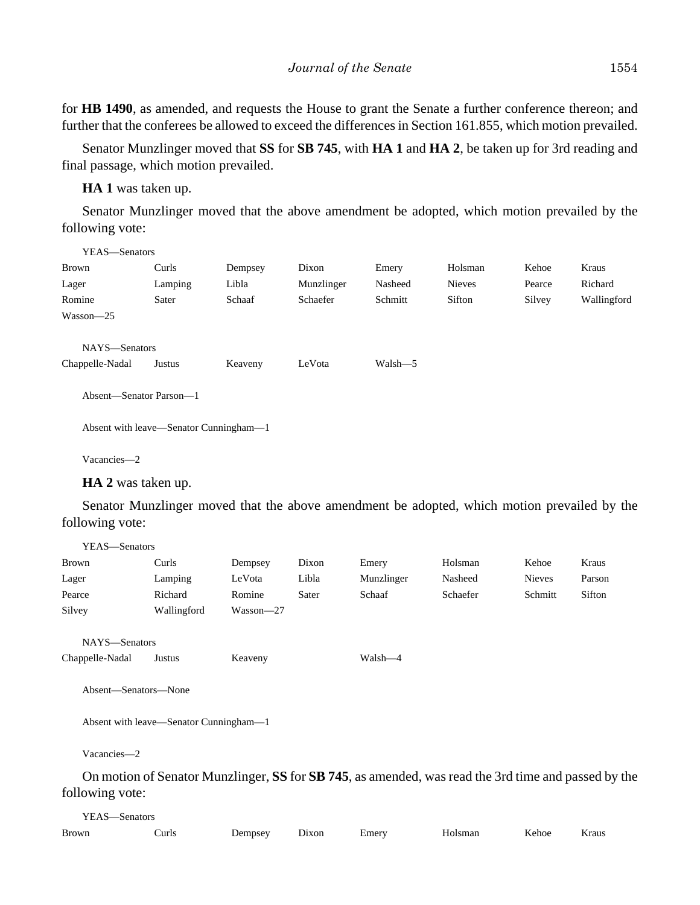for **HB 1490**, as amended, and requests the House to grant the Senate a further conference thereon; and further that the conferees be allowed to exceed the differences in Section 161.855, which motion prevailed.

Senator Munzlinger moved that **SS** for **SB 745**, with **HA 1** and **HA 2**, be taken up for 3rd reading and final passage, which motion prevailed.

**HA 1** was taken up.

Senator Munzlinger moved that the above amendment be adopted, which motion prevailed by the following vote:

| YEAS—Senators                          |         |         |            |         |               |        |             |
|----------------------------------------|---------|---------|------------|---------|---------------|--------|-------------|
| <b>Brown</b>                           | Curls   | Dempsey | Dixon      | Emery   | Holsman       | Kehoe  | Kraus       |
| Lager                                  | Lamping | Libla   | Munzlinger | Nasheed | <b>Nieves</b> | Pearce | Richard     |
| Romine                                 | Sater   | Schaaf  | Schaefer   | Schmitt | Sifton        | Silvey | Wallingford |
| $Wasson - 25$                          |         |         |            |         |               |        |             |
| NAYS-Senators<br>Chappelle-Nadal       | Justus  | Keaveny | LeVota     | Walsh-5 |               |        |             |
| Absent-Senator Parson-1                |         |         |            |         |               |        |             |
| Absent with leave—Senator Cunningham—1 |         |         |            |         |               |        |             |
| Vacancies-2                            |         |         |            |         |               |        |             |

**HA 2** was taken up.

Senator Munzlinger moved that the above amendment be adopted, which motion prevailed by the following vote:

| YEAS-Senators        |                                        |               |       |                                                                                                     |          |               |        |  |
|----------------------|----------------------------------------|---------------|-------|-----------------------------------------------------------------------------------------------------|----------|---------------|--------|--|
| Brown                | Curls                                  | Dempsey       | Dixon | Emery                                                                                               | Holsman  | Kehoe         | Kraus  |  |
| Lager                | Lamping                                | LeVota        | Libla | Munzlinger                                                                                          | Nasheed  | <b>Nieves</b> | Parson |  |
| Pearce               | Richard                                | Romine        | Sater | Schaaf                                                                                              | Schaefer | Schmitt       | Sifton |  |
| Silvey               | Wallingford                            | $Wasson - 27$ |       |                                                                                                     |          |               |        |  |
| NAYS-Senators        |                                        |               |       |                                                                                                     |          |               |        |  |
| Chappelle-Nadal      | Justus                                 | Keaveny       |       | Walsh—4                                                                                             |          |               |        |  |
| Absent-Senators-None |                                        |               |       |                                                                                                     |          |               |        |  |
|                      | Absent with leave—Senator Cunningham—1 |               |       |                                                                                                     |          |               |        |  |
| Vacancies-2          |                                        |               |       |                                                                                                     |          |               |        |  |
|                      |                                        |               |       | On motion of Senator Munzlinger, SS for SB 745, as amended, was read the 3rd time and passed by the |          |               |        |  |
| following vote:      |                                        |               |       |                                                                                                     |          |               |        |  |

| YEAS—Senators |       |         |       |       |         |       |       |  |  |
|---------------|-------|---------|-------|-------|---------|-------|-------|--|--|
| Brown         | Curls | Dempsey | Dixon | Emery | Holsman | Kehoe | Kraus |  |  |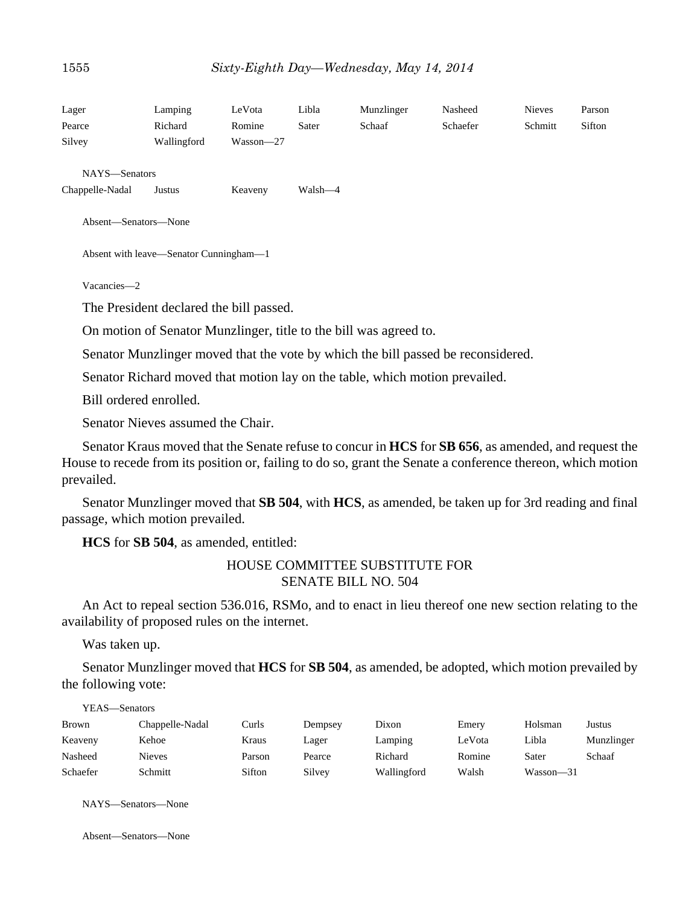| Lager                                                                                                                     | Lamping                                 | LeVota    | Libla   | Munzlinger                                                                                                         | Nasheed  | <b>Nieves</b> | Parson |
|---------------------------------------------------------------------------------------------------------------------------|-----------------------------------------|-----------|---------|--------------------------------------------------------------------------------------------------------------------|----------|---------------|--------|
| Pearce                                                                                                                    | Richard                                 | Romine    | Sater   | Schaaf                                                                                                             | Schaefer | Schmitt       | Sifton |
| Silvey                                                                                                                    | Wallingford                             | Wasson-27 |         |                                                                                                                    |          |               |        |
| NAYS-Senators                                                                                                             |                                         |           |         |                                                                                                                    |          |               |        |
| Chappelle-Nadal                                                                                                           | Justus                                  | Keaveny   | Walsh-4 |                                                                                                                    |          |               |        |
| Absent-Senators-None                                                                                                      |                                         |           |         |                                                                                                                    |          |               |        |
|                                                                                                                           | Absent with leave-Senator Cunningham-1  |           |         |                                                                                                                    |          |               |        |
| Vacancies-2                                                                                                               |                                         |           |         |                                                                                                                    |          |               |        |
|                                                                                                                           | The President declared the bill passed. |           |         |                                                                                                                    |          |               |        |
|                                                                                                                           |                                         |           |         | On motion of Senator Munzlinger, title to the bill was agreed to.                                                  |          |               |        |
|                                                                                                                           |                                         |           |         | Senator Munzlinger moved that the vote by which the bill passed be reconsidered.                                   |          |               |        |
|                                                                                                                           |                                         |           |         | Senator Richard moved that motion lay on the table, which motion prevailed.                                        |          |               |        |
| Bill ordered enrolled.                                                                                                    |                                         |           |         |                                                                                                                    |          |               |        |
|                                                                                                                           | Senator Nieves assumed the Chair.       |           |         |                                                                                                                    |          |               |        |
| House to recede from its position or, failing to do so, grant the Senate a conference thereon, which motion<br>prevailed. |                                         |           |         | Senator Kraus moved that the Senate refuse to concur in <b>HCS</b> for <b>SB 656</b> , as amended, and request the |          |               |        |
| passage, which motion prevailed.                                                                                          |                                         |           |         | Senator Munzlinger moved that SB 504, with HCS, as amended, be taken up for 3rd reading and final                  |          |               |        |
|                                                                                                                           | HCS for SB 504, as amended, entitled:   |           |         |                                                                                                                    |          |               |        |
|                                                                                                                           |                                         |           |         | <b>HOUSE COMMITTEE SUBSTITUTE FOR</b><br><b>SENATE BILL NO. 504</b>                                                |          |               |        |

An Act to repeal section 536.016, RSMo, and to enact in lieu thereof one new section relating to the availability of proposed rules on the internet.

Was taken up.

Senator Munzlinger moved that **HCS** for **SB 504**, as amended, be adopted, which motion prevailed by the following vote:

| YEAS—Senators |                 |        |         |             |        |               |            |  |
|---------------|-----------------|--------|---------|-------------|--------|---------------|------------|--|
| <b>Brown</b>  | Chappelle-Nadal | Curls  | Dempsey | Dixon       | Emery  | Holsman       | Justus     |  |
| Keaveny       | Kehoe           | Kraus  | Lager   | Lamping     | LeVota | Libla         | Munzlinger |  |
| Nasheed       | <b>Nieves</b>   | Parson | Pearce  | Richard     | Romine | Sater         | Schaaf     |  |
| Schaefer      | Schmitt         | Sifton | Silvey  | Wallingford | Walsh  | $Wasson - 31$ |            |  |

NAYS—Senators—None

Absent—Senators—None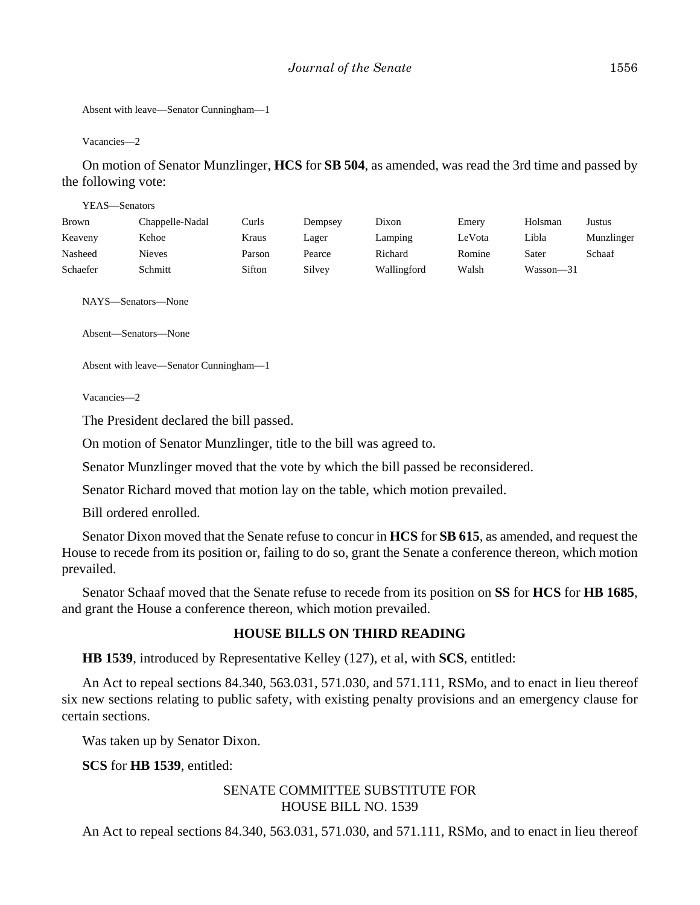```
Absent with leave—Senator Cunningham—1
```
Vacancies—2

On motion of Senator Munzlinger, **HCS** for **SB 504**, as amended, was read the 3rd time and passed by the following vote:

| YEAS—Senators |                 |        |         |             |        |           |            |
|---------------|-----------------|--------|---------|-------------|--------|-----------|------------|
| Brown         | Chappelle-Nadal | Curls  | Dempsey | Dixon       | Emery  | Holsman   | Justus     |
| Keaveny       | Kehoe           | Kraus  | Lager   | Lamping     | LeVota | Libla     | Munzlinger |
| Nasheed       | <b>Nieves</b>   | Parson | Pearce  | Richard     | Romine | Sater     | Schaaf     |
| Schaefer      | Schmitt         | Sifton | Silvey  | Wallingford | Walsh  | Wasson-31 |            |
|               |                 |        |         |             |        |           |            |

NAYS—Senators—None

Absent—Senators—None

Absent with leave—Senator Cunningham—1

Vacancies—2

The President declared the bill passed.

On motion of Senator Munzlinger, title to the bill was agreed to.

Senator Munzlinger moved that the vote by which the bill passed be reconsidered.

Senator Richard moved that motion lay on the table, which motion prevailed.

Bill ordered enrolled.

Senator Dixon moved that the Senate refuse to concur in **HCS** for **SB 615**, as amended, and request the House to recede from its position or, failing to do so, grant the Senate a conference thereon, which motion prevailed.

Senator Schaaf moved that the Senate refuse to recede from its position on **SS** for **HCS** for **HB 1685**, and grant the House a conference thereon, which motion prevailed.

## **HOUSE BILLS ON THIRD READING**

**HB 1539**, introduced by Representative Kelley (127), et al, with **SCS**, entitled:

An Act to repeal sections 84.340, 563.031, 571.030, and 571.111, RSMo, and to enact in lieu thereof six new sections relating to public safety, with existing penalty provisions and an emergency clause for certain sections.

Was taken up by Senator Dixon.

**SCS** for **HB 1539**, entitled:

# SENATE COMMITTEE SUBSTITUTE FOR HOUSE BILL NO. 1539

An Act to repeal sections 84.340, 563.031, 571.030, and 571.111, RSMo, and to enact in lieu thereof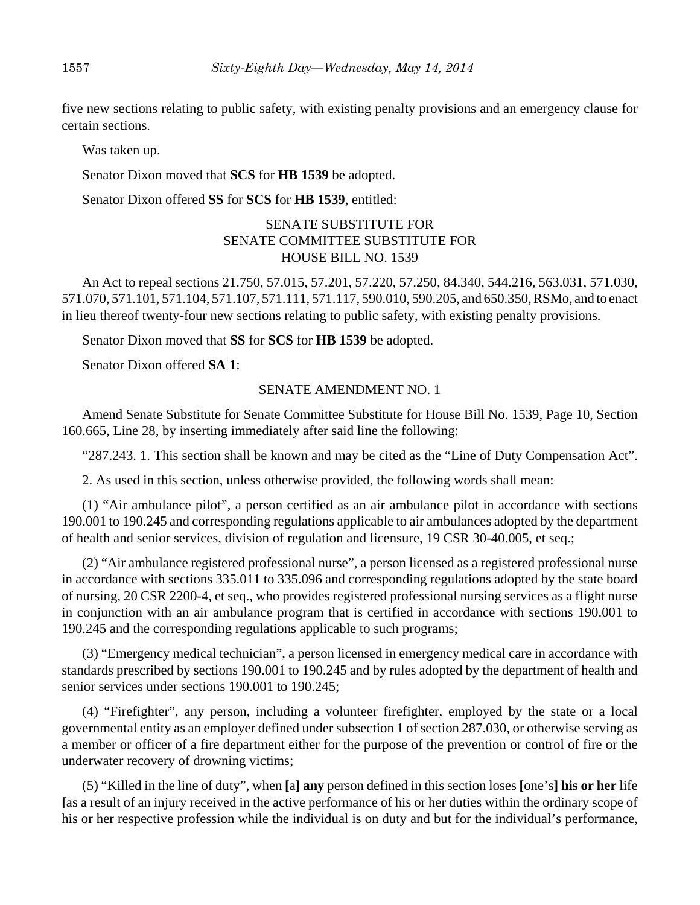five new sections relating to public safety, with existing penalty provisions and an emergency clause for certain sections.

Was taken up.

Senator Dixon moved that **SCS** for **HB 1539** be adopted.

Senator Dixon offered **SS** for **SCS** for **HB 1539**, entitled:

## SENATE SUBSTITUTE FOR SENATE COMMITTEE SUBSTITUTE FOR HOUSE BILL NO. 1539

An Act to repeal sections 21.750, 57.015, 57.201, 57.220, 57.250, 84.340, 544.216, 563.031, 571.030, 571.070, 571.101, 571.104, 571.107, 571.111, 571.117, 590.010, 590.205, and 650.350, RSMo, and to enact in lieu thereof twenty-four new sections relating to public safety, with existing penalty provisions.

Senator Dixon moved that **SS** for **SCS** for **HB 1539** be adopted.

Senator Dixon offered **SA 1**:

#### SENATE AMENDMENT NO. 1

Amend Senate Substitute for Senate Committee Substitute for House Bill No. 1539, Page 10, Section 160.665, Line 28, by inserting immediately after said line the following:

"287.243. 1. This section shall be known and may be cited as the "Line of Duty Compensation Act".

2. As used in this section, unless otherwise provided, the following words shall mean:

(1) "Air ambulance pilot", a person certified as an air ambulance pilot in accordance with sections 190.001 to 190.245 and corresponding regulations applicable to air ambulances adopted by the department of health and senior services, division of regulation and licensure, 19 CSR 30-40.005, et seq.;

(2) "Air ambulance registered professional nurse", a person licensed as a registered professional nurse in accordance with sections 335.011 to 335.096 and corresponding regulations adopted by the state board of nursing, 20 CSR 2200-4, et seq., who provides registered professional nursing services as a flight nurse in conjunction with an air ambulance program that is certified in accordance with sections 190.001 to 190.245 and the corresponding regulations applicable to such programs;

(3) "Emergency medical technician", a person licensed in emergency medical care in accordance with standards prescribed by sections 190.001 to 190.245 and by rules adopted by the department of health and senior services under sections 190.001 to 190.245;

(4) "Firefighter", any person, including a volunteer firefighter, employed by the state or a local governmental entity as an employer defined under subsection 1 of section 287.030, or otherwise serving as a member or officer of a fire department either for the purpose of the prevention or control of fire or the underwater recovery of drowning victims;

(5) "Killed in the line of duty", when **[**a**] any** person defined in this section loses **[**one's**] his or her** life **[**as a result of an injury received in the active performance of his or her duties within the ordinary scope of his or her respective profession while the individual is on duty and but for the individual's performance,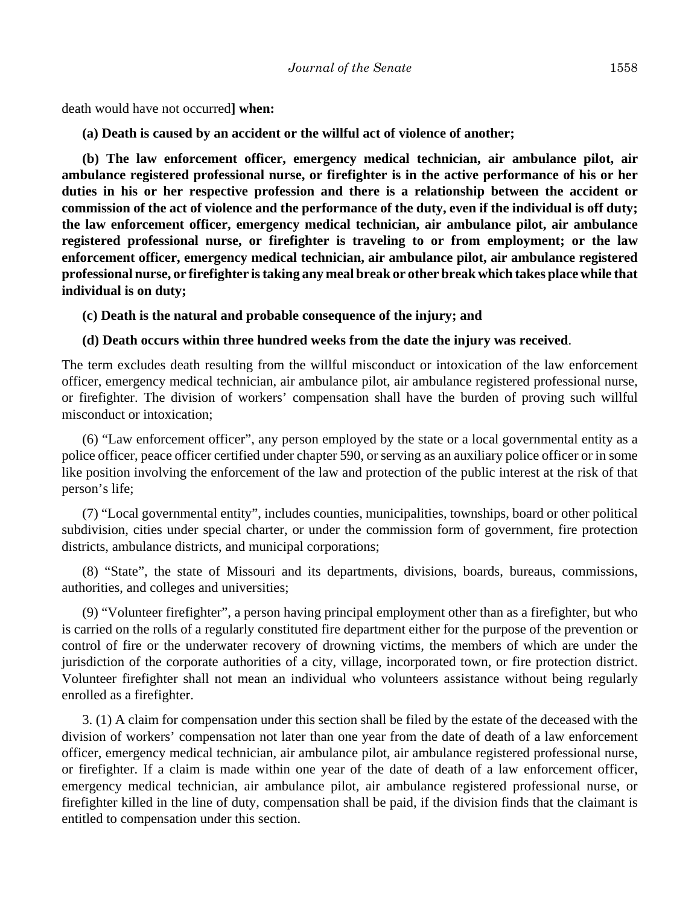death would have not occurred**] when:**

**(a) Death is caused by an accident or the willful act of violence of another;**

**(b) The law enforcement officer, emergency medical technician, air ambulance pilot, air ambulance registered professional nurse, or firefighter is in the active performance of his or her duties in his or her respective profession and there is a relationship between the accident or commission of the act of violence and the performance of the duty, even if the individual is off duty; the law enforcement officer, emergency medical technician, air ambulance pilot, air ambulance registered professional nurse, or firefighter is traveling to or from employment; or the law enforcement officer, emergency medical technician, air ambulance pilot, air ambulance registered professional nurse, or firefighter is taking any meal break or other break which takes place while that individual is on duty;**

**(c) Death is the natural and probable consequence of the injury; and**

#### **(d) Death occurs within three hundred weeks from the date the injury was received**.

The term excludes death resulting from the willful misconduct or intoxication of the law enforcement officer, emergency medical technician, air ambulance pilot, air ambulance registered professional nurse, or firefighter. The division of workers' compensation shall have the burden of proving such willful misconduct or intoxication;

(6) "Law enforcement officer", any person employed by the state or a local governmental entity as a police officer, peace officer certified under chapter 590, or serving as an auxiliary police officer or in some like position involving the enforcement of the law and protection of the public interest at the risk of that person's life;

(7) "Local governmental entity", includes counties, municipalities, townships, board or other political subdivision, cities under special charter, or under the commission form of government, fire protection districts, ambulance districts, and municipal corporations;

(8) "State", the state of Missouri and its departments, divisions, boards, bureaus, commissions, authorities, and colleges and universities;

(9) "Volunteer firefighter", a person having principal employment other than as a firefighter, but who is carried on the rolls of a regularly constituted fire department either for the purpose of the prevention or control of fire or the underwater recovery of drowning victims, the members of which are under the jurisdiction of the corporate authorities of a city, village, incorporated town, or fire protection district. Volunteer firefighter shall not mean an individual who volunteers assistance without being regularly enrolled as a firefighter.

3. (1) A claim for compensation under this section shall be filed by the estate of the deceased with the division of workers' compensation not later than one year from the date of death of a law enforcement officer, emergency medical technician, air ambulance pilot, air ambulance registered professional nurse, or firefighter. If a claim is made within one year of the date of death of a law enforcement officer, emergency medical technician, air ambulance pilot, air ambulance registered professional nurse, or firefighter killed in the line of duty, compensation shall be paid, if the division finds that the claimant is entitled to compensation under this section.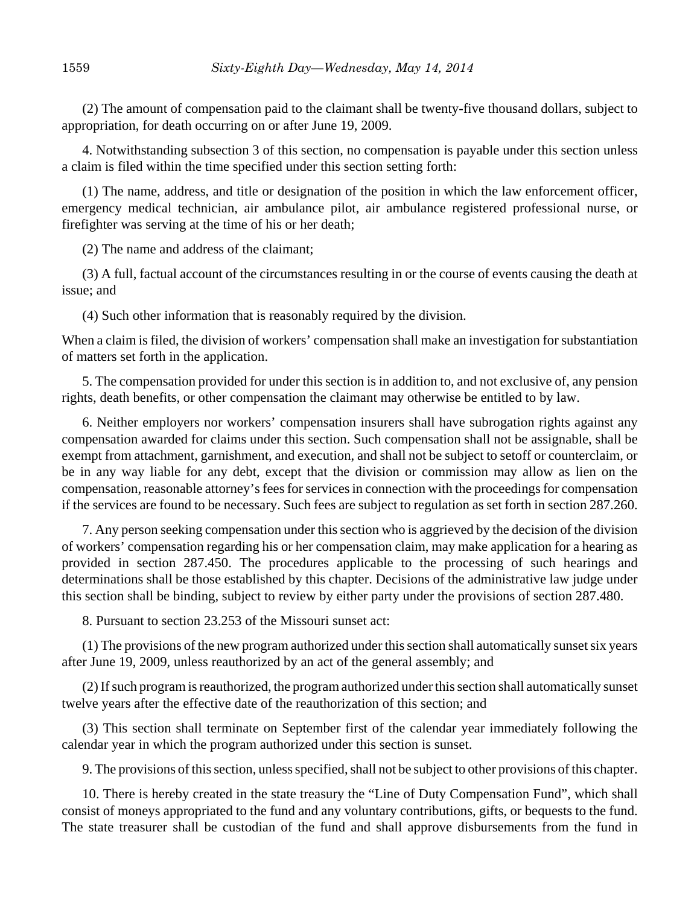(2) The amount of compensation paid to the claimant shall be twenty-five thousand dollars, subject to appropriation, for death occurring on or after June 19, 2009.

4. Notwithstanding subsection 3 of this section, no compensation is payable under this section unless a claim is filed within the time specified under this section setting forth:

(1) The name, address, and title or designation of the position in which the law enforcement officer, emergency medical technician, air ambulance pilot, air ambulance registered professional nurse, or firefighter was serving at the time of his or her death;

(2) The name and address of the claimant;

(3) A full, factual account of the circumstances resulting in or the course of events causing the death at issue; and

(4) Such other information that is reasonably required by the division.

When a claim is filed, the division of workers' compensation shall make an investigation for substantiation of matters set forth in the application.

5. The compensation provided for under this section is in addition to, and not exclusive of, any pension rights, death benefits, or other compensation the claimant may otherwise be entitled to by law.

6. Neither employers nor workers' compensation insurers shall have subrogation rights against any compensation awarded for claims under this section. Such compensation shall not be assignable, shall be exempt from attachment, garnishment, and execution, and shall not be subject to setoff or counterclaim, or be in any way liable for any debt, except that the division or commission may allow as lien on the compensation, reasonable attorney's fees for services in connection with the proceedings for compensation if the services are found to be necessary. Such fees are subject to regulation as set forth in section 287.260.

7. Any person seeking compensation under this section who is aggrieved by the decision of the division of workers' compensation regarding his or her compensation claim, may make application for a hearing as provided in section 287.450. The procedures applicable to the processing of such hearings and determinations shall be those established by this chapter. Decisions of the administrative law judge under this section shall be binding, subject to review by either party under the provisions of section 287.480.

8. Pursuant to section 23.253 of the Missouri sunset act:

(1) The provisions of the new program authorized under this section shall automatically sunset six years after June 19, 2009, unless reauthorized by an act of the general assembly; and

(2) If such program is reauthorized, the program authorized under this section shall automatically sunset twelve years after the effective date of the reauthorization of this section; and

(3) This section shall terminate on September first of the calendar year immediately following the calendar year in which the program authorized under this section is sunset.

9. The provisions of this section, unless specified, shall not be subject to other provisions of this chapter.

10. There is hereby created in the state treasury the "Line of Duty Compensation Fund", which shall consist of moneys appropriated to the fund and any voluntary contributions, gifts, or bequests to the fund. The state treasurer shall be custodian of the fund and shall approve disbursements from the fund in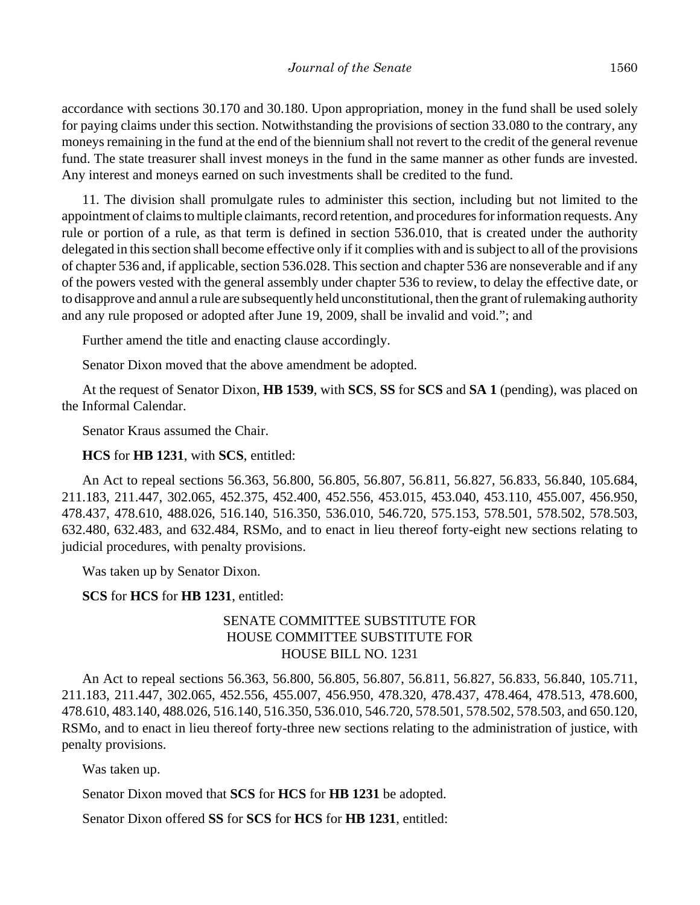accordance with sections 30.170 and 30.180. Upon appropriation, money in the fund shall be used solely for paying claims under this section. Notwithstanding the provisions of section 33.080 to the contrary, any moneys remaining in the fund at the end of the biennium shall not revert to the credit of the general revenue fund. The state treasurer shall invest moneys in the fund in the same manner as other funds are invested. Any interest and moneys earned on such investments shall be credited to the fund.

11. The division shall promulgate rules to administer this section, including but not limited to the appointment of claims to multiple claimants, record retention, and procedures for information requests. Any rule or portion of a rule, as that term is defined in section 536.010, that is created under the authority delegated in this section shall become effective only if it complies with and is subject to all of the provisions of chapter 536 and, if applicable, section 536.028. This section and chapter 536 are nonseverable and if any of the powers vested with the general assembly under chapter 536 to review, to delay the effective date, or to disapprove and annul a rule are subsequently held unconstitutional, then the grant of rulemaking authority and any rule proposed or adopted after June 19, 2009, shall be invalid and void."; and

Further amend the title and enacting clause accordingly.

Senator Dixon moved that the above amendment be adopted.

At the request of Senator Dixon, **HB 1539**, with **SCS**, **SS** for **SCS** and **SA 1** (pending), was placed on the Informal Calendar.

Senator Kraus assumed the Chair.

#### **HCS** for **HB 1231**, with **SCS**, entitled:

An Act to repeal sections 56.363, 56.800, 56.805, 56.807, 56.811, 56.827, 56.833, 56.840, 105.684, 211.183, 211.447, 302.065, 452.375, 452.400, 452.556, 453.015, 453.040, 453.110, 455.007, 456.950, 478.437, 478.610, 488.026, 516.140, 516.350, 536.010, 546.720, 575.153, 578.501, 578.502, 578.503, 632.480, 632.483, and 632.484, RSMo, and to enact in lieu thereof forty-eight new sections relating to judicial procedures, with penalty provisions.

Was taken up by Senator Dixon.

## **SCS** for **HCS** for **HB 1231**, entitled:

## SENATE COMMITTEE SUBSTITUTE FOR HOUSE COMMITTEE SUBSTITUTE FOR HOUSE BILL NO. 1231

An Act to repeal sections 56.363, 56.800, 56.805, 56.807, 56.811, 56.827, 56.833, 56.840, 105.711, 211.183, 211.447, 302.065, 452.556, 455.007, 456.950, 478.320, 478.437, 478.464, 478.513, 478.600, 478.610, 483.140, 488.026, 516.140, 516.350, 536.010, 546.720, 578.501, 578.502, 578.503, and 650.120, RSMo, and to enact in lieu thereof forty-three new sections relating to the administration of justice, with penalty provisions.

Was taken up.

Senator Dixon moved that **SCS** for **HCS** for **HB 1231** be adopted.

Senator Dixon offered **SS** for **SCS** for **HCS** for **HB 1231**, entitled: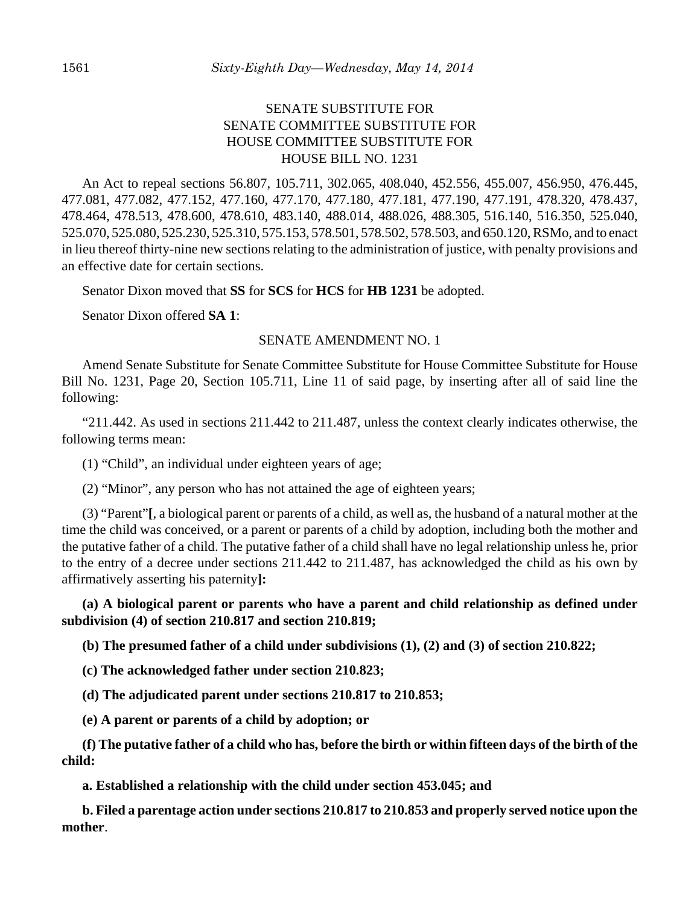# SENATE SUBSTITUTE FOR SENATE COMMITTEE SUBSTITUTE FOR HOUSE COMMITTEE SUBSTITUTE FOR HOUSE BILL NO. 1231

An Act to repeal sections 56.807, 105.711, 302.065, 408.040, 452.556, 455.007, 456.950, 476.445, 477.081, 477.082, 477.152, 477.160, 477.170, 477.180, 477.181, 477.190, 477.191, 478.320, 478.437, 478.464, 478.513, 478.600, 478.610, 483.140, 488.014, 488.026, 488.305, 516.140, 516.350, 525.040, 525.070, 525.080, 525.230, 525.310, 575.153, 578.501, 578.502, 578.503, and 650.120, RSMo, and to enact in lieu thereof thirty-nine new sections relating to the administration of justice, with penalty provisions and an effective date for certain sections.

Senator Dixon moved that **SS** for **SCS** for **HCS** for **HB 1231** be adopted.

Senator Dixon offered **SA 1**:

#### SENATE AMENDMENT NO. 1

Amend Senate Substitute for Senate Committee Substitute for House Committee Substitute for House Bill No. 1231, Page 20, Section 105.711, Line 11 of said page, by inserting after all of said line the following:

 $"211.442$ . As used in sections  $211.442$  to  $211.487$ , unless the context clearly indicates otherwise, the following terms mean:

(1) "Child", an individual under eighteen years of age;

(2) "Minor", any person who has not attained the age of eighteen years;

(3) "Parent"**[**, a biological parent or parents of a child, as well as, the husband of a natural mother at the time the child was conceived, or a parent or parents of a child by adoption, including both the mother and the putative father of a child. The putative father of a child shall have no legal relationship unless he, prior to the entry of a decree under sections 211.442 to 211.487, has acknowledged the child as his own by affirmatively asserting his paternity**]:**

**(a) A biological parent or parents who have a parent and child relationship as defined under subdivision (4) of section 210.817 and section 210.819;**

**(b) The presumed father of a child under subdivisions (1), (2) and (3) of section 210.822;**

**(c) The acknowledged father under section 210.823;**

**(d) The adjudicated parent under sections 210.817 to 210.853;**

**(e) A parent or parents of a child by adoption; or**

**(f) The putative father of a child who has, before the birth or within fifteen days of the birth of the child:**

**a. Established a relationship with the child under section 453.045; and**

**b. Filed a parentage action under sections 210.817 to 210.853 and properly served notice upon the mother**.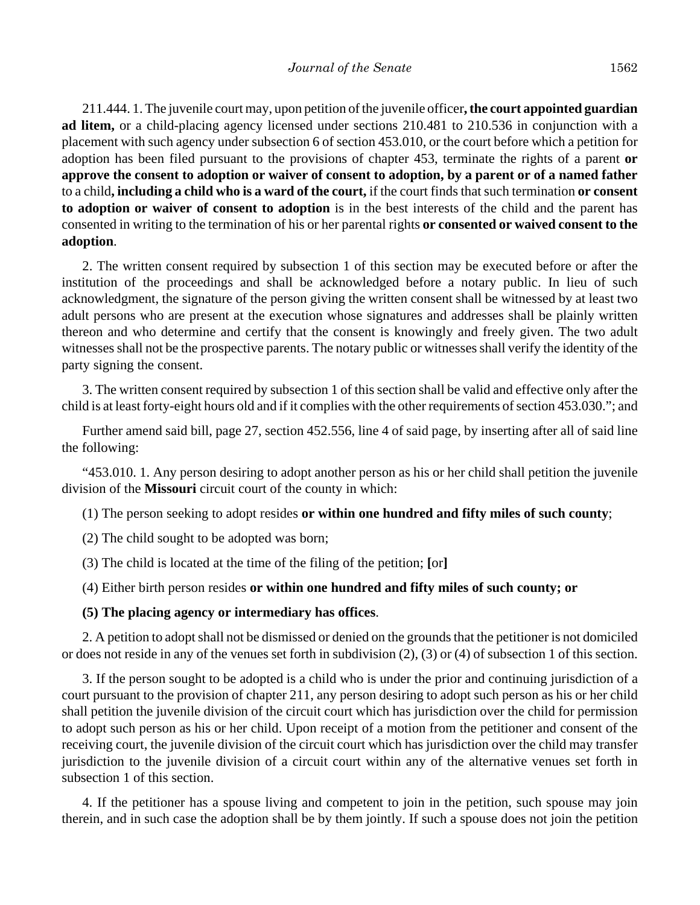211.444. 1. The juvenile court may, upon petition of the juvenile officer**, the court appointed guardian ad litem,** or a child-placing agency licensed under sections 210.481 to 210.536 in conjunction with a placement with such agency under subsection 6 of section 453.010, or the court before which a petition for adoption has been filed pursuant to the provisions of chapter 453, terminate the rights of a parent **or approve the consent to adoption or waiver of consent to adoption, by a parent or of a named father** to a child**, including a child who is a ward of the court,** if the court finds that such termination **or consent to adoption or waiver of consent to adoption** is in the best interests of the child and the parent has consented in writing to the termination of his or her parental rights **or consented or waived consent to the adoption**.

2. The written consent required by subsection 1 of this section may be executed before or after the institution of the proceedings and shall be acknowledged before a notary public. In lieu of such acknowledgment, the signature of the person giving the written consent shall be witnessed by at least two adult persons who are present at the execution whose signatures and addresses shall be plainly written thereon and who determine and certify that the consent is knowingly and freely given. The two adult witnesses shall not be the prospective parents. The notary public or witnesses shall verify the identity of the party signing the consent.

3. The written consent required by subsection 1 of this section shall be valid and effective only after the child is at least forty-eight hours old and if it complies with the other requirements of section 453.030."; and

Further amend said bill, page 27, section 452.556, line 4 of said page, by inserting after all of said line the following:

"453.010. 1. Any person desiring to adopt another person as his or her child shall petition the juvenile division of the **Missouri** circuit court of the county in which:

(1) The person seeking to adopt resides **or within one hundred and fifty miles of such county**;

(2) The child sought to be adopted was born;

(3) The child is located at the time of the filing of the petition; **[**or**]**

(4) Either birth person resides **or within one hundred and fifty miles of such county; or**

#### **(5) The placing agency or intermediary has offices**.

2. A petition to adopt shall not be dismissed or denied on the grounds that the petitioner is not domiciled or does not reside in any of the venues set forth in subdivision (2), (3) or (4) of subsection 1 of this section.

3. If the person sought to be adopted is a child who is under the prior and continuing jurisdiction of a court pursuant to the provision of chapter 211, any person desiring to adopt such person as his or her child shall petition the juvenile division of the circuit court which has jurisdiction over the child for permission to adopt such person as his or her child. Upon receipt of a motion from the petitioner and consent of the receiving court, the juvenile division of the circuit court which has jurisdiction over the child may transfer jurisdiction to the juvenile division of a circuit court within any of the alternative venues set forth in subsection 1 of this section.

4. If the petitioner has a spouse living and competent to join in the petition, such spouse may join therein, and in such case the adoption shall be by them jointly. If such a spouse does not join the petition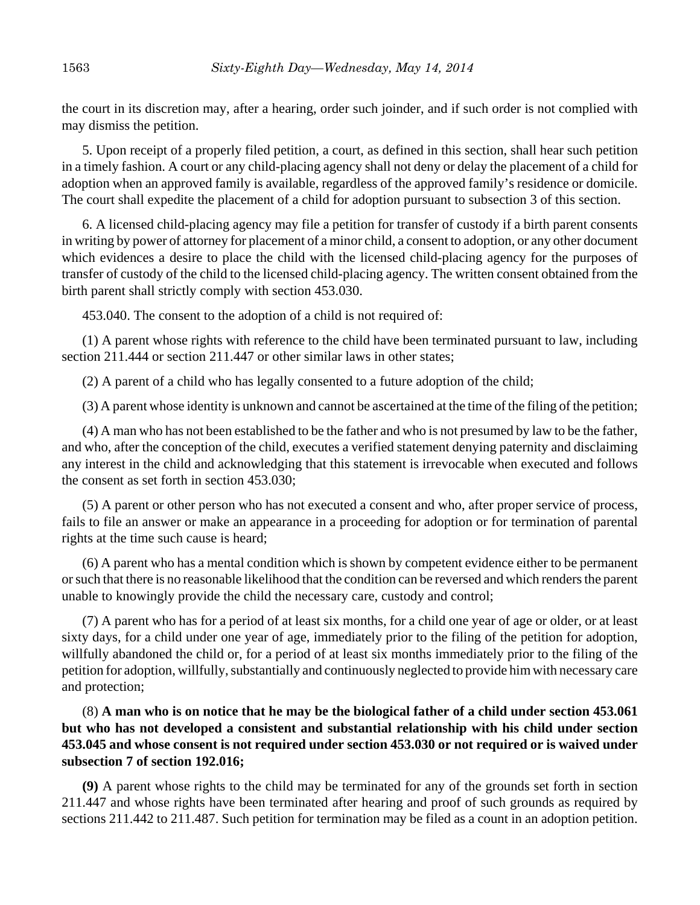the court in its discretion may, after a hearing, order such joinder, and if such order is not complied with may dismiss the petition.

5. Upon receipt of a properly filed petition, a court, as defined in this section, shall hear such petition in a timely fashion. A court or any child-placing agency shall not deny or delay the placement of a child for adoption when an approved family is available, regardless of the approved family's residence or domicile. The court shall expedite the placement of a child for adoption pursuant to subsection 3 of this section.

6. A licensed child-placing agency may file a petition for transfer of custody if a birth parent consents in writing by power of attorney for placement of a minor child, a consent to adoption, or any other document which evidences a desire to place the child with the licensed child-placing agency for the purposes of transfer of custody of the child to the licensed child-placing agency. The written consent obtained from the birth parent shall strictly comply with section 453.030.

453.040. The consent to the adoption of a child is not required of:

(1) A parent whose rights with reference to the child have been terminated pursuant to law, including section 211.444 or section 211.447 or other similar laws in other states;

(2) A parent of a child who has legally consented to a future adoption of the child;

(3) A parent whose identity is unknown and cannot be ascertained at the time of the filing of the petition;

(4) A man who has not been established to be the father and who is not presumed by law to be the father, and who, after the conception of the child, executes a verified statement denying paternity and disclaiming any interest in the child and acknowledging that this statement is irrevocable when executed and follows the consent as set forth in section 453.030;

(5) A parent or other person who has not executed a consent and who, after proper service of process, fails to file an answer or make an appearance in a proceeding for adoption or for termination of parental rights at the time such cause is heard;

(6) A parent who has a mental condition which is shown by competent evidence either to be permanent or such that there is no reasonable likelihood that the condition can be reversed and which renders the parent unable to knowingly provide the child the necessary care, custody and control;

(7) A parent who has for a period of at least six months, for a child one year of age or older, or at least sixty days, for a child under one year of age, immediately prior to the filing of the petition for adoption, willfully abandoned the child or, for a period of at least six months immediately prior to the filing of the petition for adoption, willfully, substantially and continuously neglected to provide him with necessary care and protection;

(8) **A man who is on notice that he may be the biological father of a child under section 453.061 but who has not developed a consistent and substantial relationship with his child under section 453.045 and whose consent is not required under section 453.030 or not required or is waived under subsection 7 of section 192.016;**

**(9)** A parent whose rights to the child may be terminated for any of the grounds set forth in section 211.447 and whose rights have been terminated after hearing and proof of such grounds as required by sections 211.442 to 211.487. Such petition for termination may be filed as a count in an adoption petition.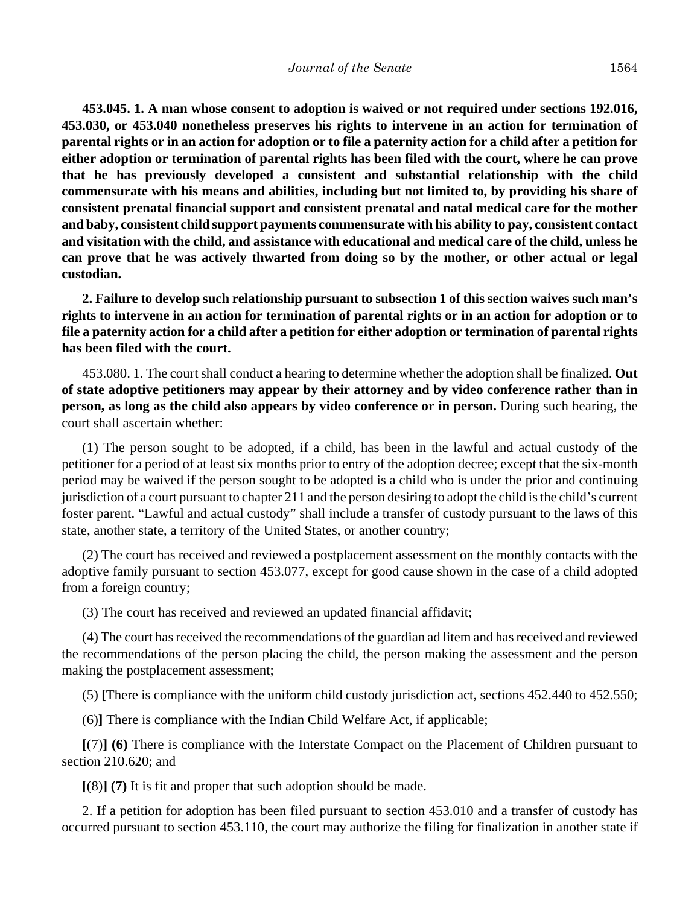**453.045. 1. A man whose consent to adoption is waived or not required under sections 192.016, 453.030, or 453.040 nonetheless preserves his rights to intervene in an action for termination of parental rights or in an action for adoption or to file a paternity action for a child after a petition for either adoption or termination of parental rights has been filed with the court, where he can prove that he has previously developed a consistent and substantial relationship with the child commensurate with his means and abilities, including but not limited to, by providing his share of consistent prenatal financial support and consistent prenatal and natal medical care for the mother and baby, consistent child support payments commensurate with his ability to pay, consistent contact and visitation with the child, and assistance with educational and medical care of the child, unless he can prove that he was actively thwarted from doing so by the mother, or other actual or legal custodian.**

**2. Failure to develop such relationship pursuant to subsection 1 of this section waives such man's rights to intervene in an action for termination of parental rights or in an action for adoption or to file a paternity action for a child after a petition for either adoption or termination of parental rights has been filed with the court.**

453.080. 1. The court shall conduct a hearing to determine whether the adoption shall be finalized. **Out of state adoptive petitioners may appear by their attorney and by video conference rather than in person, as long as the child also appears by video conference or in person.** During such hearing, the court shall ascertain whether:

(1) The person sought to be adopted, if a child, has been in the lawful and actual custody of the petitioner for a period of at least six months prior to entry of the adoption decree; except that the six-month period may be waived if the person sought to be adopted is a child who is under the prior and continuing jurisdiction of a court pursuant to chapter 211 and the person desiring to adopt the child is the child's current foster parent. "Lawful and actual custody" shall include a transfer of custody pursuant to the laws of this state, another state, a territory of the United States, or another country;

(2) The court has received and reviewed a postplacement assessment on the monthly contacts with the adoptive family pursuant to section 453.077, except for good cause shown in the case of a child adopted from a foreign country;

(3) The court has received and reviewed an updated financial affidavit;

(4) The court has received the recommendations of the guardian ad litem and has received and reviewed the recommendations of the person placing the child, the person making the assessment and the person making the postplacement assessment;

(5) **[**There is compliance with the uniform child custody jurisdiction act, sections 452.440 to 452.550;

(6)**]** There is compliance with the Indian Child Welfare Act, if applicable;

**[**(7)**] (6)** There is compliance with the Interstate Compact on the Placement of Children pursuant to section 210.620; and

**[**(8)**] (7)** It is fit and proper that such adoption should be made.

2. If a petition for adoption has been filed pursuant to section 453.010 and a transfer of custody has occurred pursuant to section 453.110, the court may authorize the filing for finalization in another state if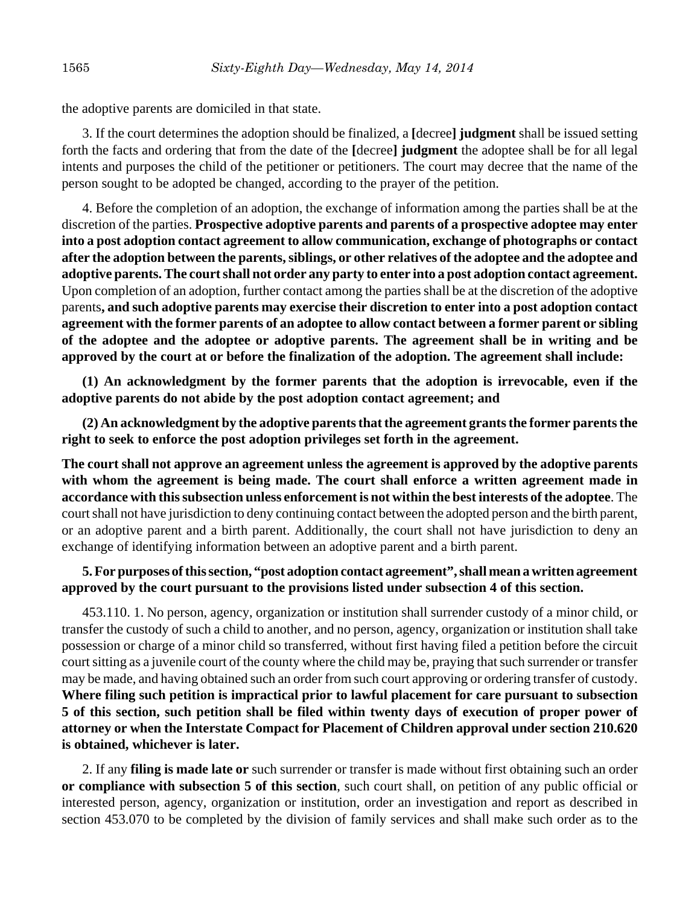the adoptive parents are domiciled in that state.

3. If the court determines the adoption should be finalized, a **[**decree**] judgment** shall be issued setting forth the facts and ordering that from the date of the **[**decree**] judgment** the adoptee shall be for all legal intents and purposes the child of the petitioner or petitioners. The court may decree that the name of the person sought to be adopted be changed, according to the prayer of the petition.

4. Before the completion of an adoption, the exchange of information among the parties shall be at the discretion of the parties. **Prospective adoptive parents and parents of a prospective adoptee may enter into a post adoption contact agreement to allow communication, exchange of photographs or contact after the adoption between the parents, siblings, or other relatives of the adoptee and the adoptee and adoptive parents. The court shall not order any party to enter into a post adoption contact agreement.** Upon completion of an adoption, further contact among the parties shall be at the discretion of the adoptive parents**, and such adoptive parents may exercise their discretion to enter into a post adoption contact agreement with the former parents of an adoptee to allow contact between a former parent or sibling of the adoptee and the adoptee or adoptive parents. The agreement shall be in writing and be approved by the court at or before the finalization of the adoption. The agreement shall include:**

**(1) An acknowledgment by the former parents that the adoption is irrevocable, even if the adoptive parents do not abide by the post adoption contact agreement; and**

**(2) An acknowledgment by the adoptive parents that the agreement grants the former parents the right to seek to enforce the post adoption privileges set forth in the agreement.**

**The court shall not approve an agreement unless the agreement is approved by the adoptive parents with whom the agreement is being made. The court shall enforce a written agreement made in accordance with this subsection unless enforcement is not within the best interests of the adoptee**. The court shall not have jurisdiction to deny continuing contact between the adopted person and the birth parent, or an adoptive parent and a birth parent. Additionally, the court shall not have jurisdiction to deny an exchange of identifying information between an adoptive parent and a birth parent.

## **5. For purposes of this section, "post adoption contact agreement", shall mean a written agreement approved by the court pursuant to the provisions listed under subsection 4 of this section.**

453.110. 1. No person, agency, organization or institution shall surrender custody of a minor child, or transfer the custody of such a child to another, and no person, agency, organization or institution shall take possession or charge of a minor child so transferred, without first having filed a petition before the circuit court sitting as a juvenile court of the county where the child may be, praying that such surrender or transfer may be made, and having obtained such an order from such court approving or ordering transfer of custody. **Where filing such petition is impractical prior to lawful placement for care pursuant to subsection 5 of this section, such petition shall be filed within twenty days of execution of proper power of attorney or when the Interstate Compact for Placement of Children approval under section 210.620 is obtained, whichever is later.**

2. If any **filing is made late or** such surrender or transfer is made without first obtaining such an order **or compliance with subsection 5 of this section**, such court shall, on petition of any public official or interested person, agency, organization or institution, order an investigation and report as described in section 453.070 to be completed by the division of family services and shall make such order as to the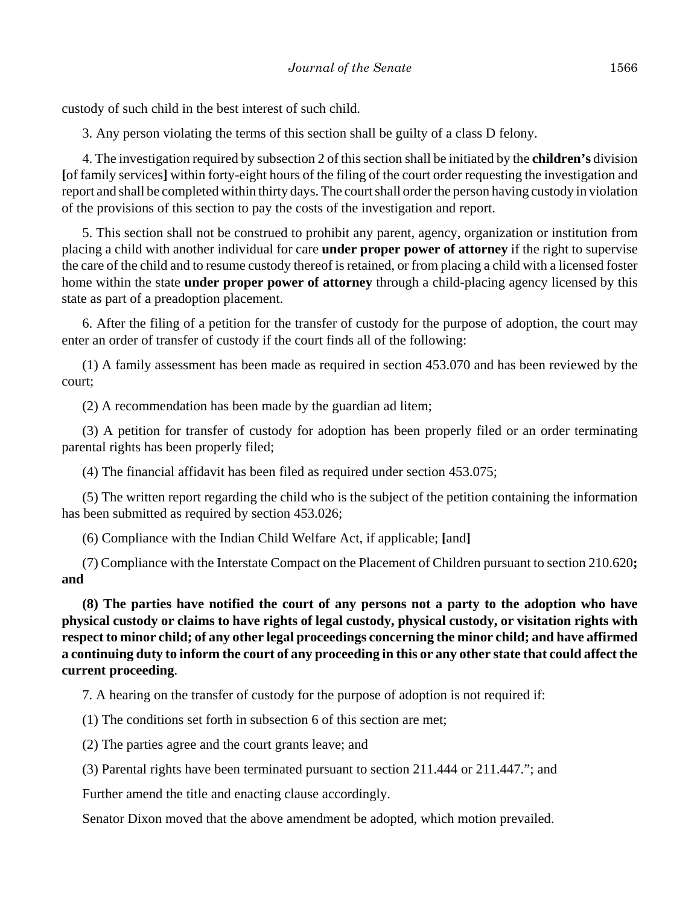custody of such child in the best interest of such child.

3. Any person violating the terms of this section shall be guilty of a class D felony.

4. The investigation required by subsection 2 of this section shall be initiated by the **children's** division **[**of family services**]** within forty-eight hours of the filing of the court order requesting the investigation and report and shall be completed within thirty days. The court shall order the person having custody in violation of the provisions of this section to pay the costs of the investigation and report.

5. This section shall not be construed to prohibit any parent, agency, organization or institution from placing a child with another individual for care **under proper power of attorney** if the right to supervise the care of the child and to resume custody thereof is retained, or from placing a child with a licensed foster home within the state **under proper power of attorney** through a child-placing agency licensed by this state as part of a preadoption placement.

6. After the filing of a petition for the transfer of custody for the purpose of adoption, the court may enter an order of transfer of custody if the court finds all of the following:

(1) A family assessment has been made as required in section 453.070 and has been reviewed by the court;

(2) A recommendation has been made by the guardian ad litem;

(3) A petition for transfer of custody for adoption has been properly filed or an order terminating parental rights has been properly filed;

(4) The financial affidavit has been filed as required under section 453.075;

(5) The written report regarding the child who is the subject of the petition containing the information has been submitted as required by section 453.026;

(6) Compliance with the Indian Child Welfare Act, if applicable; **[**and**]**

(7) Compliance with the Interstate Compact on the Placement of Children pursuant to section 210.620**; and**

**(8) The parties have notified the court of any persons not a party to the adoption who have physical custody or claims to have rights of legal custody, physical custody, or visitation rights with respect to minor child; of any other legal proceedings concerning the minor child; and have affirmed a continuing duty to inform the court of any proceeding in this or any other state that could affect the current proceeding**.

7. A hearing on the transfer of custody for the purpose of adoption is not required if:

(1) The conditions set forth in subsection 6 of this section are met;

(2) The parties agree and the court grants leave; and

(3) Parental rights have been terminated pursuant to section 211.444 or 211.447."; and

Further amend the title and enacting clause accordingly.

Senator Dixon moved that the above amendment be adopted, which motion prevailed.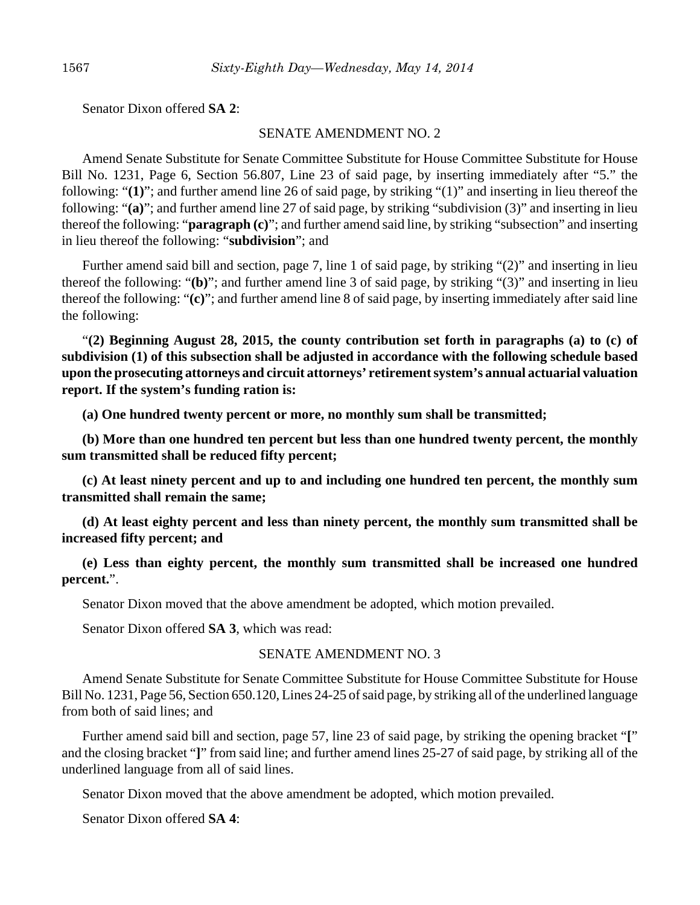Senator Dixon offered **SA 2**:

#### SENATE AMENDMENT NO. 2

Amend Senate Substitute for Senate Committee Substitute for House Committee Substitute for House Bill No. 1231, Page 6, Section 56.807, Line 23 of said page, by inserting immediately after "5." the following: "**(1)**"; and further amend line 26 of said page, by striking "(1)" and inserting in lieu thereof the following: "**(a)**"; and further amend line 27 of said page, by striking "subdivision (3)" and inserting in lieu thereof the following: "**paragraph (c)**"; and further amend said line, by striking "subsection" and inserting in lieu thereof the following: "**subdivision**"; and

Further amend said bill and section, page 7, line 1 of said page, by striking "(2)" and inserting in lieu thereof the following: "**(b)**"; and further amend line 3 of said page, by striking "(3)" and inserting in lieu thereof the following: "**(c)**"; and further amend line 8 of said page, by inserting immediately after said line the following:

"**(2) Beginning August 28, 2015, the county contribution set forth in paragraphs (a) to (c) of subdivision (1) of this subsection shall be adjusted in accordance with the following schedule based upon the prosecuting attorneys and circuit attorneys' retirement system's annual actuarial valuation report. If the system's funding ration is:**

**(a) One hundred twenty percent or more, no monthly sum shall be transmitted;**

**(b) More than one hundred ten percent but less than one hundred twenty percent, the monthly sum transmitted shall be reduced fifty percent;**

**(c) At least ninety percent and up to and including one hundred ten percent, the monthly sum transmitted shall remain the same;**

**(d) At least eighty percent and less than ninety percent, the monthly sum transmitted shall be increased fifty percent; and**

**(e) Less than eighty percent, the monthly sum transmitted shall be increased one hundred percent.**".

Senator Dixon moved that the above amendment be adopted, which motion prevailed.

Senator Dixon offered **SA 3**, which was read:

## SENATE AMENDMENT NO. 3

Amend Senate Substitute for Senate Committee Substitute for House Committee Substitute for House Bill No. 1231, Page 56, Section 650.120, Lines 24-25 of said page, by striking all of the underlined language from both of said lines; and

Further amend said bill and section, page 57, line 23 of said page, by striking the opening bracket "**[**" and the closing bracket "**]**" from said line; and further amend lines 25-27 of said page, by striking all of the underlined language from all of said lines.

Senator Dixon moved that the above amendment be adopted, which motion prevailed.

Senator Dixon offered **SA 4**: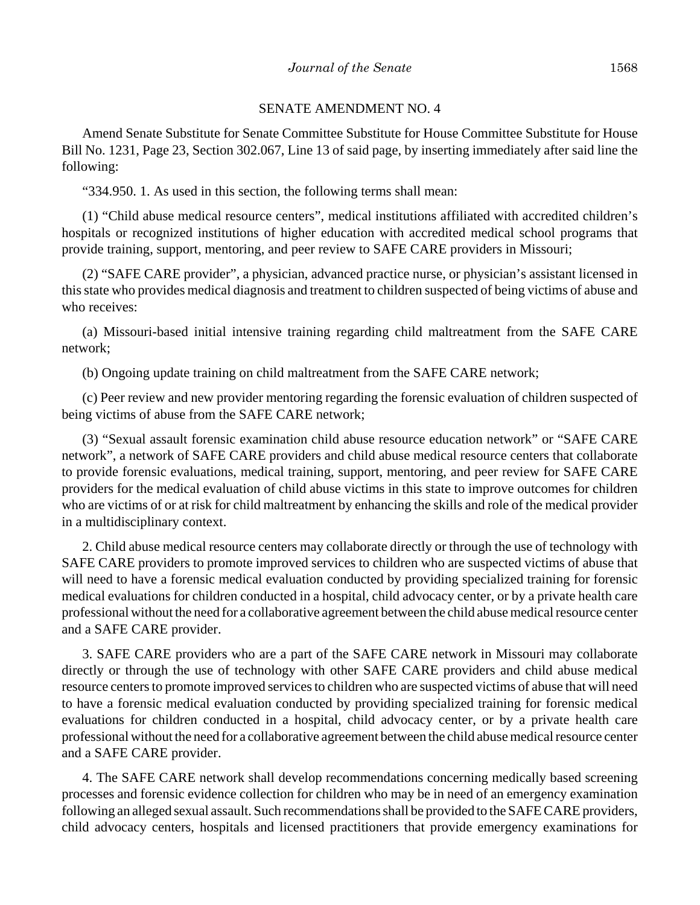#### SENATE AMENDMENT NO. 4

Amend Senate Substitute for Senate Committee Substitute for House Committee Substitute for House Bill No. 1231, Page 23, Section 302.067, Line 13 of said page, by inserting immediately after said line the following:

"334.950. 1. As used in this section, the following terms shall mean:

(1) "Child abuse medical resource centers", medical institutions affiliated with accredited children's hospitals or recognized institutions of higher education with accredited medical school programs that provide training, support, mentoring, and peer review to SAFE CARE providers in Missouri;

(2) "SAFE CARE provider", a physician, advanced practice nurse, or physician's assistant licensed in this state who provides medical diagnosis and treatment to children suspected of being victims of abuse and who receives:

(a) Missouri-based initial intensive training regarding child maltreatment from the SAFE CARE network;

(b) Ongoing update training on child maltreatment from the SAFE CARE network;

(c) Peer review and new provider mentoring regarding the forensic evaluation of children suspected of being victims of abuse from the SAFE CARE network;

(3) "Sexual assault forensic examination child abuse resource education network" or "SAFE CARE network", a network of SAFE CARE providers and child abuse medical resource centers that collaborate to provide forensic evaluations, medical training, support, mentoring, and peer review for SAFE CARE providers for the medical evaluation of child abuse victims in this state to improve outcomes for children who are victims of or at risk for child maltreatment by enhancing the skills and role of the medical provider in a multidisciplinary context.

2. Child abuse medical resource centers may collaborate directly or through the use of technology with SAFE CARE providers to promote improved services to children who are suspected victims of abuse that will need to have a forensic medical evaluation conducted by providing specialized training for forensic medical evaluations for children conducted in a hospital, child advocacy center, or by a private health care professional without the need for a collaborative agreement between the child abuse medical resource center and a SAFE CARE provider.

3. SAFE CARE providers who are a part of the SAFE CARE network in Missouri may collaborate directly or through the use of technology with other SAFE CARE providers and child abuse medical resource centers to promote improved services to children who are suspected victims of abuse that will need to have a forensic medical evaluation conducted by providing specialized training for forensic medical evaluations for children conducted in a hospital, child advocacy center, or by a private health care professional without the need for a collaborative agreement between the child abuse medical resource center and a SAFE CARE provider.

4. The SAFE CARE network shall develop recommendations concerning medically based screening processes and forensic evidence collection for children who may be in need of an emergency examination following an alleged sexual assault. Such recommendations shall be provided to the SAFE CARE providers, child advocacy centers, hospitals and licensed practitioners that provide emergency examinations for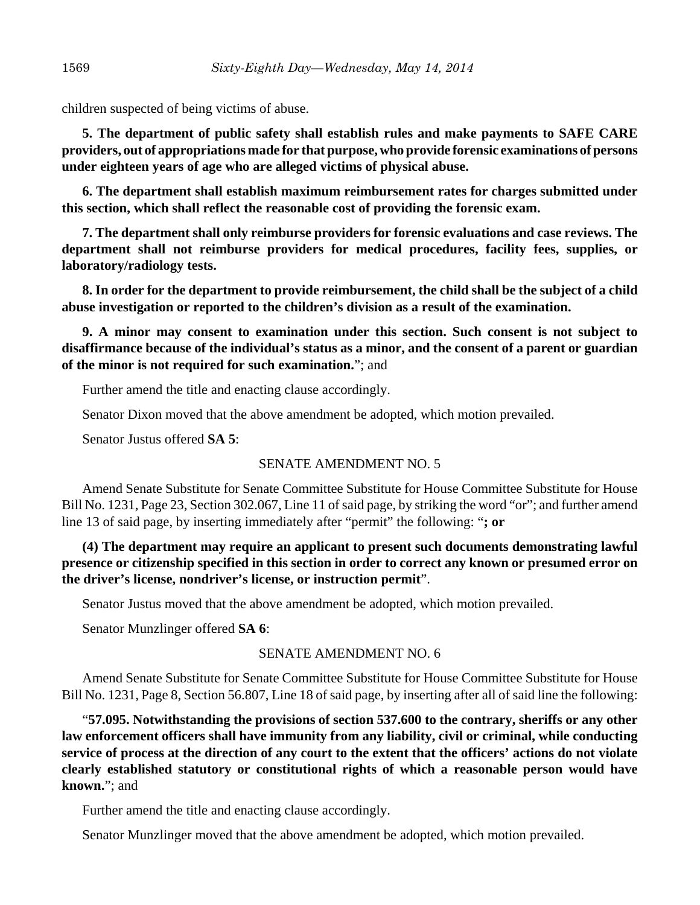children suspected of being victims of abuse.

**5. The department of public safety shall establish rules and make payments to SAFE CARE providers, out of appropriations made for that purpose, who provide forensic examinations of persons under eighteen years of age who are alleged victims of physical abuse.**

**6. The department shall establish maximum reimbursement rates for charges submitted under this section, which shall reflect the reasonable cost of providing the forensic exam.**

**7. The department shall only reimburse providers for forensic evaluations and case reviews. The department shall not reimburse providers for medical procedures, facility fees, supplies, or laboratory/radiology tests.**

**8. In order for the department to provide reimbursement, the child shall be the subject of a child abuse investigation or reported to the children's division as a result of the examination.**

**9. A minor may consent to examination under this section. Such consent is not subject to disaffirmance because of the individual's status as a minor, and the consent of a parent or guardian of the minor is not required for such examination.**"; and

Further amend the title and enacting clause accordingly.

Senator Dixon moved that the above amendment be adopted, which motion prevailed.

Senator Justus offered **SA 5**:

## SENATE AMENDMENT NO. 5

Amend Senate Substitute for Senate Committee Substitute for House Committee Substitute for House Bill No. 1231, Page 23, Section 302.067, Line 11 of said page, by striking the word "or"; and further amend line 13 of said page, by inserting immediately after "permit" the following: "**; or**

**(4) The department may require an applicant to present such documents demonstrating lawful presence or citizenship specified in this section in order to correct any known or presumed error on the driver's license, nondriver's license, or instruction permit**".

Senator Justus moved that the above amendment be adopted, which motion prevailed.

Senator Munzlinger offered **SA 6**:

## SENATE AMENDMENT NO. 6

Amend Senate Substitute for Senate Committee Substitute for House Committee Substitute for House Bill No. 1231, Page 8, Section 56.807, Line 18 of said page, by inserting after all of said line the following:

"**57.095. Notwithstanding the provisions of section 537.600 to the contrary, sheriffs or any other law enforcement officers shall have immunity from any liability, civil or criminal, while conducting service of process at the direction of any court to the extent that the officers' actions do not violate clearly established statutory or constitutional rights of which a reasonable person would have known.**"; and

Further amend the title and enacting clause accordingly.

Senator Munzlinger moved that the above amendment be adopted, which motion prevailed.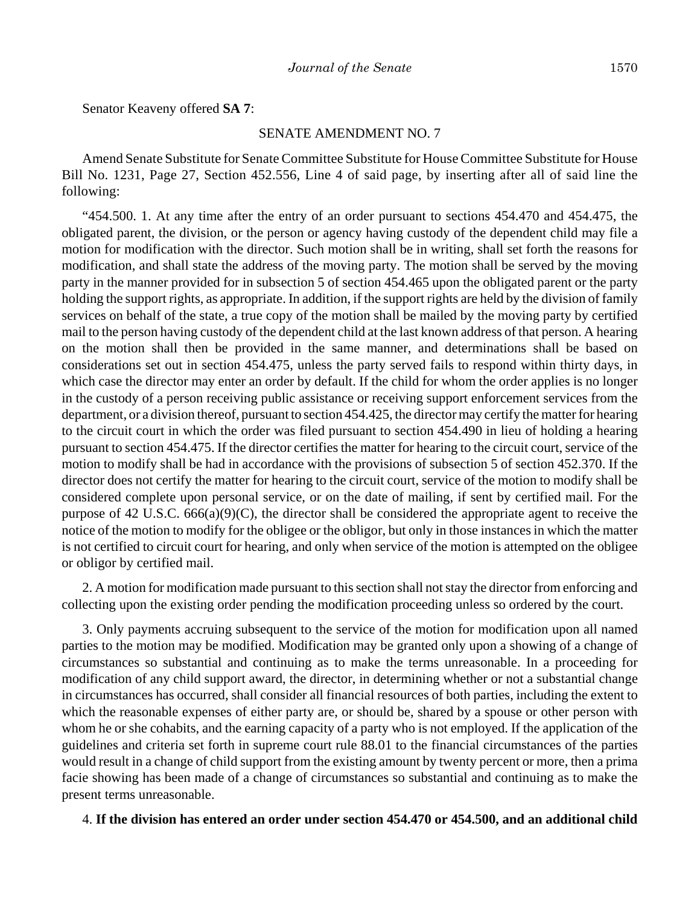Senator Keaveny offered **SA 7**:

#### SENATE AMENDMENT NO. 7

Amend Senate Substitute for Senate Committee Substitute for House Committee Substitute for House Bill No. 1231, Page 27, Section 452.556, Line 4 of said page, by inserting after all of said line the following:

"454.500. 1. At any time after the entry of an order pursuant to sections 454.470 and 454.475, the obligated parent, the division, or the person or agency having custody of the dependent child may file a motion for modification with the director. Such motion shall be in writing, shall set forth the reasons for modification, and shall state the address of the moving party. The motion shall be served by the moving party in the manner provided for in subsection 5 of section 454.465 upon the obligated parent or the party holding the support rights, as appropriate. In addition, if the support rights are held by the division of family services on behalf of the state, a true copy of the motion shall be mailed by the moving party by certified mail to the person having custody of the dependent child at the last known address of that person. A hearing on the motion shall then be provided in the same manner, and determinations shall be based on considerations set out in section 454.475, unless the party served fails to respond within thirty days, in which case the director may enter an order by default. If the child for whom the order applies is no longer in the custody of a person receiving public assistance or receiving support enforcement services from the department, or a division thereof, pursuant to section 454.425, the director may certify the matter for hearing to the circuit court in which the order was filed pursuant to section 454.490 in lieu of holding a hearing pursuant to section 454.475. If the director certifies the matter for hearing to the circuit court, service of the motion to modify shall be had in accordance with the provisions of subsection 5 of section 452.370. If the director does not certify the matter for hearing to the circuit court, service of the motion to modify shall be considered complete upon personal service, or on the date of mailing, if sent by certified mail. For the purpose of 42 U.S.C. 666(a)(9)(C), the director shall be considered the appropriate agent to receive the notice of the motion to modify for the obligee or the obligor, but only in those instances in which the matter is not certified to circuit court for hearing, and only when service of the motion is attempted on the obligee or obligor by certified mail.

2. A motion for modification made pursuant to this section shall not stay the director from enforcing and collecting upon the existing order pending the modification proceeding unless so ordered by the court.

3. Only payments accruing subsequent to the service of the motion for modification upon all named parties to the motion may be modified. Modification may be granted only upon a showing of a change of circumstances so substantial and continuing as to make the terms unreasonable. In a proceeding for modification of any child support award, the director, in determining whether or not a substantial change in circumstances has occurred, shall consider all financial resources of both parties, including the extent to which the reasonable expenses of either party are, or should be, shared by a spouse or other person with whom he or she cohabits, and the earning capacity of a party who is not employed. If the application of the guidelines and criteria set forth in supreme court rule 88.01 to the financial circumstances of the parties would result in a change of child support from the existing amount by twenty percent or more, then a prima facie showing has been made of a change of circumstances so substantial and continuing as to make the present terms unreasonable.

#### 4. **If the division has entered an order under section 454.470 or 454.500, and an additional child**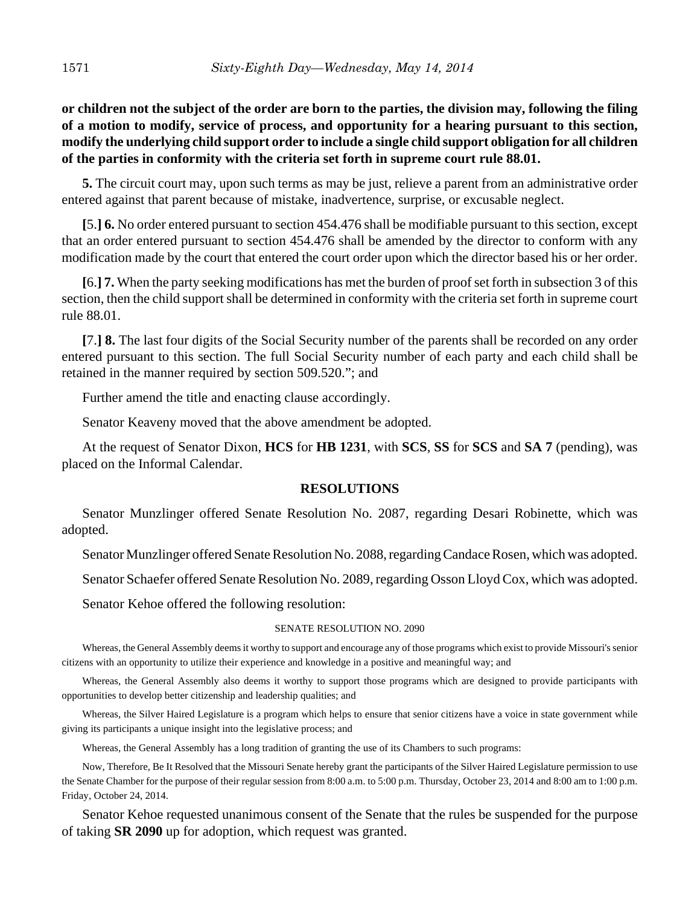# **or children not the subject of the order are born to the parties, the division may, following the filing of a motion to modify, service of process, and opportunity for a hearing pursuant to this section, modify the underlying child support order to include a single child support obligation for all children of the parties in conformity with the criteria set forth in supreme court rule 88.01.**

**5.** The circuit court may, upon such terms as may be just, relieve a parent from an administrative order entered against that parent because of mistake, inadvertence, surprise, or excusable neglect.

**[**5.**] 6.** No order entered pursuant to section 454.476 shall be modifiable pursuant to this section, except that an order entered pursuant to section 454.476 shall be amended by the director to conform with any modification made by the court that entered the court order upon which the director based his or her order.

**[**6.**] 7.** When the party seeking modifications has met the burden of proof set forth in subsection 3 of this section, then the child support shall be determined in conformity with the criteria set forth in supreme court rule 88.01.

**[**7.**] 8.** The last four digits of the Social Security number of the parents shall be recorded on any order entered pursuant to this section. The full Social Security number of each party and each child shall be retained in the manner required by section 509.520."; and

Further amend the title and enacting clause accordingly.

Senator Keaveny moved that the above amendment be adopted.

At the request of Senator Dixon, **HCS** for **HB 1231**, with **SCS**, **SS** for **SCS** and **SA 7** (pending), was placed on the Informal Calendar.

## **RESOLUTIONS**

Senator Munzlinger offered Senate Resolution No. 2087, regarding Desari Robinette, which was adopted.

Senator Munzlinger offered Senate Resolution No. 2088, regarding Candace Rosen, which was adopted.

Senator Schaefer offered Senate Resolution No. 2089, regarding Osson Lloyd Cox, which was adopted.

Senator Kehoe offered the following resolution:

#### SENATE RESOLUTION NO. 2090

Whereas, the General Assembly deems it worthy to support and encourage any of those programs which exist to provide Missouri's senior citizens with an opportunity to utilize their experience and knowledge in a positive and meaningful way; and

Whereas, the General Assembly also deems it worthy to support those programs which are designed to provide participants with opportunities to develop better citizenship and leadership qualities; and

Whereas, the Silver Haired Legislature is a program which helps to ensure that senior citizens have a voice in state government while giving its participants a unique insight into the legislative process; and

Whereas, the General Assembly has a long tradition of granting the use of its Chambers to such programs:

Now, Therefore, Be It Resolved that the Missouri Senate hereby grant the participants of the Silver Haired Legislature permission to use the Senate Chamber for the purpose of their regular session from 8:00 a.m. to 5:00 p.m. Thursday, October 23, 2014 and 8:00 am to 1:00 p.m. Friday, October 24, 2014.

Senator Kehoe requested unanimous consent of the Senate that the rules be suspended for the purpose of taking **SR 2090** up for adoption, which request was granted.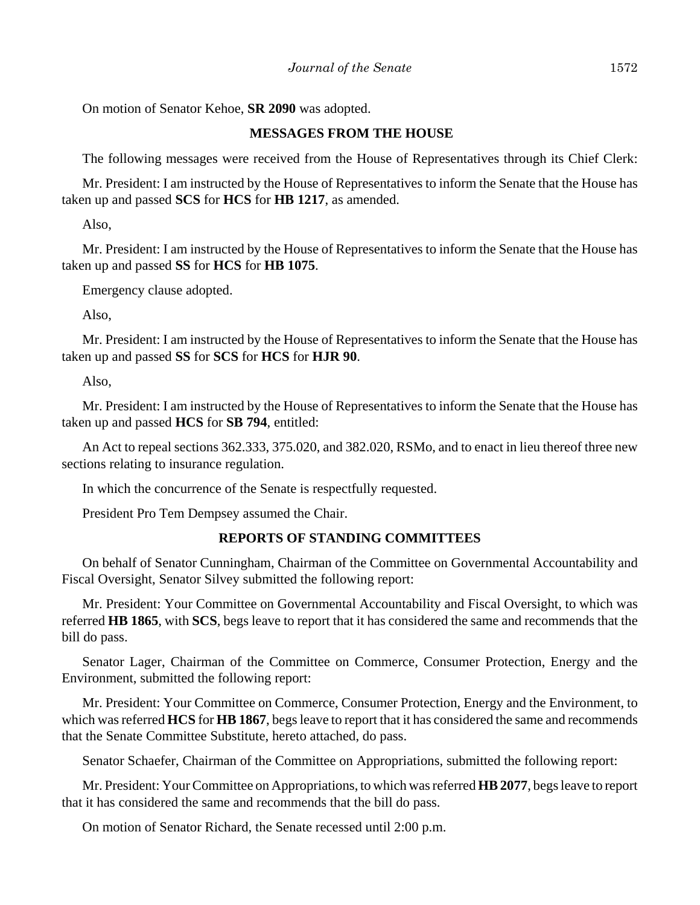On motion of Senator Kehoe, **SR 2090** was adopted.

## **MESSAGES FROM THE HOUSE**

The following messages were received from the House of Representatives through its Chief Clerk:

Mr. President: I am instructed by the House of Representatives to inform the Senate that the House has taken up and passed **SCS** for **HCS** for **HB 1217**, as amended.

Also,

Mr. President: I am instructed by the House of Representatives to inform the Senate that the House has taken up and passed **SS** for **HCS** for **HB 1075**.

Emergency clause adopted.

Also,

Mr. President: I am instructed by the House of Representatives to inform the Senate that the House has taken up and passed **SS** for **SCS** for **HCS** for **HJR 90**.

Also,

Mr. President: I am instructed by the House of Representatives to inform the Senate that the House has taken up and passed **HCS** for **SB 794**, entitled:

An Act to repeal sections 362.333, 375.020, and 382.020, RSMo, and to enact in lieu thereof three new sections relating to insurance regulation.

In which the concurrence of the Senate is respectfully requested.

President Pro Tem Dempsey assumed the Chair.

## **REPORTS OF STANDING COMMITTEES**

On behalf of Senator Cunningham, Chairman of the Committee on Governmental Accountability and Fiscal Oversight, Senator Silvey submitted the following report:

Mr. President: Your Committee on Governmental Accountability and Fiscal Oversight, to which was referred **HB 1865**, with **SCS**, begs leave to report that it has considered the same and recommends that the bill do pass.

Senator Lager, Chairman of the Committee on Commerce, Consumer Protection, Energy and the Environment, submitted the following report:

Mr. President: Your Committee on Commerce, Consumer Protection, Energy and the Environment, to which was referred **HCS** for **HB 1867**, begs leave to report that it has considered the same and recommends that the Senate Committee Substitute, hereto attached, do pass.

Senator Schaefer, Chairman of the Committee on Appropriations, submitted the following report:

Mr. President: Your Committee on Appropriations, to which was referred **HB 2077**, begs leave to report that it has considered the same and recommends that the bill do pass.

On motion of Senator Richard, the Senate recessed until 2:00 p.m.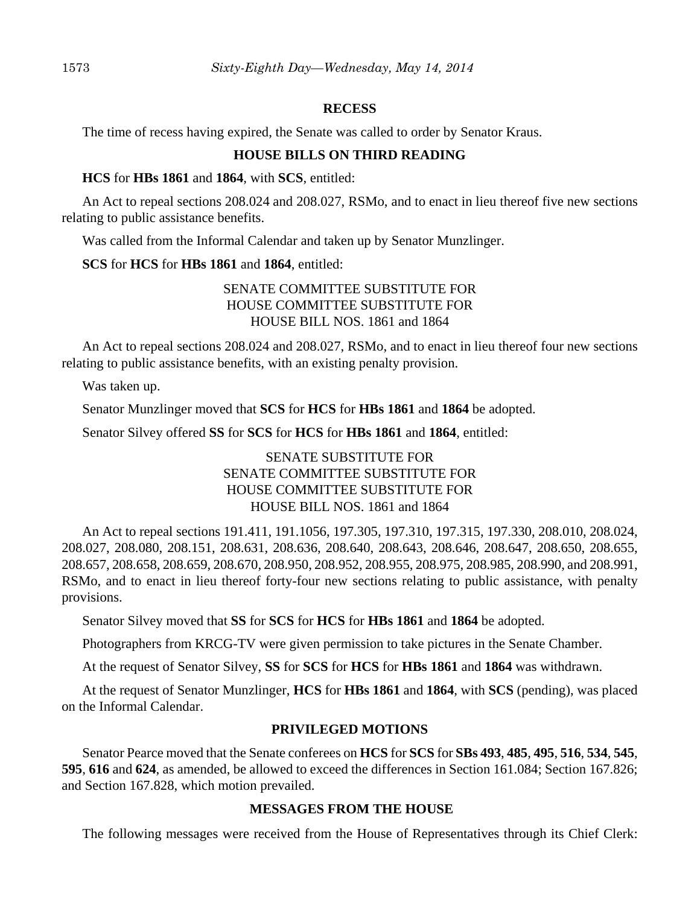#### **RECESS**

The time of recess having expired, the Senate was called to order by Senator Kraus.

## **HOUSE BILLS ON THIRD READING**

#### **HCS** for **HBs 1861** and **1864**, with **SCS**, entitled:

An Act to repeal sections 208.024 and 208.027, RSMo, and to enact in lieu thereof five new sections relating to public assistance benefits.

Was called from the Informal Calendar and taken up by Senator Munzlinger.

## **SCS** for **HCS** for **HBs 1861** and **1864**, entitled:

## SENATE COMMITTEE SUBSTITUTE FOR HOUSE COMMITTEE SUBSTITUTE FOR HOUSE BILL NOS. 1861 and 1864

An Act to repeal sections 208.024 and 208.027, RSMo, and to enact in lieu thereof four new sections relating to public assistance benefits, with an existing penalty provision.

Was taken up.

Senator Munzlinger moved that **SCS** for **HCS** for **HBs 1861** and **1864** be adopted.

Senator Silvey offered **SS** for **SCS** for **HCS** for **HBs 1861** and **1864**, entitled:

# SENATE SUBSTITUTE FOR SENATE COMMITTEE SUBSTITUTE FOR HOUSE COMMITTEE SUBSTITUTE FOR HOUSE BILL NOS. 1861 and 1864

An Act to repeal sections 191.411, 191.1056, 197.305, 197.310, 197.315, 197.330, 208.010, 208.024, 208.027, 208.080, 208.151, 208.631, 208.636, 208.640, 208.643, 208.646, 208.647, 208.650, 208.655, 208.657, 208.658, 208.659, 208.670, 208.950, 208.952, 208.955, 208.975, 208.985, 208.990, and 208.991, RSMo, and to enact in lieu thereof forty-four new sections relating to public assistance, with penalty provisions.

Senator Silvey moved that **SS** for **SCS** for **HCS** for **HBs 1861** and **1864** be adopted.

Photographers from KRCG-TV were given permission to take pictures in the Senate Chamber.

At the request of Senator Silvey, **SS** for **SCS** for **HCS** for **HBs 1861** and **1864** was withdrawn.

At the request of Senator Munzlinger, **HCS** for **HBs 1861** and **1864**, with **SCS** (pending), was placed on the Informal Calendar.

## **PRIVILEGED MOTIONS**

Senator Pearce moved that the Senate conferees on **HCS** for **SCS** for **SBs 493**, **485**, **495**, **516**, **534**, **545**, **595**, **616** and **624**, as amended, be allowed to exceed the differences in Section 161.084; Section 167.826; and Section 167.828, which motion prevailed.

## **MESSAGES FROM THE HOUSE**

The following messages were received from the House of Representatives through its Chief Clerk: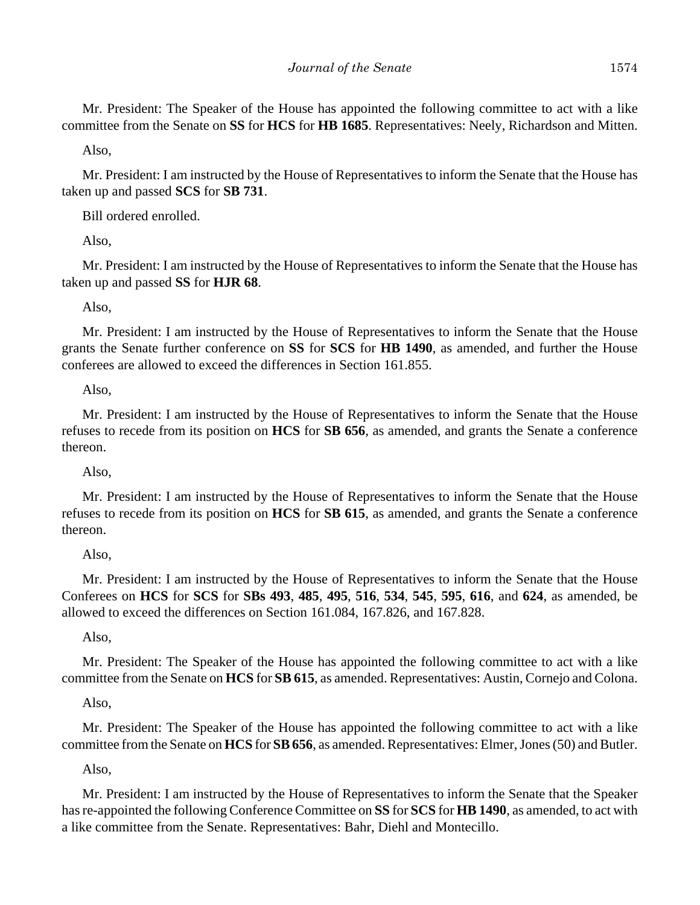Mr. President: The Speaker of the House has appointed the following committee to act with a like committee from the Senate on **SS** for **HCS** for **HB 1685**. Representatives: Neely, Richardson and Mitten.

Also,

Mr. President: I am instructed by the House of Representatives to inform the Senate that the House has taken up and passed **SCS** for **SB 731**.

Bill ordered enrolled.

Also,

Mr. President: I am instructed by the House of Representatives to inform the Senate that the House has taken up and passed **SS** for **HJR 68**.

Also,

Mr. President: I am instructed by the House of Representatives to inform the Senate that the House grants the Senate further conference on **SS** for **SCS** for **HB 1490**, as amended, and further the House conferees are allowed to exceed the differences in Section 161.855.

## Also,

Mr. President: I am instructed by the House of Representatives to inform the Senate that the House refuses to recede from its position on **HCS** for **SB 656**, as amended, and grants the Senate a conference thereon.

## Also,

Mr. President: I am instructed by the House of Representatives to inform the Senate that the House refuses to recede from its position on **HCS** for **SB 615**, as amended, and grants the Senate a conference thereon.

## Also,

Mr. President: I am instructed by the House of Representatives to inform the Senate that the House Conferees on **HCS** for **SCS** for **SBs 493**, **485**, **495**, **516**, **534**, **545**, **595**, **616**, and **624**, as amended, be allowed to exceed the differences on Section 161.084, 167.826, and 167.828.

Also,

Mr. President: The Speaker of the House has appointed the following committee to act with a like committee from the Senate on **HCS** for **SB 615**, as amended. Representatives: Austin, Cornejo and Colona.

Also,

Mr. President: The Speaker of the House has appointed the following committee to act with a like committee from the Senate on **HCS** for **SB 656**, as amended. Representatives: Elmer, Jones (50) and Butler.

Also,

Mr. President: I am instructed by the House of Representatives to inform the Senate that the Speaker has re-appointed the following Conference Committee on **SS** for **SCS** for **HB 1490**, as amended, to act with a like committee from the Senate. Representatives: Bahr, Diehl and Montecillo.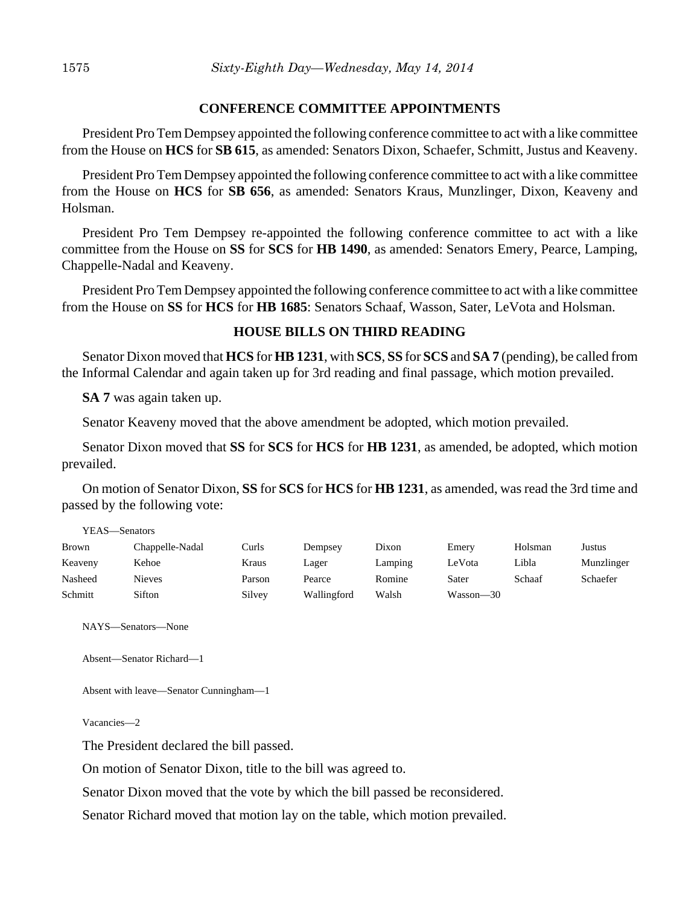#### **CONFERENCE COMMITTEE APPOINTMENTS**

President Pro Tem Dempsey appointed the following conference committee to act with a like committee from the House on **HCS** for **SB 615**, as amended: Senators Dixon, Schaefer, Schmitt, Justus and Keaveny.

President Pro Tem Dempsey appointed the following conference committee to act with a like committee from the House on **HCS** for **SB 656**, as amended: Senators Kraus, Munzlinger, Dixon, Keaveny and Holsman.

President Pro Tem Dempsey re-appointed the following conference committee to act with a like committee from the House on **SS** for **SCS** for **HB 1490**, as amended: Senators Emery, Pearce, Lamping, Chappelle-Nadal and Keaveny.

President Pro Tem Dempsey appointed the following conference committee to act with a like committee from the House on **SS** for **HCS** for **HB 1685**: Senators Schaaf, Wasson, Sater, LeVota and Holsman.

#### **HOUSE BILLS ON THIRD READING**

Senator Dixon moved that **HCS** for **HB 1231**, with **SCS**, **SS** for **SCS** and **SA 7** (pending), be called from the Informal Calendar and again taken up for 3rd reading and final passage, which motion prevailed.

**SA 7** was again taken up.

Senator Keaveny moved that the above amendment be adopted, which motion prevailed.

Senator Dixon moved that **SS** for **SCS** for **HCS** for **HB 1231**, as amended, be adopted, which motion prevailed.

On motion of Senator Dixon, **SS** for **SCS** for **HCS** for **HB 1231**, as amended, was read the 3rd time and passed by the following vote:

| YEAS—Senators |                 |        |             |         |           |         |            |  |
|---------------|-----------------|--------|-------------|---------|-----------|---------|------------|--|
| Brown         | Chappelle-Nadal | Curls  | Dempsey     | Dixon   | Emery     | Holsman | Justus     |  |
| Keaveny       | Kehoe           | Kraus  | Lager       | Lamping | LeVota    | Libla   | Munzlinger |  |
| Nasheed       | <b>Nieves</b>   | Parson | Pearce      | Romine  | Sater     | Schaaf  | Schaefer   |  |
| Schmitt       | Sifton          | Silvey | Wallingford | Walsh   | Wasson—30 |         |            |  |

NAYS—Senators—None

```
Absent—Senator Richard—1
```

```
Absent with leave—Senator Cunningham—1
```
Vacancies—2

The President declared the bill passed.

On motion of Senator Dixon, title to the bill was agreed to.

Senator Dixon moved that the vote by which the bill passed be reconsidered.

Senator Richard moved that motion lay on the table, which motion prevailed.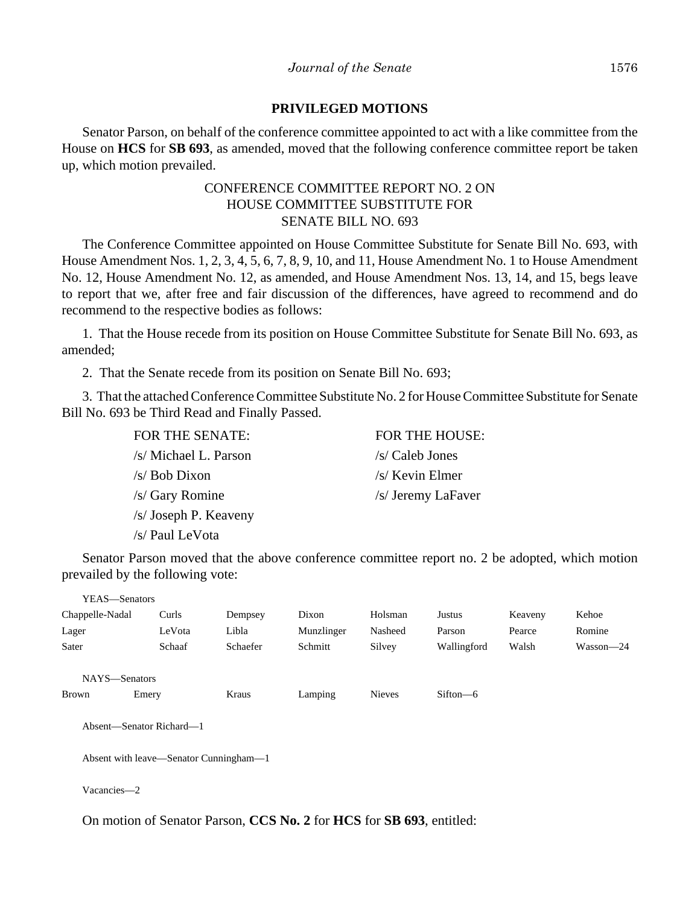### **PRIVILEGED MOTIONS**

Senator Parson, on behalf of the conference committee appointed to act with a like committee from the House on **HCS** for **SB 693**, as amended, moved that the following conference committee report be taken up, which motion prevailed.

# CONFERENCE COMMITTEE REPORT NO. 2 ON HOUSE COMMITTEE SUBSTITUTE FOR SENATE BILL NO. 693

The Conference Committee appointed on House Committee Substitute for Senate Bill No. 693, with House Amendment Nos. 1, 2, 3, 4, 5, 6, 7, 8, 9, 10, and 11, House Amendment No. 1 to House Amendment No. 12, House Amendment No. 12, as amended, and House Amendment Nos. 13, 14, and 15, begs leave to report that we, after free and fair discussion of the differences, have agreed to recommend and do recommend to the respective bodies as follows:

1. That the House recede from its position on House Committee Substitute for Senate Bill No. 693, as amended;

2. That the Senate recede from its position on Senate Bill No. 693;

3. That the attached Conference Committee Substitute No. 2 for House Committee Substitute for Senate Bill No. 693 be Third Read and Finally Passed.

| <b>FOR THE HOUSE:</b> |
|-----------------------|
| /s/ Caleb Jones       |
| /s/ Kevin Elmer       |
| /s/ Jeremy LaFaver    |
|                       |
|                       |
|                       |

Senator Parson moved that the above conference committee report no. 2 be adopted, which motion prevailed by the following vote:

| YEAS-Senators                          |        |          |            |               |              |         |           |
|----------------------------------------|--------|----------|------------|---------------|--------------|---------|-----------|
| Chappelle-Nadal                        | Curls  | Dempsey  | Dixon      | Holsman       | Justus       | Keaveny | Kehoe     |
| Lager                                  | LeVota | Libla    | Munzlinger | Nasheed       | Parson       | Pearce  | Romine    |
| Sater                                  | Schaaf | Schaefer | Schmitt    | Silvey        | Wallingford  | Walsh   | Wasson-24 |
| NAYS-Senators                          |        |          |            |               |              |         |           |
| <b>Brown</b>                           | Emery  | Kraus    | Lamping    | <b>Nieves</b> | $Sifton - 6$ |         |           |
| Absent—Senator Richard—1               |        |          |            |               |              |         |           |
| Absent with leave—Senator Cunningham—1 |        |          |            |               |              |         |           |
|                                        |        |          |            |               |              |         |           |

Vacancies—2

On motion of Senator Parson, **CCS No. 2** for **HCS** for **SB 693**, entitled: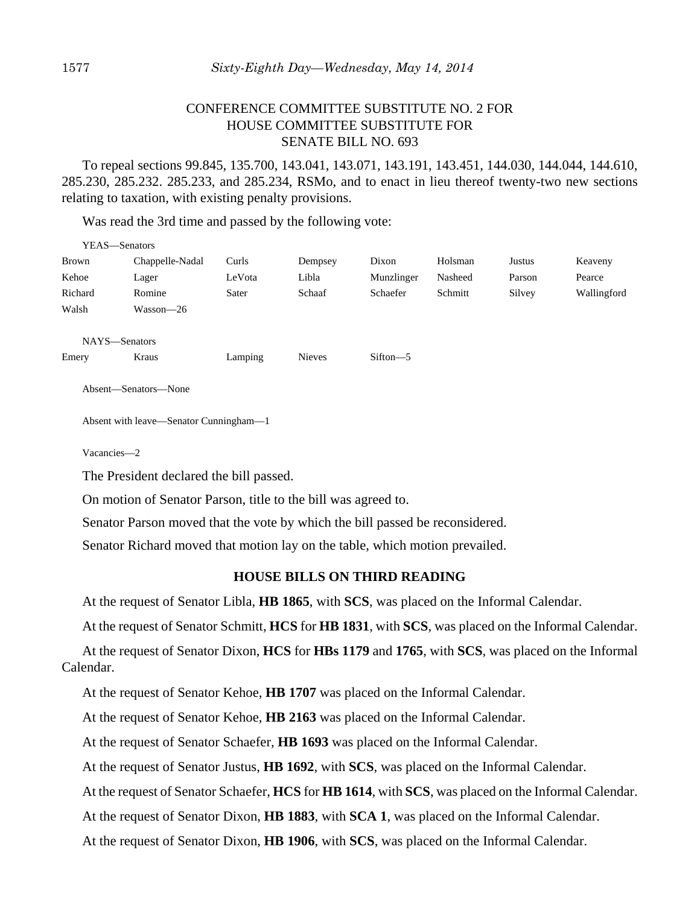# CONFERENCE COMMITTEE SUBSTITUTE NO. 2 FOR HOUSE COMMITTEE SUBSTITUTE FOR SENATE BILL NO. 693

To repeal sections 99.845, 135.700, 143.041, 143.071, 143.191, 143.451, 144.030, 144.044, 144.610, 285.230, 285.232. 285.233, and 285.234, RSMo, and to enact in lieu thereof twenty-two new sections relating to taxation, with existing penalty provisions.

Was read the 3rd time and passed by the following vote:

| YEAS-Senators        |                                                               |         |               |            |         |        |             |  |
|----------------------|---------------------------------------------------------------|---------|---------------|------------|---------|--------|-------------|--|
| Brown                | Chappelle-Nadal                                               | Curls   | Dempsey       | Dixon      | Holsman | Justus | Keaveny     |  |
| Kehoe                | Lager                                                         | LeVota  | Libla         | Munzlinger | Nasheed | Parson | Pearce      |  |
| Richard              | Romine                                                        | Sater   | Schaaf        | Schaefer   | Schmitt | Silvey | Wallingford |  |
| Walsh                | Wasson-26                                                     |         |               |            |         |        |             |  |
|                      |                                                               |         |               |            |         |        |             |  |
| NAYS-Senators        |                                                               |         |               |            |         |        |             |  |
| Emery                | Kraus                                                         | Lamping | <b>Nieves</b> | Sifton-5   |         |        |             |  |
| Absent-Senators-None |                                                               |         |               |            |         |        |             |  |
|                      | Absent with leave—Senator Cunningham—1                        |         |               |            |         |        |             |  |
| Vacancies-2          |                                                               |         |               |            |         |        |             |  |
|                      | The President declared the bill passed.                       |         |               |            |         |        |             |  |
|                      | On motion of Senator Parson, title to the bill was agreed to. |         |               |            |         |        |             |  |

Senator Parson moved that the vote by which the bill passed be reconsidered.

Senator Richard moved that motion lay on the table, which motion prevailed.

#### **HOUSE BILLS ON THIRD READING**

At the request of Senator Libla, **HB 1865**, with **SCS**, was placed on the Informal Calendar.

At the request of Senator Schmitt, **HCS** for **HB 1831**, with **SCS**, was placed on the Informal Calendar.

At the request of Senator Dixon, **HCS** for **HBs 1179** and **1765**, with **SCS**, was placed on the Informal Calendar.

At the request of Senator Kehoe, **HB 1707** was placed on the Informal Calendar.

At the request of Senator Kehoe, **HB 2163** was placed on the Informal Calendar.

At the request of Senator Schaefer, **HB 1693** was placed on the Informal Calendar.

At the request of Senator Justus, **HB 1692**, with **SCS**, was placed on the Informal Calendar.

At the request of Senator Schaefer, **HCS** for **HB 1614**, with **SCS**, was placed on the Informal Calendar.

At the request of Senator Dixon, **HB 1883**, with **SCA 1**, was placed on the Informal Calendar.

At the request of Senator Dixon, **HB 1906**, with **SCS**, was placed on the Informal Calendar.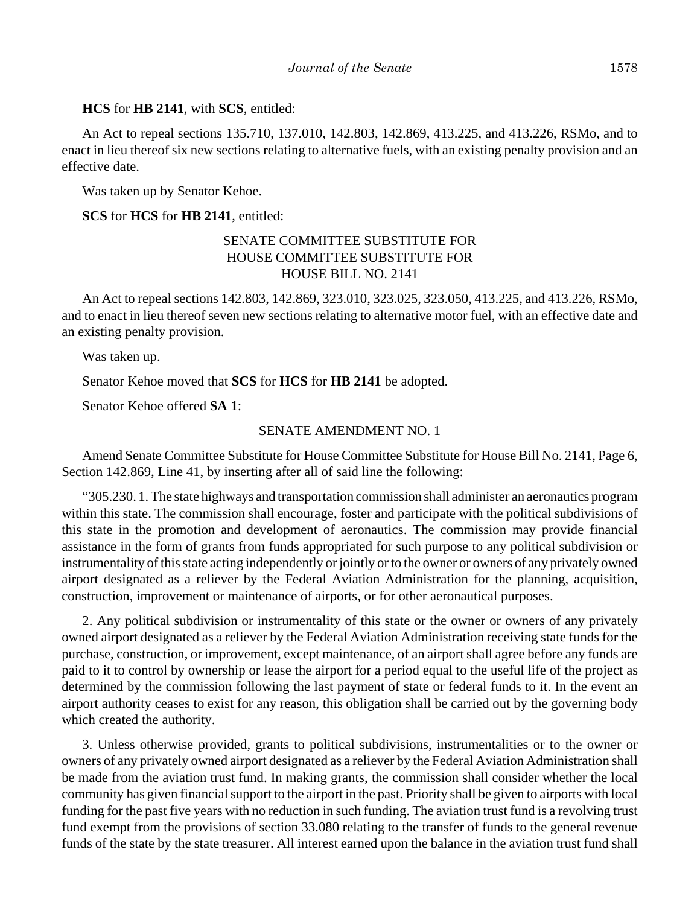#### **HCS** for **HB 2141**, with **SCS**, entitled:

An Act to repeal sections 135.710, 137.010, 142.803, 142.869, 413.225, and 413.226, RSMo, and to enact in lieu thereof six new sections relating to alternative fuels, with an existing penalty provision and an effective date.

Was taken up by Senator Kehoe.

### **SCS** for **HCS** for **HB 2141**, entitled:

# SENATE COMMITTEE SUBSTITUTE FOR HOUSE COMMITTEE SUBSTITUTE FOR HOUSE BILL NO. 2141

An Act to repeal sections 142.803, 142.869, 323.010, 323.025, 323.050, 413.225, and 413.226, RSMo, and to enact in lieu thereof seven new sections relating to alternative motor fuel, with an effective date and an existing penalty provision.

Was taken up.

Senator Kehoe moved that **SCS** for **HCS** for **HB 2141** be adopted.

Senator Kehoe offered **SA 1**:

### SENATE AMENDMENT NO. 1

Amend Senate Committee Substitute for House Committee Substitute for House Bill No. 2141, Page 6, Section 142.869, Line 41, by inserting after all of said line the following:

"305.230. 1. The state highways and transportation commission shall administer an aeronautics program within this state. The commission shall encourage, foster and participate with the political subdivisions of this state in the promotion and development of aeronautics. The commission may provide financial assistance in the form of grants from funds appropriated for such purpose to any political subdivision or instrumentality of this state acting independently or jointly or to the owner or owners of any privately owned airport designated as a reliever by the Federal Aviation Administration for the planning, acquisition, construction, improvement or maintenance of airports, or for other aeronautical purposes.

2. Any political subdivision or instrumentality of this state or the owner or owners of any privately owned airport designated as a reliever by the Federal Aviation Administration receiving state funds for the purchase, construction, or improvement, except maintenance, of an airport shall agree before any funds are paid to it to control by ownership or lease the airport for a period equal to the useful life of the project as determined by the commission following the last payment of state or federal funds to it. In the event an airport authority ceases to exist for any reason, this obligation shall be carried out by the governing body which created the authority.

3. Unless otherwise provided, grants to political subdivisions, instrumentalities or to the owner or owners of any privately owned airport designated as a reliever by the Federal Aviation Administration shall be made from the aviation trust fund. In making grants, the commission shall consider whether the local community has given financial support to the airport in the past. Priority shall be given to airports with local funding for the past five years with no reduction in such funding. The aviation trust fund is a revolving trust fund exempt from the provisions of section 33.080 relating to the transfer of funds to the general revenue funds of the state by the state treasurer. All interest earned upon the balance in the aviation trust fund shall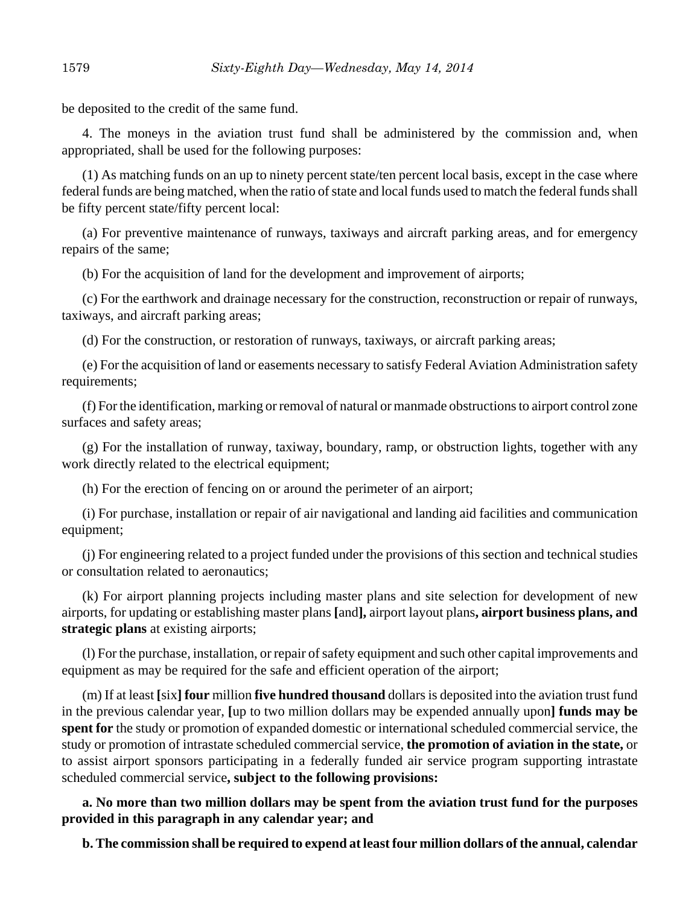be deposited to the credit of the same fund.

4. The moneys in the aviation trust fund shall be administered by the commission and, when appropriated, shall be used for the following purposes:

(1) As matching funds on an up to ninety percent state/ten percent local basis, except in the case where federal funds are being matched, when the ratio of state and local funds used to match the federal funds shall be fifty percent state/fifty percent local:

(a) For preventive maintenance of runways, taxiways and aircraft parking areas, and for emergency repairs of the same;

(b) For the acquisition of land for the development and improvement of airports;

(c) For the earthwork and drainage necessary for the construction, reconstruction or repair of runways, taxiways, and aircraft parking areas;

(d) For the construction, or restoration of runways, taxiways, or aircraft parking areas;

(e) For the acquisition of land or easements necessary to satisfy Federal Aviation Administration safety requirements;

(f) For the identification, marking or removal of natural or manmade obstructions to airport control zone surfaces and safety areas;

(g) For the installation of runway, taxiway, boundary, ramp, or obstruction lights, together with any work directly related to the electrical equipment;

(h) For the erection of fencing on or around the perimeter of an airport;

(i) For purchase, installation or repair of air navigational and landing aid facilities and communication equipment;

(j) For engineering related to a project funded under the provisions of this section and technical studies or consultation related to aeronautics;

(k) For airport planning projects including master plans and site selection for development of new airports, for updating or establishing master plans **[**and**],** airport layout plans**, airport business plans, and strategic plans** at existing airports;

(l) For the purchase, installation, or repair of safety equipment and such other capital improvements and equipment as may be required for the safe and efficient operation of the airport;

(m) If at least **[**six**] four** million **five hundred thousand** dollars is deposited into the aviation trust fund in the previous calendar year, **[**up to two million dollars may be expended annually upon**] funds may be spent for** the study or promotion of expanded domestic or international scheduled commercial service, the study or promotion of intrastate scheduled commercial service, **the promotion of aviation in the state,** or to assist airport sponsors participating in a federally funded air service program supporting intrastate scheduled commercial service**, subject to the following provisions:**

**a. No more than two million dollars may be spent from the aviation trust fund for the purposes provided in this paragraph in any calendar year; and**

**b. The commission shall be required to expend at least four million dollars of the annual, calendar**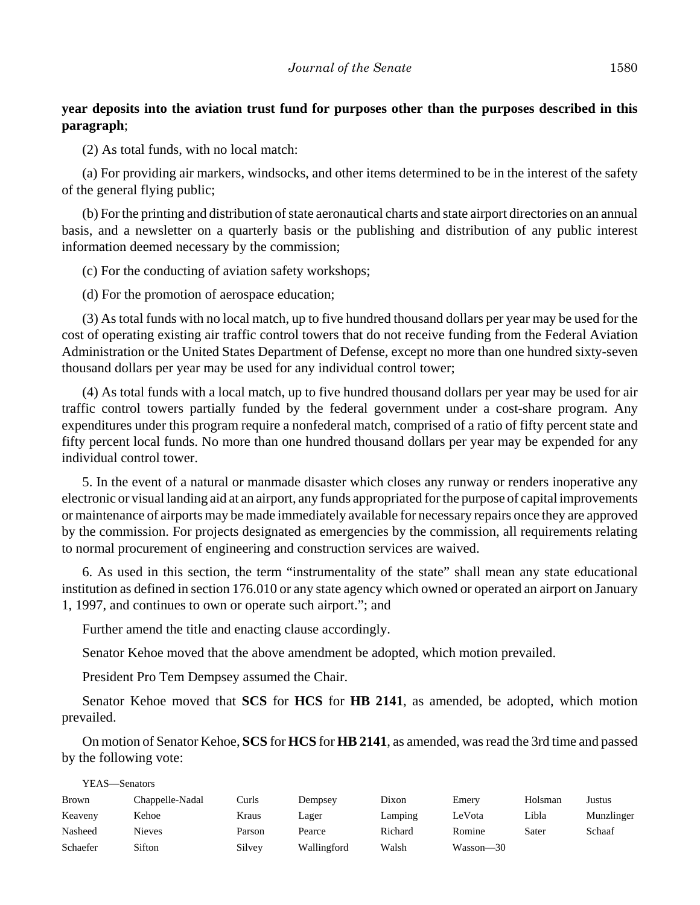# **year deposits into the aviation trust fund for purposes other than the purposes described in this paragraph**;

(2) As total funds, with no local match:

(a) For providing air markers, windsocks, and other items determined to be in the interest of the safety of the general flying public;

(b) For the printing and distribution of state aeronautical charts and state airport directories on an annual basis, and a newsletter on a quarterly basis or the publishing and distribution of any public interest information deemed necessary by the commission;

(c) For the conducting of aviation safety workshops;

(d) For the promotion of aerospace education;

(3) As total funds with no local match, up to five hundred thousand dollars per year may be used for the cost of operating existing air traffic control towers that do not receive funding from the Federal Aviation Administration or the United States Department of Defense, except no more than one hundred sixty-seven thousand dollars per year may be used for any individual control tower;

(4) As total funds with a local match, up to five hundred thousand dollars per year may be used for air traffic control towers partially funded by the federal government under a cost-share program. Any expenditures under this program require a nonfederal match, comprised of a ratio of fifty percent state and fifty percent local funds. No more than one hundred thousand dollars per year may be expended for any individual control tower.

5. In the event of a natural or manmade disaster which closes any runway or renders inoperative any electronic or visual landing aid at an airport, any funds appropriated for the purpose of capital improvements or maintenance of airports may be made immediately available for necessary repairs once they are approved by the commission. For projects designated as emergencies by the commission, all requirements relating to normal procurement of engineering and construction services are waived.

6. As used in this section, the term "instrumentality of the state" shall mean any state educational institution as defined in section 176.010 or any state agency which owned or operated an airport on January 1, 1997, and continues to own or operate such airport."; and

Further amend the title and enacting clause accordingly.

Senator Kehoe moved that the above amendment be adopted, which motion prevailed.

President Pro Tem Dempsey assumed the Chair.

 $\overline{y}$ 

Senator Kehoe moved that **SCS** for **HCS** for **HB 2141**, as amended, be adopted, which motion prevailed.

On motion of Senator Kehoe, **SCS** for **HCS** for **HB 2141**, as amended, was read the 3rd time and passed by the following vote:

| YEAS—Senators |                 |        |             |         |           |         |            |
|---------------|-----------------|--------|-------------|---------|-----------|---------|------------|
| <b>Brown</b>  | Chappelle-Nadal | Curls  | Dempsey     | Dixon   | Emery     | Holsman | Justus     |
| Keaveny       | Kehoe           | Kraus  | Lager       | Lamping | LeVota    | Libla   | Munzlinger |
| Nasheed       | Nieves          | Parson | Pearce      | Richard | Romine    | Sater   | Schaaf     |
| Schaefer      | Sifton          | Silvey | Wallingford | Walsh   | Wasson-30 |         |            |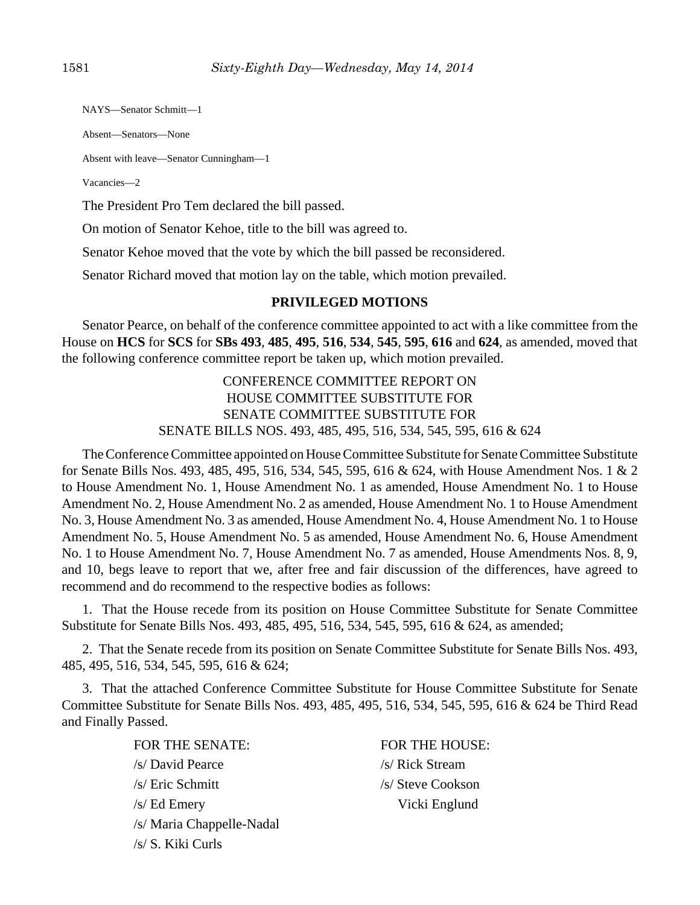NAYS—Senator Schmitt—1

Absent—Senators—None

Absent with leave—Senator Cunningham—1

Vacancies—2

The President Pro Tem declared the bill passed.

On motion of Senator Kehoe, title to the bill was agreed to.

Senator Kehoe moved that the vote by which the bill passed be reconsidered.

Senator Richard moved that motion lay on the table, which motion prevailed.

## **PRIVILEGED MOTIONS**

Senator Pearce, on behalf of the conference committee appointed to act with a like committee from the House on **HCS** for **SCS** for **SBs 493**, **485**, **495**, **516**, **534**, **545**, **595**, **616** and **624**, as amended, moved that the following conference committee report be taken up, which motion prevailed.

> CONFERENCE COMMITTEE REPORT ON HOUSE COMMITTEE SUBSTITUTE FOR SENATE COMMITTEE SUBSTITUTE FOR SENATE BILLS NOS. 493, 485, 495, 516, 534, 545, 595, 616 & 624

The Conference Committee appointed on House Committee Substitute for Senate Committee Substitute for Senate Bills Nos. 493, 485, 495, 516, 534, 545, 595, 616 & 624, with House Amendment Nos. 1 & 2 to House Amendment No. 1, House Amendment No. 1 as amended, House Amendment No. 1 to House Amendment No. 2, House Amendment No. 2 as amended, House Amendment No. 1 to House Amendment No. 3, House Amendment No. 3 as amended, House Amendment No. 4, House Amendment No. 1 to House Amendment No. 5, House Amendment No. 5 as amended, House Amendment No. 6, House Amendment No. 1 to House Amendment No. 7, House Amendment No. 7 as amended, House Amendments Nos. 8, 9, and 10, begs leave to report that we, after free and fair discussion of the differences, have agreed to recommend and do recommend to the respective bodies as follows:

1. That the House recede from its position on House Committee Substitute for Senate Committee Substitute for Senate Bills Nos. 493, 485, 495, 516, 534, 545, 595, 616 & 624, as amended;

2. That the Senate recede from its position on Senate Committee Substitute for Senate Bills Nos. 493, 485, 495, 516, 534, 545, 595, 616 & 624;

3. That the attached Conference Committee Substitute for House Committee Substitute for Senate Committee Substitute for Senate Bills Nos. 493, 485, 495, 516, 534, 545, 595, 616 & 624 be Third Read and Finally Passed.

> FOR THE SENATE: FOR THE HOUSE: /s/ David Pearce /s/ Rick Stream /s/ Eric Schmitt /s/ Steve Cookson /s/ Ed Emery Vicki Englund /s/ Maria Chappelle-Nadal /s/ S. Kiki Curls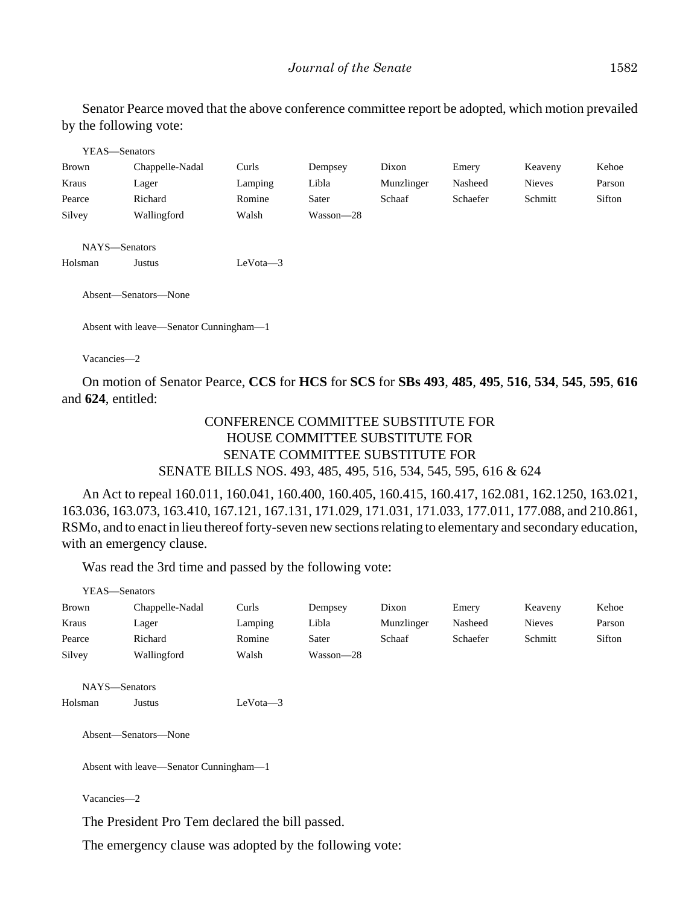Senator Pearce moved that the above conference committee report be adopted, which motion prevailed by the following vote:

| YEAS-Senators            |                                        |            |           |            |          |               |        |
|--------------------------|----------------------------------------|------------|-----------|------------|----------|---------------|--------|
| <b>Brown</b>             | Chappelle-Nadal                        | Curls      | Dempsey   | Dixon      | Emery    | Keaveny       | Kehoe  |
| Kraus                    | Lager                                  | Lamping    | Libla     | Munzlinger | Nasheed  | <b>Nieves</b> | Parson |
| Pearce                   | Richard                                | Romine     | Sater     | Schaaf     | Schaefer | Schmitt       | Sifton |
| Silvey                   | Wallingford                            | Walsh      | Wasson-28 |            |          |               |        |
| NAYS-Senators<br>Holsman | Justus                                 | $LeVota-3$ |           |            |          |               |        |
|                          |                                        |            |           |            |          |               |        |
|                          | Absent—Senators—None                   |            |           |            |          |               |        |
|                          | Absent with leave—Senator Cunningham—1 |            |           |            |          |               |        |

Vacancies—2

On motion of Senator Pearce, **CCS** for **HCS** for **SCS** for **SBs 493**, **485**, **495**, **516**, **534**, **545**, **595**, **616** and **624**, entitled:

# CONFERENCE COMMITTEE SUBSTITUTE FOR HOUSE COMMITTEE SUBSTITUTE FOR SENATE COMMITTEE SUBSTITUTE FOR SENATE BILLS NOS. 493, 485, 495, 516, 534, 545, 595, 616 & 624

An Act to repeal 160.011, 160.041, 160.400, 160.405, 160.415, 160.417, 162.081, 162.1250, 163.021, 163.036, 163.073, 163.410, 167.121, 167.131, 171.029, 171.031, 171.033, 177.011, 177.088, and 210.861, RSMo, and to enact in lieu thereof forty-seven new sections relating to elementary and secondary education, with an emergency clause.

Was read the 3rd time and passed by the following vote:

| YEAS—Senators |                 |         |           |            |          |               |        |
|---------------|-----------------|---------|-----------|------------|----------|---------------|--------|
| <b>Brown</b>  | Chappelle-Nadal | Curls   | Dempsey   | Dixon      | Emery    | Keaveny       | Kehoe  |
| Kraus         | Lager           | Lamping | Libla     | Munzlinger | Nasheed  | <b>Nieves</b> | Parson |
| Pearce        | Richard         | Romine  | Sater     | Schaaf     | Schaefer | Schmitt       | Sifton |
| Silvey        | Wallingford     | Walsh   | Wasson—28 |            |          |               |        |

NAYS—Senators Holsman Justus LeVota—3

Absent—Senators—None

Absent with leave—Senator Cunningham—1

Vacancies—2

The President Pro Tem declared the bill passed.

The emergency clause was adopted by the following vote: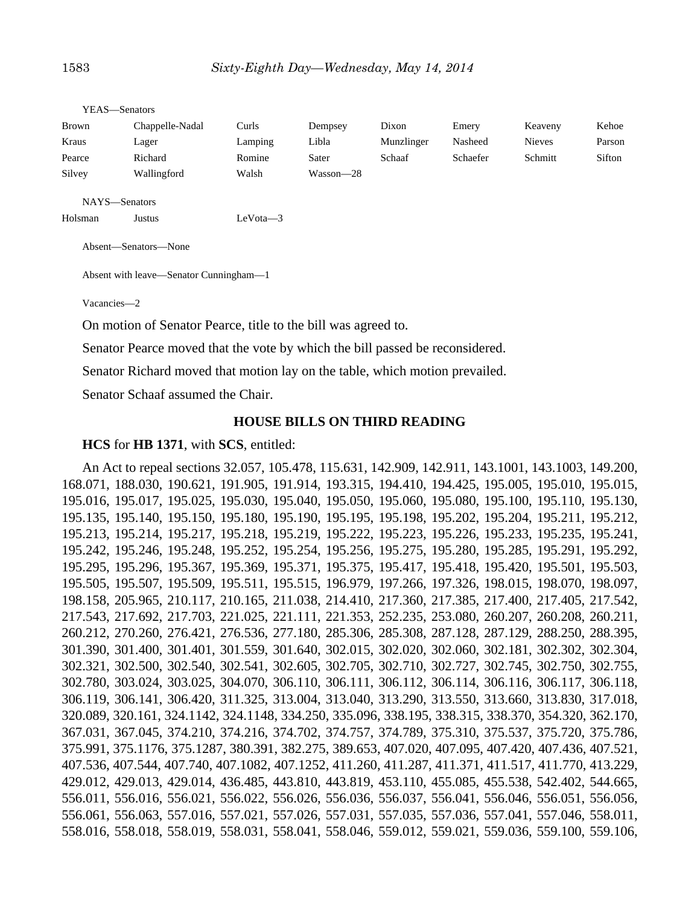|              | YEAS—Senators   |         |           |            |          |               |        |
|--------------|-----------------|---------|-----------|------------|----------|---------------|--------|
| <b>Brown</b> | Chappelle-Nadal | Curls   | Dempsey   | Dixon      | Emery    | Keaveny       | Kehoe  |
| Kraus        | Lager           | Lamping | Libla     | Munzlinger | Nasheed  | <b>Nieves</b> | Parson |
| Pearce       | Richard         | Romine  | Sater     | Schaaf     | Schaefer | Schmitt       | Sifton |
| Silvey       | Wallingford     | Walsh   | Wasson—28 |            |          |               |        |
|              |                 |         |           |            |          |               |        |
|              | NAYS-Senators   |         |           |            |          |               |        |

Holsman Justus LeVota—3

Absent—Senators—None

Absent with leave—Senator Cunningham—1

Vacancies—2

On motion of Senator Pearce, title to the bill was agreed to.

Senator Pearce moved that the vote by which the bill passed be reconsidered.

Senator Richard moved that motion lay on the table, which motion prevailed.

Senator Schaaf assumed the Chair.

#### **HOUSE BILLS ON THIRD READING**

#### **HCS** for **HB 1371**, with **SCS**, entitled:

An Act to repeal sections 32.057, 105.478, 115.631, 142.909, 142.911, 143.1001, 143.1003, 149.200, 168.071, 188.030, 190.621, 191.905, 191.914, 193.315, 194.410, 194.425, 195.005, 195.010, 195.015, 195.016, 195.017, 195.025, 195.030, 195.040, 195.050, 195.060, 195.080, 195.100, 195.110, 195.130, 195.135, 195.140, 195.150, 195.180, 195.190, 195.195, 195.198, 195.202, 195.204, 195.211, 195.212, 195.213, 195.214, 195.217, 195.218, 195.219, 195.222, 195.223, 195.226, 195.233, 195.235, 195.241, 195.242, 195.246, 195.248, 195.252, 195.254, 195.256, 195.275, 195.280, 195.285, 195.291, 195.292, 195.295, 195.296, 195.367, 195.369, 195.371, 195.375, 195.417, 195.418, 195.420, 195.501, 195.503, 195.505, 195.507, 195.509, 195.511, 195.515, 196.979, 197.266, 197.326, 198.015, 198.070, 198.097, 198.158, 205.965, 210.117, 210.165, 211.038, 214.410, 217.360, 217.385, 217.400, 217.405, 217.542, 217.543, 217.692, 217.703, 221.025, 221.111, 221.353, 252.235, 253.080, 260.207, 260.208, 260.211, 260.212, 270.260, 276.421, 276.536, 277.180, 285.306, 285.308, 287.128, 287.129, 288.250, 288.395, 301.390, 301.400, 301.401, 301.559, 301.640, 302.015, 302.020, 302.060, 302.181, 302.302, 302.304, 302.321, 302.500, 302.540, 302.541, 302.605, 302.705, 302.710, 302.727, 302.745, 302.750, 302.755, 302.780, 303.024, 303.025, 304.070, 306.110, 306.111, 306.112, 306.114, 306.116, 306.117, 306.118, 306.119, 306.141, 306.420, 311.325, 313.004, 313.040, 313.290, 313.550, 313.660, 313.830, 317.018, 320.089, 320.161, 324.1142, 324.1148, 334.250, 335.096, 338.195, 338.315, 338.370, 354.320, 362.170, 367.031, 367.045, 374.210, 374.216, 374.702, 374.757, 374.789, 375.310, 375.537, 375.720, 375.786, 375.991, 375.1176, 375.1287, 380.391, 382.275, 389.653, 407.020, 407.095, 407.420, 407.436, 407.521, 407.536, 407.544, 407.740, 407.1082, 407.1252, 411.260, 411.287, 411.371, 411.517, 411.770, 413.229, 429.012, 429.013, 429.014, 436.485, 443.810, 443.819, 453.110, 455.085, 455.538, 542.402, 544.665, 556.011, 556.016, 556.021, 556.022, 556.026, 556.036, 556.037, 556.041, 556.046, 556.051, 556.056, 556.061, 556.063, 557.016, 557.021, 557.026, 557.031, 557.035, 557.036, 557.041, 557.046, 558.011, 558.016, 558.018, 558.019, 558.031, 558.041, 558.046, 559.012, 559.021, 559.036, 559.100, 559.106,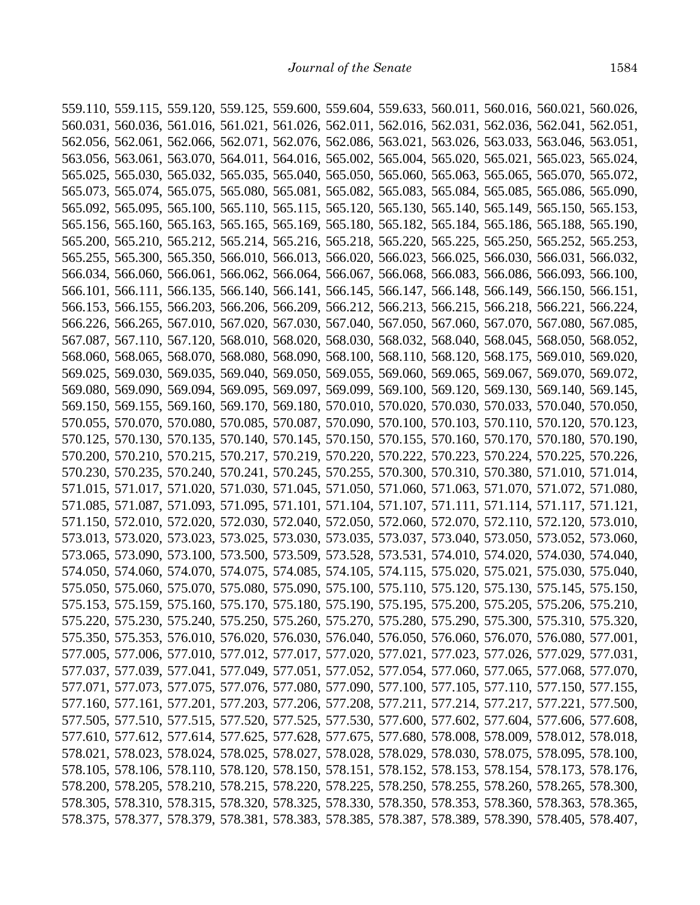559.110, 559.115, 559.120, 559.125, 559.600, 559.604, 559.633, 560.011, 560.016, 560.021, 560.026, 560.031, 560.036, 561.016, 561.021, 561.026, 562.011, 562.016, 562.031, 562.036, 562.041, 562.051, 562.056, 562.061, 562.066, 562.071, 562.076, 562.086, 563.021, 563.026, 563.033, 563.046, 563.051, 563.056, 563.061, 563.070, 564.011, 564.016, 565.002, 565.004, 565.020, 565.021, 565.023, 565.024, 565.025, 565.030, 565.032, 565.035, 565.040, 565.050, 565.060, 565.063, 565.065, 565.070, 565.072, 565.073, 565.074, 565.075, 565.080, 565.081, 565.082, 565.083, 565.084, 565.085, 565.086, 565.090, 565.092, 565.095, 565.100, 565.110, 565.115, 565.120, 565.130, 565.140, 565.149, 565.150, 565.153, 565.156, 565.160, 565.163, 565.165, 565.169, 565.180, 565.182, 565.184, 565.186, 565.188, 565.190, 565.200, 565.210, 565.212, 565.214, 565.216, 565.218, 565.220, 565.225, 565.250, 565.252, 565.253, 565.255, 565.300, 565.350, 566.010, 566.013, 566.020, 566.023, 566.025, 566.030, 566.031, 566.032, 566.034, 566.060, 566.061, 566.062, 566.064, 566.067, 566.068, 566.083, 566.086, 566.093, 566.100, 566.101, 566.111, 566.135, 566.140, 566.141, 566.145, 566.147, 566.148, 566.149, 566.150, 566.151, 566.153, 566.155, 566.203, 566.206, 566.209, 566.212, 566.213, 566.215, 566.218, 566.221, 566.224, 566.226, 566.265, 567.010, 567.020, 567.030, 567.040, 567.050, 567.060, 567.070, 567.080, 567.085, 567.087, 567.110, 567.120, 568.010, 568.020, 568.030, 568.032, 568.040, 568.045, 568.050, 568.052, 568.060, 568.065, 568.070, 568.080, 568.090, 568.100, 568.110, 568.120, 568.175, 569.010, 569.020, 569.025, 569.030, 569.035, 569.040, 569.050, 569.055, 569.060, 569.065, 569.067, 569.070, 569.072, 569.080, 569.090, 569.094, 569.095, 569.097, 569.099, 569.100, 569.120, 569.130, 569.140, 569.145, 569.150, 569.155, 569.160, 569.170, 569.180, 570.010, 570.020, 570.030, 570.033, 570.040, 570.050, 570.055, 570.070, 570.080, 570.085, 570.087, 570.090, 570.100, 570.103, 570.110, 570.120, 570.123, 570.125, 570.130, 570.135, 570.140, 570.145, 570.150, 570.155, 570.160, 570.170, 570.180, 570.190, 570.200, 570.210, 570.215, 570.217, 570.219, 570.220, 570.222, 570.223, 570.224, 570.225, 570.226, 570.230, 570.235, 570.240, 570.241, 570.245, 570.255, 570.300, 570.310, 570.380, 571.010, 571.014, 571.015, 571.017, 571.020, 571.030, 571.045, 571.050, 571.060, 571.063, 571.070, 571.072, 571.080, 571.085, 571.087, 571.093, 571.095, 571.101, 571.104, 571.107, 571.111, 571.114, 571.117, 571.121, 571.150, 572.010, 572.020, 572.030, 572.040, 572.050, 572.060, 572.070, 572.110, 572.120, 573.010, 573.013, 573.020, 573.023, 573.025, 573.030, 573.035, 573.037, 573.040, 573.050, 573.052, 573.060, 573.065, 573.090, 573.100, 573.500, 573.509, 573.528, 573.531, 574.010, 574.020, 574.030, 574.040, 574.050, 574.060, 574.070, 574.075, 574.085, 574.105, 574.115, 575.020, 575.021, 575.030, 575.040, 575.050, 575.060, 575.070, 575.080, 575.090, 575.100, 575.110, 575.120, 575.130, 575.145, 575.150, 575.153, 575.159, 575.160, 575.170, 575.180, 575.190, 575.195, 575.200, 575.205, 575.206, 575.210, 575.220, 575.230, 575.240, 575.250, 575.260, 575.270, 575.280, 575.290, 575.300, 575.310, 575.320, 575.350, 575.353, 576.010, 576.020, 576.030, 576.040, 576.050, 576.060, 576.070, 576.080, 577.001, 577.005, 577.006, 577.010, 577.012, 577.017, 577.020, 577.021, 577.023, 577.026, 577.029, 577.031, 577.037, 577.039, 577.041, 577.049, 577.051, 577.052, 577.054, 577.060, 577.065, 577.068, 577.070, 577.071, 577.073, 577.075, 577.076, 577.080, 577.090, 577.100, 577.105, 577.110, 577.150, 577.155, 577.160, 577.161, 577.201, 577.203, 577.206, 577.208, 577.211, 577.214, 577.217, 577.221, 577.500, 577.505, 577.510, 577.515, 577.520, 577.525, 577.530, 577.600, 577.602, 577.604, 577.606, 577.608, 577.610, 577.612, 577.614, 577.625, 577.628, 577.675, 577.680, 578.008, 578.009, 578.012, 578.018, 578.021, 578.023, 578.024, 578.025, 578.027, 578.028, 578.029, 578.030, 578.075, 578.095, 578.100, 578.105, 578.106, 578.110, 578.120, 578.150, 578.151, 578.152, 578.153, 578.154, 578.173, 578.176, 578.200, 578.205, 578.210, 578.215, 578.220, 578.225, 578.250, 578.255, 578.260, 578.265, 578.300, 578.305, 578.310, 578.315, 578.320, 578.325, 578.330, 578.350, 578.353, 578.360, 578.363, 578.365, 578.375, 578.377, 578.379, 578.381, 578.383, 578.385, 578.387, 578.389, 578.390, 578.405, 578.407,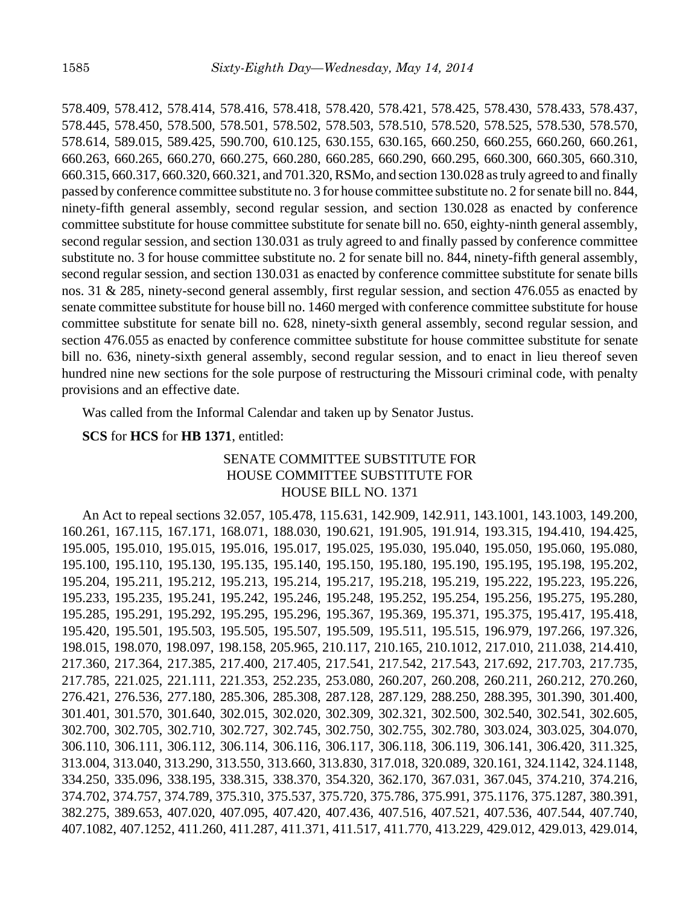578.409, 578.412, 578.414, 578.416, 578.418, 578.420, 578.421, 578.425, 578.430, 578.433, 578.437, 578.445, 578.450, 578.500, 578.501, 578.502, 578.503, 578.510, 578.520, 578.525, 578.530, 578.570, 578.614, 589.015, 589.425, 590.700, 610.125, 630.155, 630.165, 660.250, 660.255, 660.260, 660.261, 660.263, 660.265, 660.270, 660.275, 660.280, 660.285, 660.290, 660.295, 660.300, 660.305, 660.310, 660.315, 660.317, 660.320, 660.321, and 701.320, RSMo, and section 130.028 as truly agreed to and finally passed by conference committee substitute no. 3 for house committee substitute no. 2 for senate bill no. 844, ninety-fifth general assembly, second regular session, and section 130.028 as enacted by conference committee substitute for house committee substitute for senate bill no. 650, eighty-ninth general assembly, second regular session, and section 130.031 as truly agreed to and finally passed by conference committee substitute no. 3 for house committee substitute no. 2 for senate bill no. 844, ninety-fifth general assembly, second regular session, and section 130.031 as enacted by conference committee substitute for senate bills nos. 31 & 285, ninety-second general assembly, first regular session, and section 476.055 as enacted by senate committee substitute for house bill no. 1460 merged with conference committee substitute for house committee substitute for senate bill no. 628, ninety-sixth general assembly, second regular session, and section 476.055 as enacted by conference committee substitute for house committee substitute for senate bill no. 636, ninety-sixth general assembly, second regular session, and to enact in lieu thereof seven hundred nine new sections for the sole purpose of restructuring the Missouri criminal code, with penalty provisions and an effective date.

Was called from the Informal Calendar and taken up by Senator Justus.

## **SCS** for **HCS** for **HB 1371**, entitled:

# SENATE COMMITTEE SUBSTITUTE FOR HOUSE COMMITTEE SUBSTITUTE FOR HOUSE BILL NO. 1371

An Act to repeal sections 32.057, 105.478, 115.631, 142.909, 142.911, 143.1001, 143.1003, 149.200, 160.261, 167.115, 167.171, 168.071, 188.030, 190.621, 191.905, 191.914, 193.315, 194.410, 194.425, 195.005, 195.010, 195.015, 195.016, 195.017, 195.025, 195.030, 195.040, 195.050, 195.060, 195.080, 195.100, 195.110, 195.130, 195.135, 195.140, 195.150, 195.180, 195.190, 195.195, 195.198, 195.202, 195.204, 195.211, 195.212, 195.213, 195.214, 195.217, 195.218, 195.219, 195.222, 195.223, 195.226, 195.233, 195.235, 195.241, 195.242, 195.246, 195.248, 195.252, 195.254, 195.256, 195.275, 195.280, 195.285, 195.291, 195.292, 195.295, 195.296, 195.367, 195.369, 195.371, 195.375, 195.417, 195.418, 195.420, 195.501, 195.503, 195.505, 195.507, 195.509, 195.511, 195.515, 196.979, 197.266, 197.326, 198.015, 198.070, 198.097, 198.158, 205.965, 210.117, 210.165, 210.1012, 217.010, 211.038, 214.410, 217.360, 217.364, 217.385, 217.400, 217.405, 217.541, 217.542, 217.543, 217.692, 217.703, 217.735, 217.785, 221.025, 221.111, 221.353, 252.235, 253.080, 260.207, 260.208, 260.211, 260.212, 270.260, 276.421, 276.536, 277.180, 285.306, 285.308, 287.128, 287.129, 288.250, 288.395, 301.390, 301.400, 301.401, 301.570, 301.640, 302.015, 302.020, 302.309, 302.321, 302.500, 302.540, 302.541, 302.605, 302.700, 302.705, 302.710, 302.727, 302.745, 302.750, 302.755, 302.780, 303.024, 303.025, 304.070, 306.110, 306.111, 306.112, 306.114, 306.116, 306.117, 306.118, 306.119, 306.141, 306.420, 311.325, 313.004, 313.040, 313.290, 313.550, 313.660, 313.830, 317.018, 320.089, 320.161, 324.1142, 324.1148, 334.250, 335.096, 338.195, 338.315, 338.370, 354.320, 362.170, 367.031, 367.045, 374.210, 374.216, 374.702, 374.757, 374.789, 375.310, 375.537, 375.720, 375.786, 375.991, 375.1176, 375.1287, 380.391, 382.275, 389.653, 407.020, 407.095, 407.420, 407.436, 407.516, 407.521, 407.536, 407.544, 407.740, 407.1082, 407.1252, 411.260, 411.287, 411.371, 411.517, 411.770, 413.229, 429.012, 429.013, 429.014,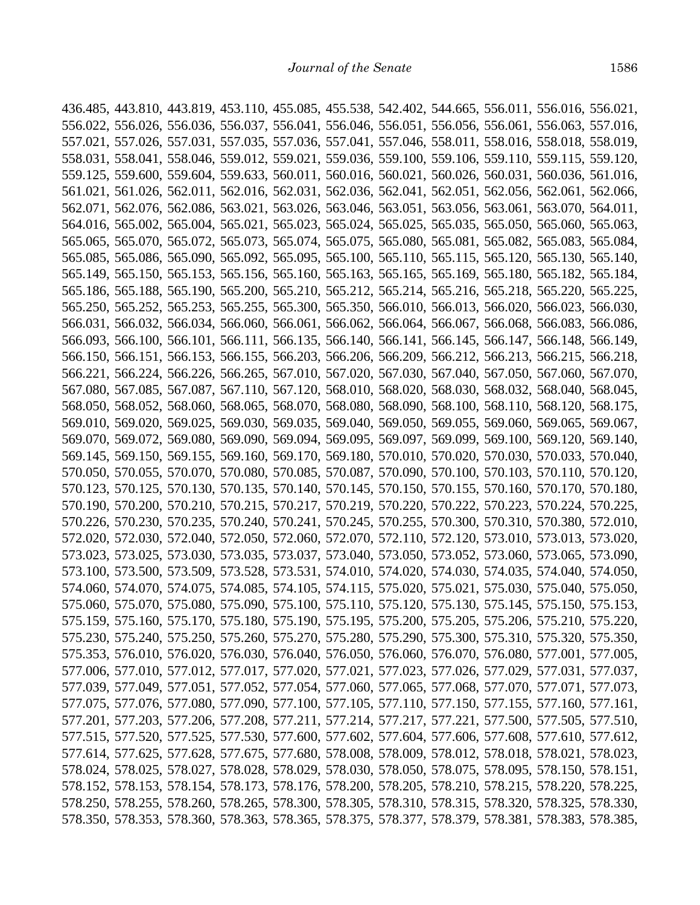436.485, 443.810, 443.819, 453.110, 455.085, 455.538, 542.402, 544.665, 556.011, 556.016, 556.021, 556.022, 556.026, 556.036, 556.037, 556.041, 556.046, 556.051, 556.056, 556.061, 556.063, 557.016, 557.021, 557.026, 557.031, 557.035, 557.036, 557.041, 557.046, 558.011, 558.016, 558.018, 558.019, 558.031, 558.041, 558.046, 559.012, 559.021, 559.036, 559.100, 559.106, 559.110, 559.115, 559.120, 559.125, 559.600, 559.604, 559.633, 560.011, 560.016, 560.021, 560.026, 560.031, 560.036, 561.016, 561.021, 561.026, 562.011, 562.016, 562.031, 562.036, 562.041, 562.051, 562.056, 562.061, 562.066, 562.071, 562.076, 562.086, 563.021, 563.026, 563.046, 563.051, 563.056, 563.061, 563.070, 564.011, 564.016, 565.002, 565.004, 565.021, 565.023, 565.024, 565.025, 565.035, 565.050, 565.060, 565.063, 565.065, 565.070, 565.072, 565.073, 565.074, 565.075, 565.080, 565.081, 565.082, 565.083, 565.084, 565.085, 565.086, 565.090, 565.092, 565.095, 565.100, 565.110, 565.115, 565.120, 565.130, 565.140, 565.149, 565.150, 565.153, 565.156, 565.160, 565.163, 565.165, 565.169, 565.180, 565.182, 565.184, 565.186, 565.188, 565.190, 565.200, 565.210, 565.212, 565.214, 565.216, 565.218, 565.220, 565.225, 565.250, 565.252, 565.253, 565.255, 565.300, 565.350, 566.010, 566.013, 566.020, 566.023, 566.030, 566.031, 566.032, 566.034, 566.060, 566.061, 566.062, 566.064, 566.067, 566.068, 566.083, 566.086, 566.093, 566.100, 566.101, 566.111, 566.135, 566.140, 566.141, 566.145, 566.147, 566.148, 566.149, 566.150, 566.151, 566.153, 566.155, 566.203, 566.206, 566.209, 566.212, 566.213, 566.215, 566.218, 566.221, 566.224, 566.226, 566.265, 567.010, 567.020, 567.030, 567.040, 567.050, 567.060, 567.070, 567.080, 567.085, 567.087, 567.110, 567.120, 568.010, 568.020, 568.030, 568.032, 568.040, 568.045, 568.050, 568.052, 568.060, 568.065, 568.070, 568.080, 568.090, 568.100, 568.110, 568.120, 568.175, 569.010, 569.020, 569.025, 569.030, 569.035, 569.040, 569.050, 569.055, 569.060, 569.065, 569.067, 569.070, 569.072, 569.080, 569.090, 569.094, 569.095, 569.097, 569.099, 569.100, 569.120, 569.140, 569.145, 569.150, 569.155, 569.160, 569.170, 569.180, 570.010, 570.020, 570.030, 570.033, 570.040, 570.050, 570.055, 570.070, 570.080, 570.085, 570.087, 570.090, 570.100, 570.103, 570.110, 570.120, 570.123, 570.125, 570.130, 570.135, 570.140, 570.145, 570.150, 570.155, 570.160, 570.170, 570.180, 570.190, 570.200, 570.210, 570.215, 570.217, 570.219, 570.220, 570.222, 570.223, 570.224, 570.225, 570.226, 570.230, 570.235, 570.240, 570.241, 570.245, 570.255, 570.300, 570.310, 570.380, 572.010, 572.020, 572.030, 572.040, 572.050, 572.060, 572.070, 572.110, 572.120, 573.010, 573.013, 573.020, 573.023, 573.025, 573.030, 573.035, 573.037, 573.040, 573.050, 573.052, 573.060, 573.065, 573.090, 573.100, 573.500, 573.509, 573.528, 573.531, 574.010, 574.020, 574.030, 574.035, 574.040, 574.050, 574.060, 574.070, 574.075, 574.085, 574.105, 574.115, 575.020, 575.021, 575.030, 575.040, 575.050, 575.060, 575.070, 575.080, 575.090, 575.100, 575.110, 575.120, 575.130, 575.145, 575.150, 575.153, 575.159, 575.160, 575.170, 575.180, 575.190, 575.195, 575.200, 575.205, 575.206, 575.210, 575.220, 575.230, 575.240, 575.250, 575.260, 575.270, 575.280, 575.290, 575.300, 575.310, 575.320, 575.350, 575.353, 576.010, 576.020, 576.030, 576.040, 576.050, 576.060, 576.070, 576.080, 577.001, 577.005, 577.006, 577.010, 577.012, 577.017, 577.020, 577.021, 577.023, 577.026, 577.029, 577.031, 577.037, 577.039, 577.049, 577.051, 577.052, 577.054, 577.060, 577.065, 577.068, 577.070, 577.071, 577.073, 577.075, 577.076, 577.080, 577.090, 577.100, 577.105, 577.110, 577.150, 577.155, 577.160, 577.161, 577.201, 577.203, 577.206, 577.208, 577.211, 577.214, 577.217, 577.221, 577.500, 577.505, 577.510, 577.515, 577.520, 577.525, 577.530, 577.600, 577.602, 577.604, 577.606, 577.608, 577.610, 577.612, 577.614, 577.625, 577.628, 577.675, 577.680, 578.008, 578.009, 578.012, 578.018, 578.021, 578.023, 578.024, 578.025, 578.027, 578.028, 578.029, 578.030, 578.050, 578.075, 578.095, 578.150, 578.151, 578.152, 578.153, 578.154, 578.173, 578.176, 578.200, 578.205, 578.210, 578.215, 578.220, 578.225, 578.250, 578.255, 578.260, 578.265, 578.300, 578.305, 578.310, 578.315, 578.320, 578.325, 578.330, 578.350, 578.353, 578.360, 578.363, 578.365, 578.375, 578.377, 578.379, 578.381, 578.383, 578.385,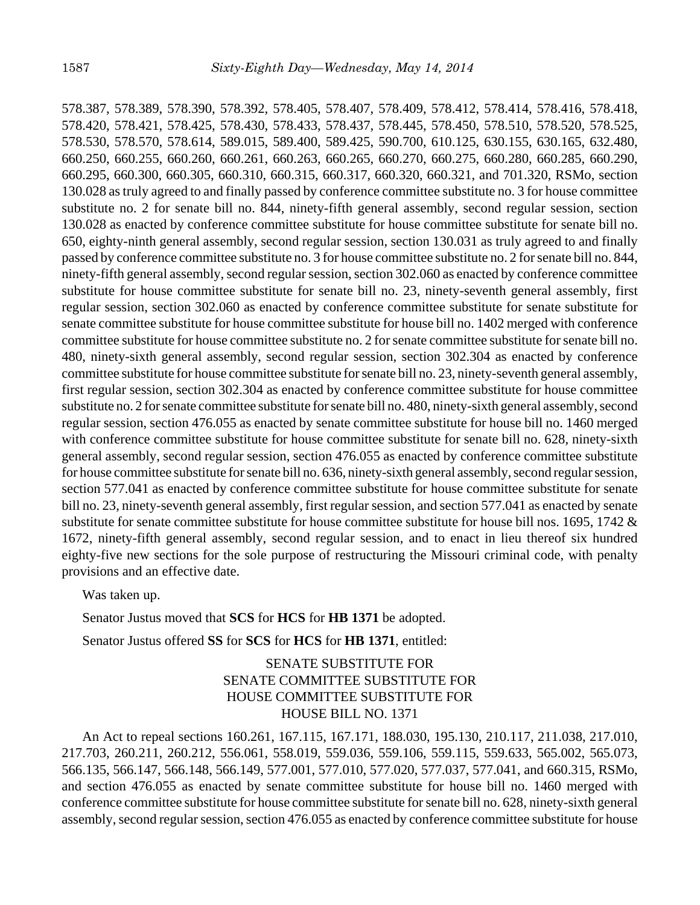578.387, 578.389, 578.390, 578.392, 578.405, 578.407, 578.409, 578.412, 578.414, 578.416, 578.418, 578.420, 578.421, 578.425, 578.430, 578.433, 578.437, 578.445, 578.450, 578.510, 578.520, 578.525, 578.530, 578.570, 578.614, 589.015, 589.400, 589.425, 590.700, 610.125, 630.155, 630.165, 632.480, 660.250, 660.255, 660.260, 660.261, 660.263, 660.265, 660.270, 660.275, 660.280, 660.285, 660.290, 660.295, 660.300, 660.305, 660.310, 660.315, 660.317, 660.320, 660.321, and 701.320, RSMo, section 130.028 as truly agreed to and finally passed by conference committee substitute no. 3 for house committee substitute no. 2 for senate bill no. 844, ninety-fifth general assembly, second regular session, section 130.028 as enacted by conference committee substitute for house committee substitute for senate bill no. 650, eighty-ninth general assembly, second regular session, section 130.031 as truly agreed to and finally passed by conference committee substitute no. 3 for house committee substitute no. 2 for senate bill no. 844, ninety-fifth general assembly, second regular session, section 302.060 as enacted by conference committee substitute for house committee substitute for senate bill no. 23, ninety-seventh general assembly, first regular session, section 302.060 as enacted by conference committee substitute for senate substitute for senate committee substitute for house committee substitute for house bill no. 1402 merged with conference committee substitute for house committee substitute no. 2 for senate committee substitute for senate bill no. 480, ninety-sixth general assembly, second regular session, section 302.304 as enacted by conference committee substitute for house committee substitute for senate bill no. 23, ninety-seventh general assembly, first regular session, section 302.304 as enacted by conference committee substitute for house committee substitute no. 2 for senate committee substitute for senate bill no. 480, ninety-sixth general assembly, second regular session, section 476.055 as enacted by senate committee substitute for house bill no. 1460 merged with conference committee substitute for house committee substitute for senate bill no. 628, ninety-sixth general assembly, second regular session, section 476.055 as enacted by conference committee substitute for house committee substitute for senate bill no. 636, ninety-sixth general assembly, second regular session, section 577.041 as enacted by conference committee substitute for house committee substitute for senate bill no. 23, ninety-seventh general assembly, first regular session, and section 577.041 as enacted by senate substitute for senate committee substitute for house committee substitute for house bill nos. 1695, 1742 & 1672, ninety-fifth general assembly, second regular session, and to enact in lieu thereof six hundred eighty-five new sections for the sole purpose of restructuring the Missouri criminal code, with penalty provisions and an effective date.

Was taken up.

Senator Justus moved that **SCS** for **HCS** for **HB 1371** be adopted.

Senator Justus offered **SS** for **SCS** for **HCS** for **HB 1371**, entitled:

# SENATE SUBSTITUTE FOR SENATE COMMITTEE SUBSTITUTE FOR HOUSE COMMITTEE SUBSTITUTE FOR HOUSE BILL NO. 1371

An Act to repeal sections 160.261, 167.115, 167.171, 188.030, 195.130, 210.117, 211.038, 217.010, 217.703, 260.211, 260.212, 556.061, 558.019, 559.036, 559.106, 559.115, 559.633, 565.002, 565.073, 566.135, 566.147, 566.148, 566.149, 577.001, 577.010, 577.020, 577.037, 577.041, and 660.315, RSMo, and section 476.055 as enacted by senate committee substitute for house bill no. 1460 merged with conference committee substitute for house committee substitute for senate bill no. 628, ninety-sixth general assembly, second regular session, section 476.055 as enacted by conference committee substitute for house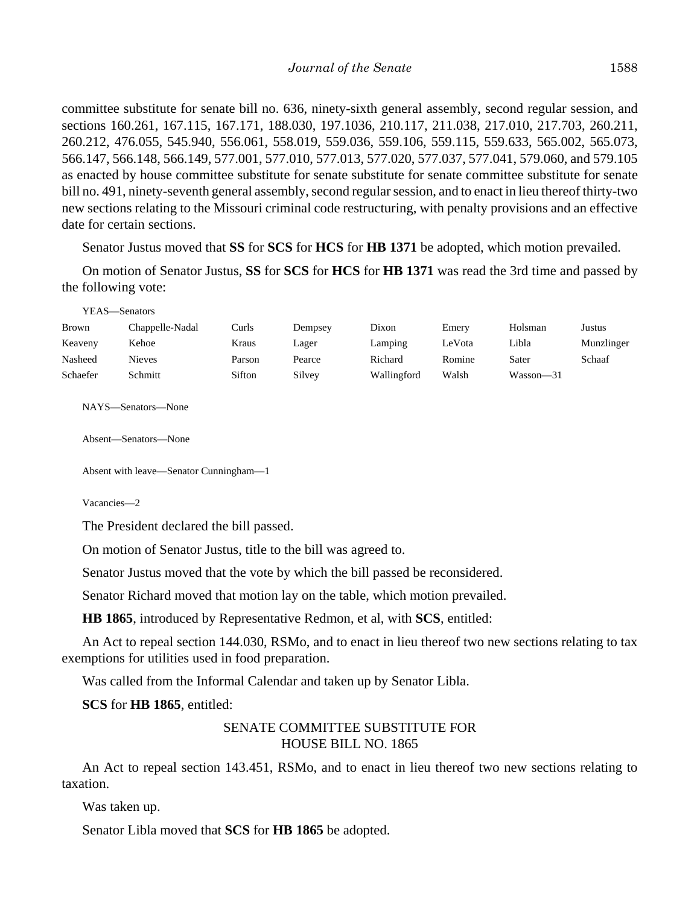committee substitute for senate bill no. 636, ninety-sixth general assembly, second regular session, and sections 160.261, 167.115, 167.171, 188.030, 197.1036, 210.117, 211.038, 217.010, 217.703, 260.211, 260.212, 476.055, 545.940, 556.061, 558.019, 559.036, 559.106, 559.115, 559.633, 565.002, 565.073, 566.147, 566.148, 566.149, 577.001, 577.010, 577.013, 577.020, 577.037, 577.041, 579.060, and 579.105 as enacted by house committee substitute for senate substitute for senate committee substitute for senate bill no. 491, ninety-seventh general assembly, second regular session, and to enact in lieu thereof thirty-two new sections relating to the Missouri criminal code restructuring, with penalty provisions and an effective date for certain sections.

Senator Justus moved that **SS** for **SCS** for **HCS** for **HB 1371** be adopted, which motion prevailed.

On motion of Senator Justus, **SS** for **SCS** for **HCS** for **HB 1371** was read the 3rd time and passed by the following vote:

| <b>Brown</b> | Chappelle-Nadal | Curls  | Dempsey | Dixon       | Emery  | Holsman   | Justus     |
|--------------|-----------------|--------|---------|-------------|--------|-----------|------------|
| Keaveny      | Kehoe           | Kraus  | Lager   | Lamping     | LeVota | Libla     | Munzlinger |
| Nasheed      | Nieves          | Parson | Pearce  | Richard     | Romine | Sater     | Schaaf     |
| Schaefer     | Schmitt         | Sifton | Silvey  | Wallingford | Walsh  | Wasson-31 |            |
|              |                 |        |         |             |        |           |            |

NAYS—Senators—None

YEAS—Senators

Absent—Senators—None

Absent with leave—Senator Cunningham—1

Vacancies—2

The President declared the bill passed.

On motion of Senator Justus, title to the bill was agreed to.

Senator Justus moved that the vote by which the bill passed be reconsidered.

Senator Richard moved that motion lay on the table, which motion prevailed.

**HB 1865**, introduced by Representative Redmon, et al, with **SCS**, entitled:

An Act to repeal section 144.030, RSMo, and to enact in lieu thereof two new sections relating to tax exemptions for utilities used in food preparation.

Was called from the Informal Calendar and taken up by Senator Libla.

**SCS** for **HB 1865**, entitled:

## SENATE COMMITTEE SUBSTITUTE FOR HOUSE BILL NO. 1865

An Act to repeal section 143.451, RSMo, and to enact in lieu thereof two new sections relating to taxation.

Was taken up.

Senator Libla moved that **SCS** for **HB 1865** be adopted.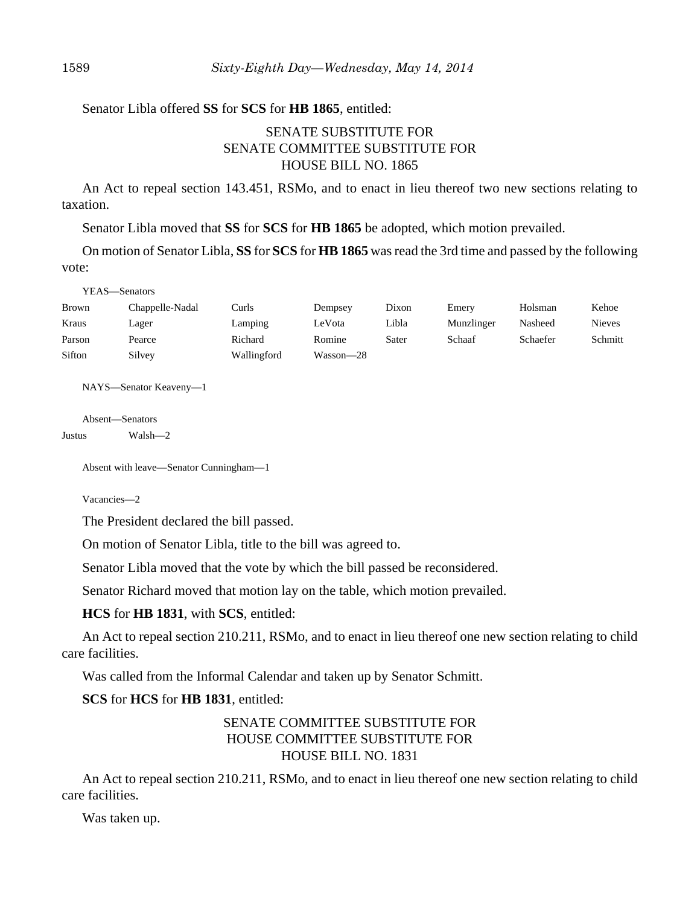## Senator Libla offered **SS** for **SCS** for **HB 1865**, entitled:

# SENATE SUBSTITUTE FOR SENATE COMMITTEE SUBSTITUTE FOR HOUSE BILL NO. 1865

An Act to repeal section 143.451, RSMo, and to enact in lieu thereof two new sections relating to taxation.

Senator Libla moved that **SS** for **SCS** for **HB 1865** be adopted, which motion prevailed.

On motion of Senator Libla, **SS** for **SCS** for **HB 1865** was read the 3rd time and passed by the following vote:

| YEAS—Senators |                 |             |           |       |            |          |               |
|---------------|-----------------|-------------|-----------|-------|------------|----------|---------------|
| <b>Brown</b>  | Chappelle-Nadal | Curls       | Dempsey   | Dixon | Emery      | Holsman  | Kehoe         |
| Kraus         | Lager           | Lamping     | LeVota    | Libla | Munzlinger | Nasheed  | <b>Nieves</b> |
| Parson        | Pearce          | Richard     | Romine    | Sater | Schaaf     | Schaefer | Schmitt       |
| Sifton        | Silvey          | Wallingford | Wasson—28 |       |            |          |               |

NAYS—Senator Keaveny—1

Absent—Senators

Justus Walsh—2

 $\frac{1}{2}$ 

Absent with leave—Senator Cunningham—1

Vacancies—2

The President declared the bill passed.

On motion of Senator Libla, title to the bill was agreed to.

Senator Libla moved that the vote by which the bill passed be reconsidered.

Senator Richard moved that motion lay on the table, which motion prevailed.

**HCS** for **HB 1831**, with **SCS**, entitled:

An Act to repeal section 210.211, RSMo, and to enact in lieu thereof one new section relating to child care facilities.

Was called from the Informal Calendar and taken up by Senator Schmitt.

## **SCS** for **HCS** for **HB 1831**, entitled:

# SENATE COMMITTEE SUBSTITUTE FOR HOUSE COMMITTEE SUBSTITUTE FOR HOUSE BILL NO. 1831

An Act to repeal section 210.211, RSMo, and to enact in lieu thereof one new section relating to child care facilities.

Was taken up.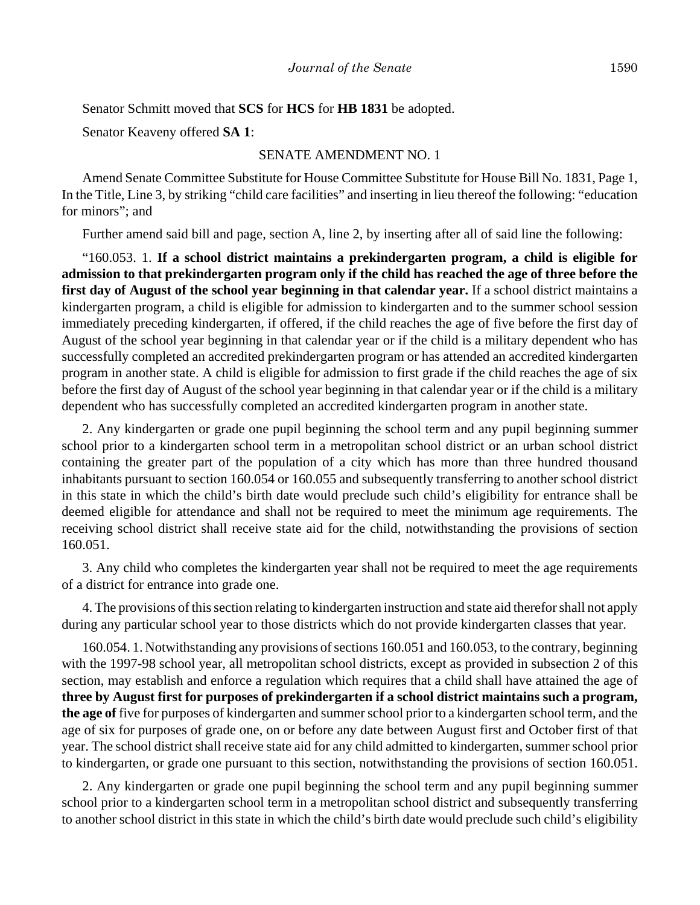Senator Schmitt moved that **SCS** for **HCS** for **HB 1831** be adopted.

Senator Keaveny offered **SA 1**:

### SENATE AMENDMENT NO. 1

Amend Senate Committee Substitute for House Committee Substitute for House Bill No. 1831, Page 1, In the Title, Line 3, by striking "child care facilities" and inserting in lieu thereof the following: "education for minors"; and

Further amend said bill and page, section A, line 2, by inserting after all of said line the following:

"160.053. 1. **If a school district maintains a prekindergarten program, a child is eligible for admission to that prekindergarten program only if the child has reached the age of three before the first day of August of the school year beginning in that calendar year.** If a school district maintains a kindergarten program, a child is eligible for admission to kindergarten and to the summer school session immediately preceding kindergarten, if offered, if the child reaches the age of five before the first day of August of the school year beginning in that calendar year or if the child is a military dependent who has successfully completed an accredited prekindergarten program or has attended an accredited kindergarten program in another state. A child is eligible for admission to first grade if the child reaches the age of six before the first day of August of the school year beginning in that calendar year or if the child is a military dependent who has successfully completed an accredited kindergarten program in another state.

2. Any kindergarten or grade one pupil beginning the school term and any pupil beginning summer school prior to a kindergarten school term in a metropolitan school district or an urban school district containing the greater part of the population of a city which has more than three hundred thousand inhabitants pursuant to section 160.054 or 160.055 and subsequently transferring to another school district in this state in which the child's birth date would preclude such child's eligibility for entrance shall be deemed eligible for attendance and shall not be required to meet the minimum age requirements. The receiving school district shall receive state aid for the child, notwithstanding the provisions of section 160.051.

3. Any child who completes the kindergarten year shall not be required to meet the age requirements of a district for entrance into grade one.

4. The provisions of this section relating to kindergarten instruction and state aid therefor shall not apply during any particular school year to those districts which do not provide kindergarten classes that year.

160.054. 1. Notwithstanding any provisions of sections 160.051 and 160.053, to the contrary, beginning with the 1997-98 school year, all metropolitan school districts, except as provided in subsection 2 of this section, may establish and enforce a regulation which requires that a child shall have attained the age of **three by August first for purposes of prekindergarten if a school district maintains such a program, the age of** five for purposes of kindergarten and summer school prior to a kindergarten school term, and the age of six for purposes of grade one, on or before any date between August first and October first of that year. The school district shall receive state aid for any child admitted to kindergarten, summer school prior to kindergarten, or grade one pursuant to this section, notwithstanding the provisions of section 160.051.

2. Any kindergarten or grade one pupil beginning the school term and any pupil beginning summer school prior to a kindergarten school term in a metropolitan school district and subsequently transferring to another school district in this state in which the child's birth date would preclude such child's eligibility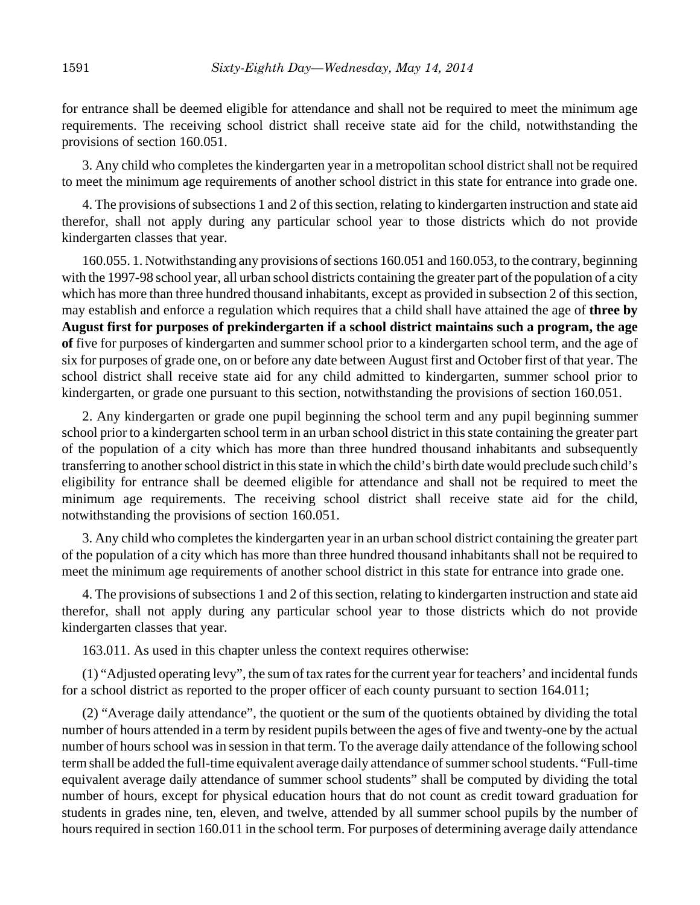for entrance shall be deemed eligible for attendance and shall not be required to meet the minimum age requirements. The receiving school district shall receive state aid for the child, notwithstanding the provisions of section 160.051.

3. Any child who completes the kindergarten year in a metropolitan school district shall not be required to meet the minimum age requirements of another school district in this state for entrance into grade one.

4. The provisions of subsections 1 and 2 of this section, relating to kindergarten instruction and state aid therefor, shall not apply during any particular school year to those districts which do not provide kindergarten classes that year.

160.055. 1. Notwithstanding any provisions of sections 160.051 and 160.053, to the contrary, beginning with the 1997-98 school year, all urban school districts containing the greater part of the population of a city which has more than three hundred thousand inhabitants, except as provided in subsection 2 of this section, may establish and enforce a regulation which requires that a child shall have attained the age of **three by August first for purposes of prekindergarten if a school district maintains such a program, the age of** five for purposes of kindergarten and summer school prior to a kindergarten school term, and the age of six for purposes of grade one, on or before any date between August first and October first of that year. The school district shall receive state aid for any child admitted to kindergarten, summer school prior to kindergarten, or grade one pursuant to this section, notwithstanding the provisions of section 160.051.

2. Any kindergarten or grade one pupil beginning the school term and any pupil beginning summer school prior to a kindergarten school term in an urban school district in this state containing the greater part of the population of a city which has more than three hundred thousand inhabitants and subsequently transferring to another school district in this state in which the child's birth date would preclude such child's eligibility for entrance shall be deemed eligible for attendance and shall not be required to meet the minimum age requirements. The receiving school district shall receive state aid for the child, notwithstanding the provisions of section 160.051.

3. Any child who completes the kindergarten year in an urban school district containing the greater part of the population of a city which has more than three hundred thousand inhabitants shall not be required to meet the minimum age requirements of another school district in this state for entrance into grade one.

4. The provisions of subsections 1 and 2 of this section, relating to kindergarten instruction and state aid therefor, shall not apply during any particular school year to those districts which do not provide kindergarten classes that year.

163.011. As used in this chapter unless the context requires otherwise:

(1) "Adjusted operating levy", the sum of tax rates for the current year for teachers' and incidental funds for a school district as reported to the proper officer of each county pursuant to section 164.011;

(2) "Average daily attendance", the quotient or the sum of the quotients obtained by dividing the total number of hours attended in a term by resident pupils between the ages of five and twenty-one by the actual number of hours school was in session in that term. To the average daily attendance of the following school term shall be added the full-time equivalent average daily attendance of summer school students. "Full-time equivalent average daily attendance of summer school students" shall be computed by dividing the total number of hours, except for physical education hours that do not count as credit toward graduation for students in grades nine, ten, eleven, and twelve, attended by all summer school pupils by the number of hours required in section 160.011 in the school term. For purposes of determining average daily attendance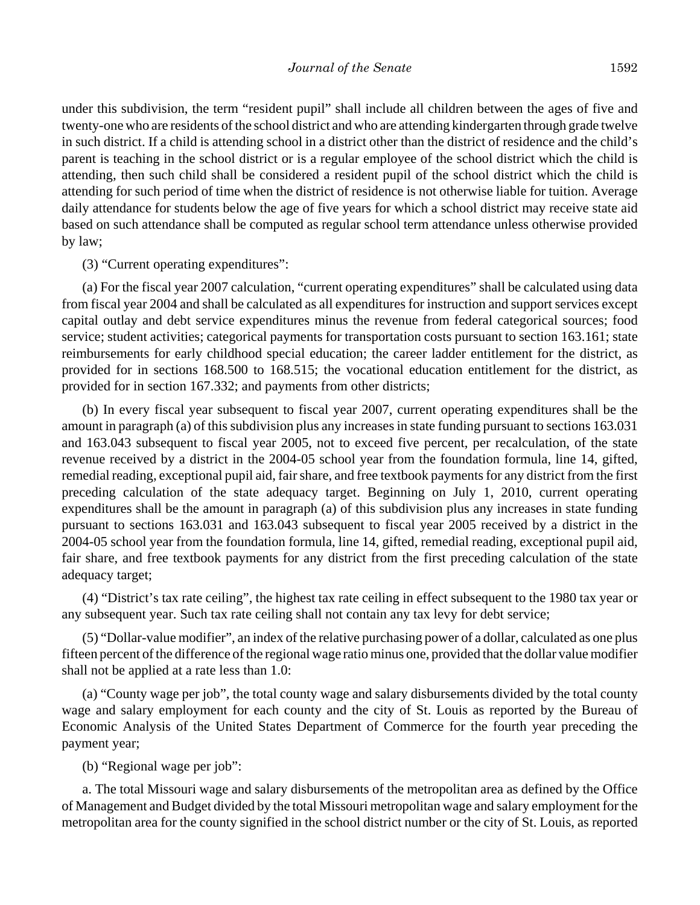under this subdivision, the term "resident pupil" shall include all children between the ages of five and twenty-one who are residents of the school district and who are attending kindergarten through grade twelve in such district. If a child is attending school in a district other than the district of residence and the child's parent is teaching in the school district or is a regular employee of the school district which the child is attending, then such child shall be considered a resident pupil of the school district which the child is attending for such period of time when the district of residence is not otherwise liable for tuition. Average daily attendance for students below the age of five years for which a school district may receive state aid based on such attendance shall be computed as regular school term attendance unless otherwise provided by law;

(3) "Current operating expenditures":

(a) For the fiscal year 2007 calculation, "current operating expenditures" shall be calculated using data from fiscal year 2004 and shall be calculated as all expenditures for instruction and support services except capital outlay and debt service expenditures minus the revenue from federal categorical sources; food service; student activities; categorical payments for transportation costs pursuant to section 163.161; state reimbursements for early childhood special education; the career ladder entitlement for the district, as provided for in sections 168.500 to 168.515; the vocational education entitlement for the district, as provided for in section 167.332; and payments from other districts;

(b) In every fiscal year subsequent to fiscal year 2007, current operating expenditures shall be the amount in paragraph (a) of this subdivision plus any increases in state funding pursuant to sections 163.031 and 163.043 subsequent to fiscal year 2005, not to exceed five percent, per recalculation, of the state revenue received by a district in the 2004-05 school year from the foundation formula, line 14, gifted, remedial reading, exceptional pupil aid, fair share, and free textbook payments for any district from the first preceding calculation of the state adequacy target. Beginning on July 1, 2010, current operating expenditures shall be the amount in paragraph (a) of this subdivision plus any increases in state funding pursuant to sections 163.031 and 163.043 subsequent to fiscal year 2005 received by a district in the 2004-05 school year from the foundation formula, line 14, gifted, remedial reading, exceptional pupil aid, fair share, and free textbook payments for any district from the first preceding calculation of the state adequacy target;

(4) "District's tax rate ceiling", the highest tax rate ceiling in effect subsequent to the 1980 tax year or any subsequent year. Such tax rate ceiling shall not contain any tax levy for debt service;

(5) "Dollar-value modifier", an index of the relative purchasing power of a dollar, calculated as one plus fifteen percent of the difference of the regional wage ratio minus one, provided that the dollar value modifier shall not be applied at a rate less than 1.0:

(a) "County wage per job", the total county wage and salary disbursements divided by the total county wage and salary employment for each county and the city of St. Louis as reported by the Bureau of Economic Analysis of the United States Department of Commerce for the fourth year preceding the payment year;

(b) "Regional wage per job":

a. The total Missouri wage and salary disbursements of the metropolitan area as defined by the Office of Management and Budget divided by the total Missouri metropolitan wage and salary employment for the metropolitan area for the county signified in the school district number or the city of St. Louis, as reported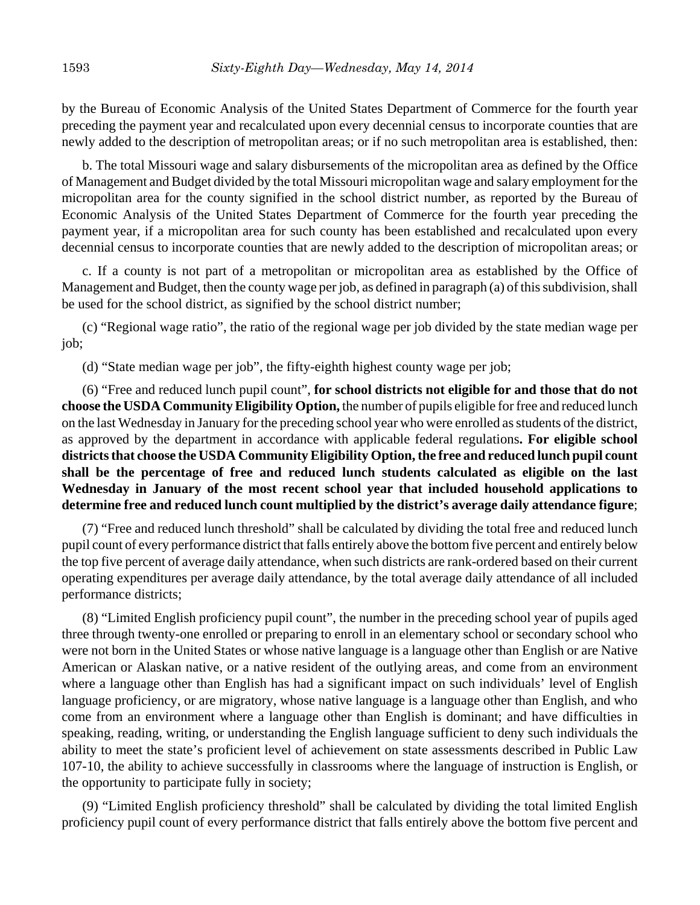by the Bureau of Economic Analysis of the United States Department of Commerce for the fourth year preceding the payment year and recalculated upon every decennial census to incorporate counties that are newly added to the description of metropolitan areas; or if no such metropolitan area is established, then:

b. The total Missouri wage and salary disbursements of the micropolitan area as defined by the Office of Management and Budget divided by the total Missouri micropolitan wage and salary employment for the micropolitan area for the county signified in the school district number, as reported by the Bureau of Economic Analysis of the United States Department of Commerce for the fourth year preceding the payment year, if a micropolitan area for such county has been established and recalculated upon every decennial census to incorporate counties that are newly added to the description of micropolitan areas; or

c. If a county is not part of a metropolitan or micropolitan area as established by the Office of Management and Budget, then the county wage per job, as defined in paragraph (a) of this subdivision, shall be used for the school district, as signified by the school district number;

(c) "Regional wage ratio", the ratio of the regional wage per job divided by the state median wage per job;

(d) "State median wage per job", the fifty-eighth highest county wage per job;

(6) "Free and reduced lunch pupil count", **for school districts not eligible for and those that do not choose the USDA Community Eligibility Option,** the number of pupils eligible for free and reduced lunch on the last Wednesday in January for the preceding school year who were enrolled as students of the district, as approved by the department in accordance with applicable federal regulations**. For eligible school districts that choose the USDA Community Eligibility Option, the free and reduced lunch pupil count shall be the percentage of free and reduced lunch students calculated as eligible on the last Wednesday in January of the most recent school year that included household applications to determine free and reduced lunch count multiplied by the district's average daily attendance figure**;

(7) "Free and reduced lunch threshold" shall be calculated by dividing the total free and reduced lunch pupil count of every performance district that falls entirely above the bottom five percent and entirely below the top five percent of average daily attendance, when such districts are rank-ordered based on their current operating expenditures per average daily attendance, by the total average daily attendance of all included performance districts;

(8) "Limited English proficiency pupil count", the number in the preceding school year of pupils aged three through twenty-one enrolled or preparing to enroll in an elementary school or secondary school who were not born in the United States or whose native language is a language other than English or are Native American or Alaskan native, or a native resident of the outlying areas, and come from an environment where a language other than English has had a significant impact on such individuals' level of English language proficiency, or are migratory, whose native language is a language other than English, and who come from an environment where a language other than English is dominant; and have difficulties in speaking, reading, writing, or understanding the English language sufficient to deny such individuals the ability to meet the state's proficient level of achievement on state assessments described in Public Law 107-10, the ability to achieve successfully in classrooms where the language of instruction is English, or the opportunity to participate fully in society;

(9) "Limited English proficiency threshold" shall be calculated by dividing the total limited English proficiency pupil count of every performance district that falls entirely above the bottom five percent and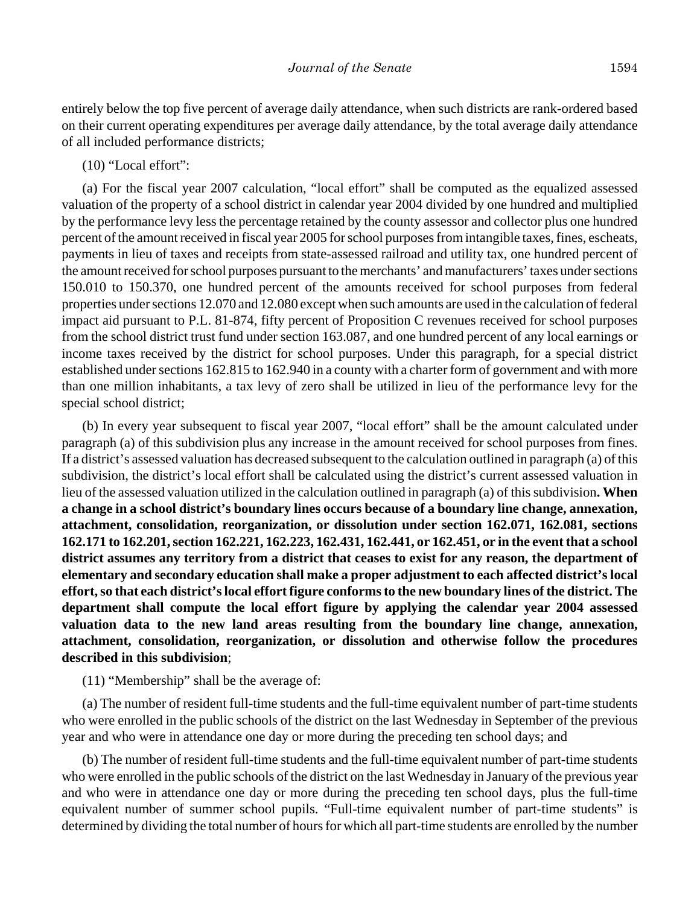entirely below the top five percent of average daily attendance, when such districts are rank-ordered based on their current operating expenditures per average daily attendance, by the total average daily attendance of all included performance districts;

## (10) "Local effort":

(a) For the fiscal year 2007 calculation, "local effort" shall be computed as the equalized assessed valuation of the property of a school district in calendar year 2004 divided by one hundred and multiplied by the performance levy less the percentage retained by the county assessor and collector plus one hundred percent of the amount received in fiscal year 2005 for school purposes from intangible taxes, fines, escheats, payments in lieu of taxes and receipts from state-assessed railroad and utility tax, one hundred percent of the amount received for school purposes pursuant to the merchants' and manufacturers' taxes under sections 150.010 to 150.370, one hundred percent of the amounts received for school purposes from federal properties under sections 12.070 and 12.080 except when such amounts are used in the calculation of federal impact aid pursuant to P.L. 81-874, fifty percent of Proposition C revenues received for school purposes from the school district trust fund under section 163.087, and one hundred percent of any local earnings or income taxes received by the district for school purposes. Under this paragraph, for a special district established under sections 162.815 to 162.940 in a county with a charter form of government and with more than one million inhabitants, a tax levy of zero shall be utilized in lieu of the performance levy for the special school district;

(b) In every year subsequent to fiscal year 2007, "local effort" shall be the amount calculated under paragraph (a) of this subdivision plus any increase in the amount received for school purposes from fines. If a district's assessed valuation has decreased subsequent to the calculation outlined in paragraph (a) of this subdivision, the district's local effort shall be calculated using the district's current assessed valuation in lieu of the assessed valuation utilized in the calculation outlined in paragraph (a) of this subdivision**. When a change in a school district's boundary lines occurs because of a boundary line change, annexation, attachment, consolidation, reorganization, or dissolution under section 162.071, 162.081, sections 162.171 to 162.201, section 162.221, 162.223, 162.431, 162.441, or 162.451, or in the event that a school district assumes any territory from a district that ceases to exist for any reason, the department of elementary and secondary education shall make a proper adjustment to each affected district's local effort, so that each district's local effort figure conforms to the new boundary lines of the district. The department shall compute the local effort figure by applying the calendar year 2004 assessed valuation data to the new land areas resulting from the boundary line change, annexation, attachment, consolidation, reorganization, or dissolution and otherwise follow the procedures described in this subdivision**;

(11) "Membership" shall be the average of:

(a) The number of resident full-time students and the full-time equivalent number of part-time students who were enrolled in the public schools of the district on the last Wednesday in September of the previous year and who were in attendance one day or more during the preceding ten school days; and

(b) The number of resident full-time students and the full-time equivalent number of part-time students who were enrolled in the public schools of the district on the last Wednesday in January of the previous year and who were in attendance one day or more during the preceding ten school days, plus the full-time equivalent number of summer school pupils. "Full-time equivalent number of part-time students" is determined by dividing the total number of hours for which all part-time students are enrolled by the number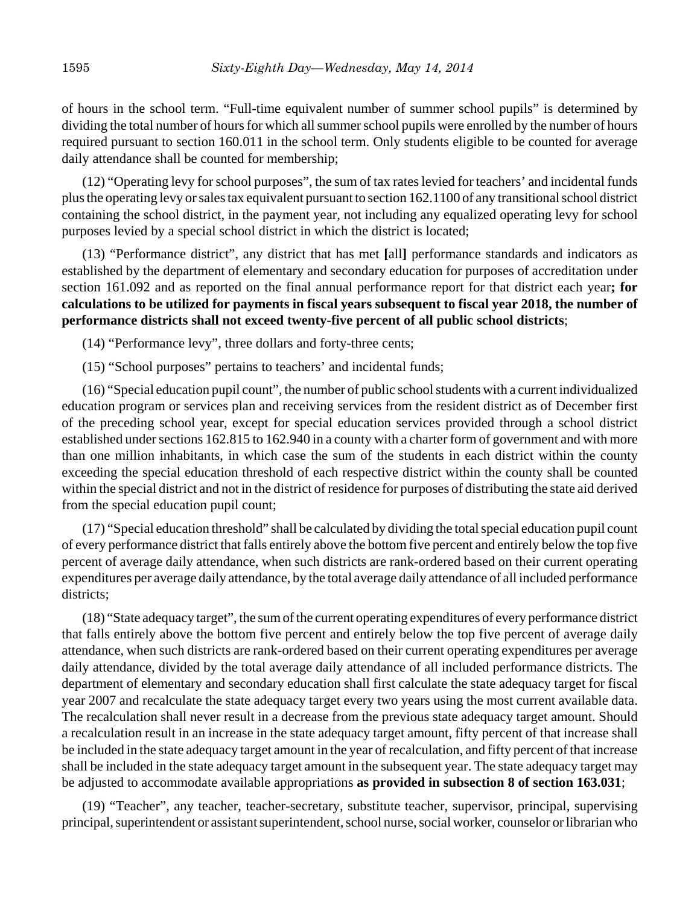of hours in the school term. "Full-time equivalent number of summer school pupils" is determined by dividing the total number of hours for which all summer school pupils were enrolled by the number of hours required pursuant to section 160.011 in the school term. Only students eligible to be counted for average daily attendance shall be counted for membership;

(12) "Operating levy for school purposes", the sum of tax rates levied for teachers' and incidental funds plus the operating levy or sales tax equivalent pursuant to section 162.1100 of any transitional school district containing the school district, in the payment year, not including any equalized operating levy for school purposes levied by a special school district in which the district is located;

(13) "Performance district", any district that has met **[**all**]** performance standards and indicators as established by the department of elementary and secondary education for purposes of accreditation under section 161.092 and as reported on the final annual performance report for that district each year**; for calculations to be utilized for payments in fiscal years subsequent to fiscal year 2018, the number of performance districts shall not exceed twenty-five percent of all public school districts**;

(14) "Performance levy", three dollars and forty-three cents;

(15) "School purposes" pertains to teachers' and incidental funds;

(16) "Special education pupil count", the number of public school students with a current individualized education program or services plan and receiving services from the resident district as of December first of the preceding school year, except for special education services provided through a school district established under sections 162.815 to 162.940 in a county with a charter form of government and with more than one million inhabitants, in which case the sum of the students in each district within the county exceeding the special education threshold of each respective district within the county shall be counted within the special district and not in the district of residence for purposes of distributing the state aid derived from the special education pupil count;

(17) "Special education threshold" shall be calculated by dividing the total special education pupil count of every performance district that falls entirely above the bottom five percent and entirely below the top five percent of average daily attendance, when such districts are rank-ordered based on their current operating expenditures per average daily attendance, by the total average daily attendance of all included performance districts;

(18) "State adequacy target", the sum of the current operating expenditures of every performance district that falls entirely above the bottom five percent and entirely below the top five percent of average daily attendance, when such districts are rank-ordered based on their current operating expenditures per average daily attendance, divided by the total average daily attendance of all included performance districts. The department of elementary and secondary education shall first calculate the state adequacy target for fiscal year 2007 and recalculate the state adequacy target every two years using the most current available data. The recalculation shall never result in a decrease from the previous state adequacy target amount. Should a recalculation result in an increase in the state adequacy target amount, fifty percent of that increase shall be included in the state adequacy target amount in the year of recalculation, and fifty percent of that increase shall be included in the state adequacy target amount in the subsequent year. The state adequacy target may be adjusted to accommodate available appropriations **as provided in subsection 8 of section 163.031**;

(19) "Teacher", any teacher, teacher-secretary, substitute teacher, supervisor, principal, supervising principal, superintendent or assistant superintendent, school nurse, social worker, counselor or librarian who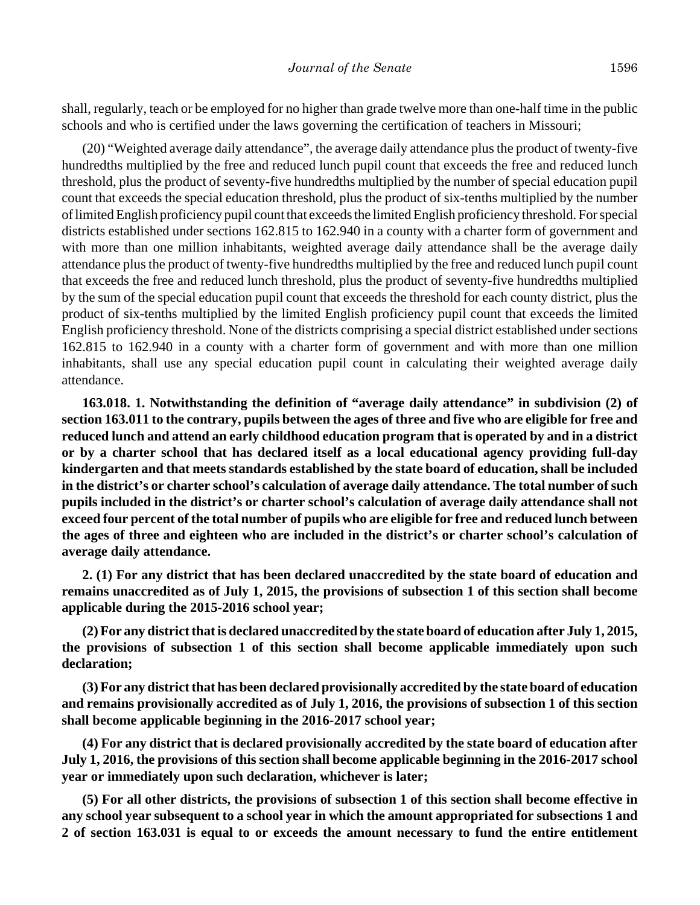shall, regularly, teach or be employed for no higher than grade twelve more than one-half time in the public schools and who is certified under the laws governing the certification of teachers in Missouri;

(20) "Weighted average daily attendance", the average daily attendance plus the product of twenty-five hundredths multiplied by the free and reduced lunch pupil count that exceeds the free and reduced lunch threshold, plus the product of seventy-five hundredths multiplied by the number of special education pupil count that exceeds the special education threshold, plus the product of six-tenths multiplied by the number of limited English proficiency pupil count that exceeds the limited English proficiency threshold. For special districts established under sections 162.815 to 162.940 in a county with a charter form of government and with more than one million inhabitants, weighted average daily attendance shall be the average daily attendance plus the product of twenty-five hundredths multiplied by the free and reduced lunch pupil count that exceeds the free and reduced lunch threshold, plus the product of seventy-five hundredths multiplied by the sum of the special education pupil count that exceeds the threshold for each county district, plus the product of six-tenths multiplied by the limited English proficiency pupil count that exceeds the limited English proficiency threshold. None of the districts comprising a special district established under sections 162.815 to 162.940 in a county with a charter form of government and with more than one million inhabitants, shall use any special education pupil count in calculating their weighted average daily attendance.

**163.018. 1. Notwithstanding the definition of "average daily attendance" in subdivision (2) of section 163.011 to the contrary, pupils between the ages of three and five who are eligible for free and reduced lunch and attend an early childhood education program that is operated by and in a district or by a charter school that has declared itself as a local educational agency providing full-day kindergarten and that meets standards established by the state board of education, shall be included in the district's or charter school's calculation of average daily attendance. The total number of such pupils included in the district's or charter school's calculation of average daily attendance shall not exceed four percent of the total number of pupils who are eligible for free and reduced lunch between the ages of three and eighteen who are included in the district's or charter school's calculation of average daily attendance.**

**2. (1) For any district that has been declared unaccredited by the state board of education and remains unaccredited as of July 1, 2015, the provisions of subsection 1 of this section shall become applicable during the 2015-2016 school year;**

**(2) For any district that is declared unaccredited by the state board of education after July 1, 2015, the provisions of subsection 1 of this section shall become applicable immediately upon such declaration;**

**(3) For any district that has been declared provisionally accredited by the state board of education and remains provisionally accredited as of July 1, 2016, the provisions of subsection 1 of this section shall become applicable beginning in the 2016-2017 school year;**

**(4) For any district that is declared provisionally accredited by the state board of education after July 1, 2016, the provisions of this section shall become applicable beginning in the 2016-2017 school year or immediately upon such declaration, whichever is later;**

**(5) For all other districts, the provisions of subsection 1 of this section shall become effective in any school year subsequent to a school year in which the amount appropriated for subsections 1 and 2 of section 163.031 is equal to or exceeds the amount necessary to fund the entire entitlement**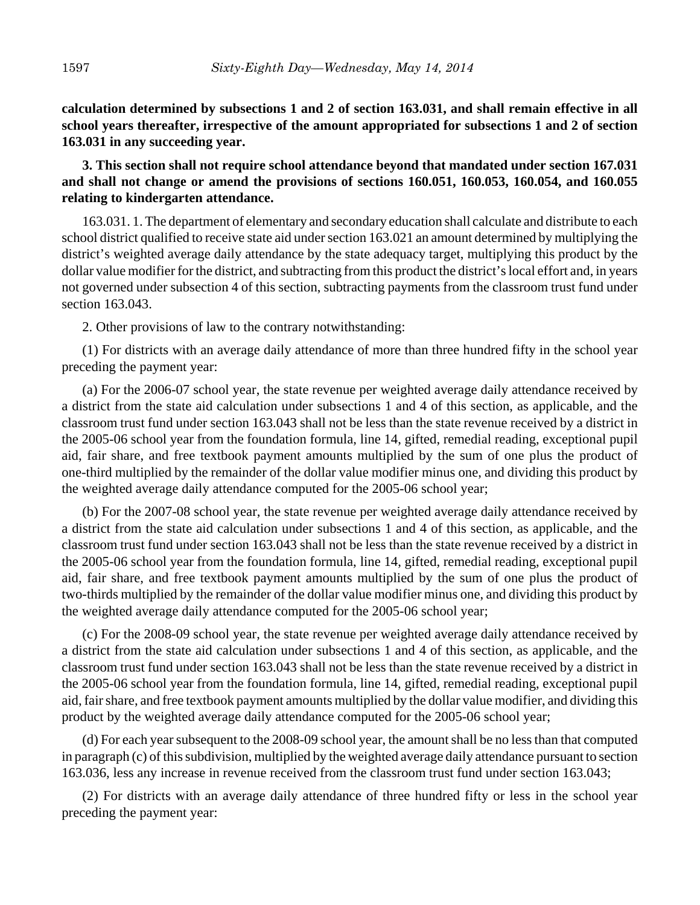**calculation determined by subsections 1 and 2 of section 163.031, and shall remain effective in all school years thereafter, irrespective of the amount appropriated for subsections 1 and 2 of section 163.031 in any succeeding year.**

**3. This section shall not require school attendance beyond that mandated under section 167.031 and shall not change or amend the provisions of sections 160.051, 160.053, 160.054, and 160.055 relating to kindergarten attendance.**

163.031. 1. The department of elementary and secondary education shall calculate and distribute to each school district qualified to receive state aid under section 163.021 an amount determined by multiplying the district's weighted average daily attendance by the state adequacy target, multiplying this product by the dollar value modifier for the district, and subtracting from this product the district's local effort and, in years not governed under subsection 4 of this section, subtracting payments from the classroom trust fund under section 163.043.

2. Other provisions of law to the contrary notwithstanding:

(1) For districts with an average daily attendance of more than three hundred fifty in the school year preceding the payment year:

(a) For the 2006-07 school year, the state revenue per weighted average daily attendance received by a district from the state aid calculation under subsections 1 and 4 of this section, as applicable, and the classroom trust fund under section 163.043 shall not be less than the state revenue received by a district in the 2005-06 school year from the foundation formula, line 14, gifted, remedial reading, exceptional pupil aid, fair share, and free textbook payment amounts multiplied by the sum of one plus the product of one-third multiplied by the remainder of the dollar value modifier minus one, and dividing this product by the weighted average daily attendance computed for the 2005-06 school year;

(b) For the 2007-08 school year, the state revenue per weighted average daily attendance received by a district from the state aid calculation under subsections 1 and 4 of this section, as applicable, and the classroom trust fund under section 163.043 shall not be less than the state revenue received by a district in the 2005-06 school year from the foundation formula, line 14, gifted, remedial reading, exceptional pupil aid, fair share, and free textbook payment amounts multiplied by the sum of one plus the product of two-thirds multiplied by the remainder of the dollar value modifier minus one, and dividing this product by the weighted average daily attendance computed for the 2005-06 school year;

(c) For the 2008-09 school year, the state revenue per weighted average daily attendance received by a district from the state aid calculation under subsections 1 and 4 of this section, as applicable, and the classroom trust fund under section 163.043 shall not be less than the state revenue received by a district in the 2005-06 school year from the foundation formula, line 14, gifted, remedial reading, exceptional pupil aid, fair share, and free textbook payment amounts multiplied by the dollar value modifier, and dividing this product by the weighted average daily attendance computed for the 2005-06 school year;

(d) For each year subsequent to the 2008-09 school year, the amount shall be no less than that computed in paragraph (c) of this subdivision, multiplied by the weighted average daily attendance pursuant to section 163.036, less any increase in revenue received from the classroom trust fund under section 163.043;

(2) For districts with an average daily attendance of three hundred fifty or less in the school year preceding the payment year: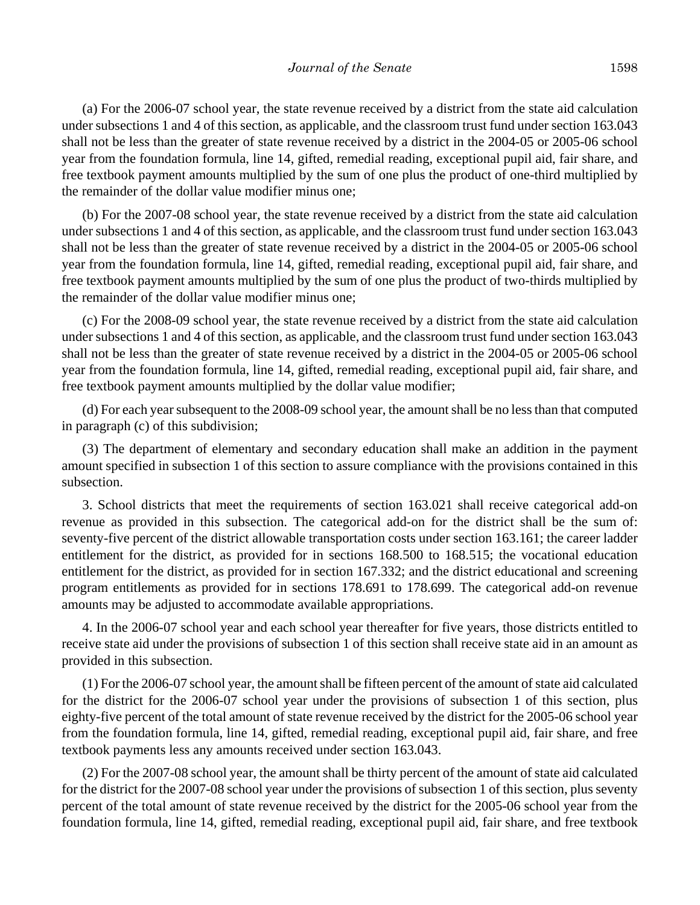(a) For the 2006-07 school year, the state revenue received by a district from the state aid calculation under subsections 1 and 4 of this section, as applicable, and the classroom trust fund under section 163.043 shall not be less than the greater of state revenue received by a district in the 2004-05 or 2005-06 school year from the foundation formula, line 14, gifted, remedial reading, exceptional pupil aid, fair share, and free textbook payment amounts multiplied by the sum of one plus the product of one-third multiplied by the remainder of the dollar value modifier minus one;

(b) For the 2007-08 school year, the state revenue received by a district from the state aid calculation under subsections 1 and 4 of this section, as applicable, and the classroom trust fund under section 163.043 shall not be less than the greater of state revenue received by a district in the 2004-05 or 2005-06 school year from the foundation formula, line 14, gifted, remedial reading, exceptional pupil aid, fair share, and free textbook payment amounts multiplied by the sum of one plus the product of two-thirds multiplied by the remainder of the dollar value modifier minus one;

(c) For the 2008-09 school year, the state revenue received by a district from the state aid calculation under subsections 1 and 4 of this section, as applicable, and the classroom trust fund under section 163.043 shall not be less than the greater of state revenue received by a district in the 2004-05 or 2005-06 school year from the foundation formula, line 14, gifted, remedial reading, exceptional pupil aid, fair share, and free textbook payment amounts multiplied by the dollar value modifier;

(d) For each year subsequent to the 2008-09 school year, the amount shall be no less than that computed in paragraph (c) of this subdivision;

(3) The department of elementary and secondary education shall make an addition in the payment amount specified in subsection 1 of this section to assure compliance with the provisions contained in this subsection.

3. School districts that meet the requirements of section 163.021 shall receive categorical add-on revenue as provided in this subsection. The categorical add-on for the district shall be the sum of: seventy-five percent of the district allowable transportation costs under section 163.161; the career ladder entitlement for the district, as provided for in sections 168.500 to 168.515; the vocational education entitlement for the district, as provided for in section 167.332; and the district educational and screening program entitlements as provided for in sections 178.691 to 178.699. The categorical add-on revenue amounts may be adjusted to accommodate available appropriations.

4. In the 2006-07 school year and each school year thereafter for five years, those districts entitled to receive state aid under the provisions of subsection 1 of this section shall receive state aid in an amount as provided in this subsection.

(1) For the 2006-07 school year, the amount shall be fifteen percent of the amount of state aid calculated for the district for the 2006-07 school year under the provisions of subsection 1 of this section, plus eighty-five percent of the total amount of state revenue received by the district for the 2005-06 school year from the foundation formula, line 14, gifted, remedial reading, exceptional pupil aid, fair share, and free textbook payments less any amounts received under section 163.043.

(2) For the 2007-08 school year, the amount shall be thirty percent of the amount of state aid calculated for the district for the 2007-08 school year under the provisions of subsection 1 of this section, plus seventy percent of the total amount of state revenue received by the district for the 2005-06 school year from the foundation formula, line 14, gifted, remedial reading, exceptional pupil aid, fair share, and free textbook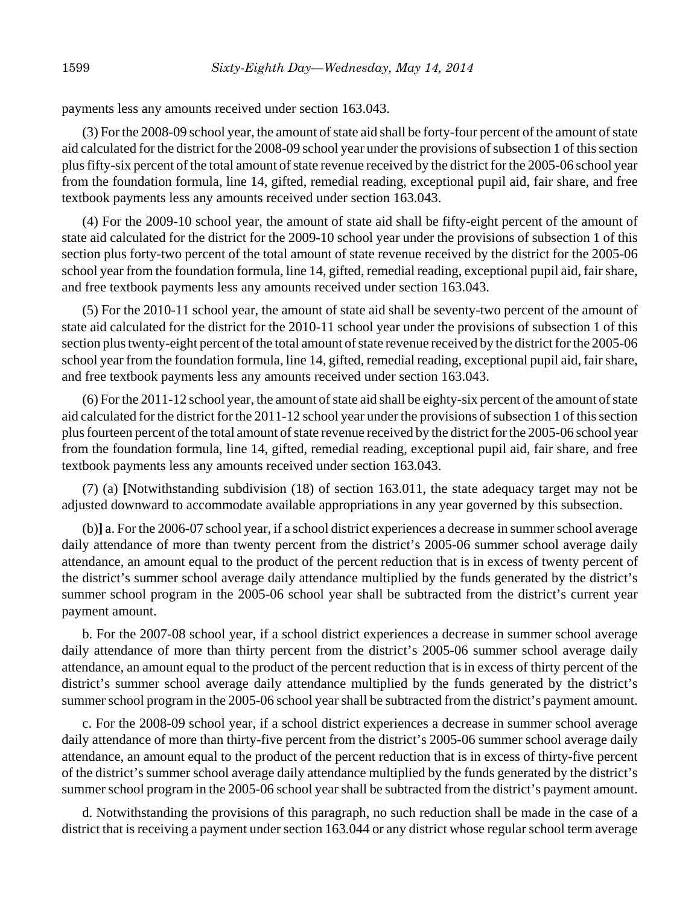payments less any amounts received under section 163.043.

(3) For the 2008-09 school year, the amount of state aid shall be forty-four percent of the amount of state aid calculated for the district for the 2008-09 school year under the provisions of subsection 1 of this section plus fifty-six percent of the total amount of state revenue received by the district for the 2005-06 school year from the foundation formula, line 14, gifted, remedial reading, exceptional pupil aid, fair share, and free textbook payments less any amounts received under section 163.043.

(4) For the 2009-10 school year, the amount of state aid shall be fifty-eight percent of the amount of state aid calculated for the district for the 2009-10 school year under the provisions of subsection 1 of this section plus forty-two percent of the total amount of state revenue received by the district for the 2005-06 school year from the foundation formula, line 14, gifted, remedial reading, exceptional pupil aid, fair share, and free textbook payments less any amounts received under section 163.043.

(5) For the 2010-11 school year, the amount of state aid shall be seventy-two percent of the amount of state aid calculated for the district for the 2010-11 school year under the provisions of subsection 1 of this section plus twenty-eight percent of the total amount of state revenue received by the district for the 2005-06 school year from the foundation formula, line 14, gifted, remedial reading, exceptional pupil aid, fair share, and free textbook payments less any amounts received under section 163.043.

(6) For the 2011-12 school year, the amount of state aid shall be eighty-six percent of the amount of state aid calculated for the district for the 2011-12 school year under the provisions of subsection 1 of this section plus fourteen percent of the total amount of state revenue received by the district for the 2005-06 school year from the foundation formula, line 14, gifted, remedial reading, exceptional pupil aid, fair share, and free textbook payments less any amounts received under section 163.043.

(7) (a) **[**Notwithstanding subdivision (18) of section 163.011, the state adequacy target may not be adjusted downward to accommodate available appropriations in any year governed by this subsection.

(b)**]** a. For the 2006-07 school year, if a school district experiences a decrease in summer school average daily attendance of more than twenty percent from the district's 2005-06 summer school average daily attendance, an amount equal to the product of the percent reduction that is in excess of twenty percent of the district's summer school average daily attendance multiplied by the funds generated by the district's summer school program in the 2005-06 school year shall be subtracted from the district's current year payment amount.

b. For the 2007-08 school year, if a school district experiences a decrease in summer school average daily attendance of more than thirty percent from the district's 2005-06 summer school average daily attendance, an amount equal to the product of the percent reduction that is in excess of thirty percent of the district's summer school average daily attendance multiplied by the funds generated by the district's summer school program in the 2005-06 school year shall be subtracted from the district's payment amount.

c. For the 2008-09 school year, if a school district experiences a decrease in summer school average daily attendance of more than thirty-five percent from the district's 2005-06 summer school average daily attendance, an amount equal to the product of the percent reduction that is in excess of thirty-five percent of the district's summer school average daily attendance multiplied by the funds generated by the district's summer school program in the 2005-06 school year shall be subtracted from the district's payment amount.

d. Notwithstanding the provisions of this paragraph, no such reduction shall be made in the case of a district that is receiving a payment under section 163.044 or any district whose regular school term average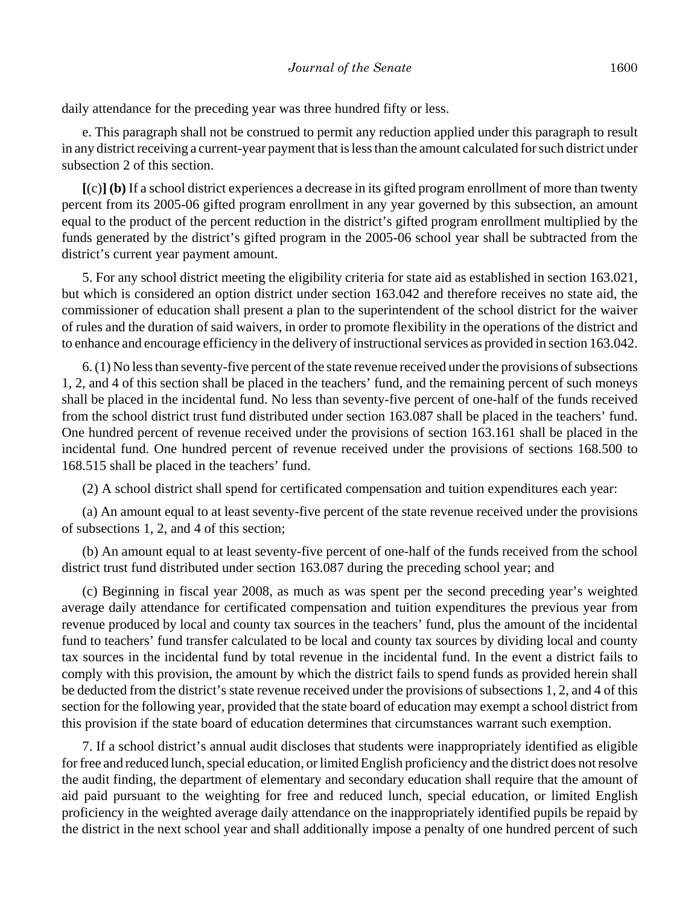daily attendance for the preceding year was three hundred fifty or less.

e. This paragraph shall not be construed to permit any reduction applied under this paragraph to result in any district receiving a current-year payment that is less than the amount calculated for such district under subsection 2 of this section.

**[**(c)**] (b)** If a school district experiences a decrease in its gifted program enrollment of more than twenty percent from its 2005-06 gifted program enrollment in any year governed by this subsection, an amount equal to the product of the percent reduction in the district's gifted program enrollment multiplied by the funds generated by the district's gifted program in the 2005-06 school year shall be subtracted from the district's current year payment amount.

5. For any school district meeting the eligibility criteria for state aid as established in section 163.021, but which is considered an option district under section 163.042 and therefore receives no state aid, the commissioner of education shall present a plan to the superintendent of the school district for the waiver of rules and the duration of said waivers, in order to promote flexibility in the operations of the district and to enhance and encourage efficiency in the delivery of instructional services as provided in section 163.042.

6. (1) No less than seventy-five percent of the state revenue received under the provisions of subsections 1, 2, and 4 of this section shall be placed in the teachers' fund, and the remaining percent of such moneys shall be placed in the incidental fund. No less than seventy-five percent of one-half of the funds received from the school district trust fund distributed under section 163.087 shall be placed in the teachers' fund. One hundred percent of revenue received under the provisions of section 163.161 shall be placed in the incidental fund. One hundred percent of revenue received under the provisions of sections 168.500 to 168.515 shall be placed in the teachers' fund.

(2) A school district shall spend for certificated compensation and tuition expenditures each year:

(a) An amount equal to at least seventy-five percent of the state revenue received under the provisions of subsections 1, 2, and 4 of this section;

(b) An amount equal to at least seventy-five percent of one-half of the funds received from the school district trust fund distributed under section 163.087 during the preceding school year; and

(c) Beginning in fiscal year 2008, as much as was spent per the second preceding year's weighted average daily attendance for certificated compensation and tuition expenditures the previous year from revenue produced by local and county tax sources in the teachers' fund, plus the amount of the incidental fund to teachers' fund transfer calculated to be local and county tax sources by dividing local and county tax sources in the incidental fund by total revenue in the incidental fund. In the event a district fails to comply with this provision, the amount by which the district fails to spend funds as provided herein shall be deducted from the district's state revenue received under the provisions of subsections 1, 2, and 4 of this section for the following year, provided that the state board of education may exempt a school district from this provision if the state board of education determines that circumstances warrant such exemption.

7. If a school district's annual audit discloses that students were inappropriately identified as eligible for free and reduced lunch, special education, or limited English proficiency and the district does not resolve the audit finding, the department of elementary and secondary education shall require that the amount of aid paid pursuant to the weighting for free and reduced lunch, special education, or limited English proficiency in the weighted average daily attendance on the inappropriately identified pupils be repaid by the district in the next school year and shall additionally impose a penalty of one hundred percent of such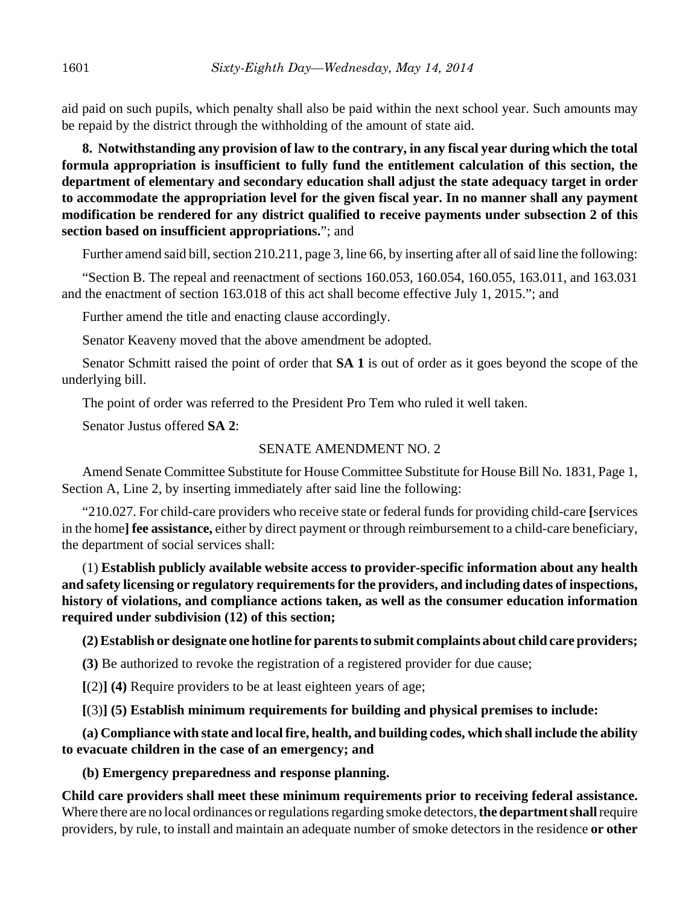aid paid on such pupils, which penalty shall also be paid within the next school year. Such amounts may be repaid by the district through the withholding of the amount of state aid.

**8. Notwithstanding any provision of law to the contrary, in any fiscal year during which the total formula appropriation is insufficient to fully fund the entitlement calculation of this section, the department of elementary and secondary education shall adjust the state adequacy target in order to accommodate the appropriation level for the given fiscal year. In no manner shall any payment modification be rendered for any district qualified to receive payments under subsection 2 of this section based on insufficient appropriations.**"; and

Further amend said bill, section 210.211, page 3, line 66, by inserting after all of said line the following:

"Section B. The repeal and reenactment of sections 160.053, 160.054, 160.055, 163.011, and 163.031 and the enactment of section 163.018 of this act shall become effective July 1, 2015."; and

Further amend the title and enacting clause accordingly.

Senator Keaveny moved that the above amendment be adopted.

Senator Schmitt raised the point of order that **SA 1** is out of order as it goes beyond the scope of the underlying bill.

The point of order was referred to the President Pro Tem who ruled it well taken.

Senator Justus offered **SA 2**:

### SENATE AMENDMENT NO. 2

Amend Senate Committee Substitute for House Committee Substitute for House Bill No. 1831, Page 1, Section A, Line 2, by inserting immediately after said line the following:

"210.027. For child-care providers who receive state or federal funds for providing child-care **[**services in the home**] fee assistance,** either by direct payment or through reimbursement to a child-care beneficiary, the department of social services shall:

(1) **Establish publicly available website access to provider-specific information about any health and safety licensing or regulatory requirements for the providers, and including dates of inspections, history of violations, and compliance actions taken, as well as the consumer education information required under subdivision (12) of this section;**

**(2) Establish or designate one hotline for parents to submit complaints about child care providers;**

**(3)** Be authorized to revoke the registration of a registered provider for due cause;

**[**(2)**] (4)** Require providers to be at least eighteen years of age;

**[**(3)**] (5) Establish minimum requirements for building and physical premises to include:**

**(a) Compliance with state and local fire, health, and building codes, which shall include the ability to evacuate children in the case of an emergency; and**

**(b) Emergency preparedness and response planning.**

**Child care providers shall meet these minimum requirements prior to receiving federal assistance.** Where there are no local ordinances or regulations regarding smoke detectors, **the department shall** require providers, by rule, to install and maintain an adequate number of smoke detectors in the residence **or other**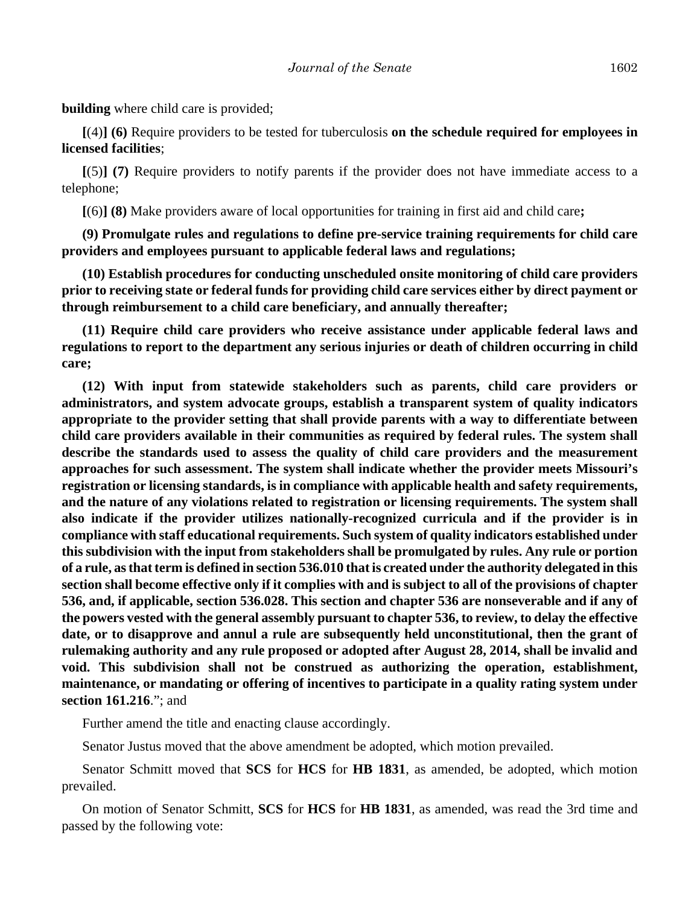**building** where child care is provided;

**[**(4)**] (6)** Require providers to be tested for tuberculosis **on the schedule required for employees in licensed facilities**;

**[**(5)**] (7)** Require providers to notify parents if the provider does not have immediate access to a telephone;

**[**(6)**] (8)** Make providers aware of local opportunities for training in first aid and child care**;**

**(9) Promulgate rules and regulations to define pre-service training requirements for child care providers and employees pursuant to applicable federal laws and regulations;**

**(10) Establish procedures for conducting unscheduled onsite monitoring of child care providers prior to receiving state or federal funds for providing child care services either by direct payment or through reimbursement to a child care beneficiary, and annually thereafter;**

**(11) Require child care providers who receive assistance under applicable federal laws and regulations to report to the department any serious injuries or death of children occurring in child care;**

**(12) With input from statewide stakeholders such as parents, child care providers or administrators, and system advocate groups, establish a transparent system of quality indicators appropriate to the provider setting that shall provide parents with a way to differentiate between child care providers available in their communities as required by federal rules. The system shall describe the standards used to assess the quality of child care providers and the measurement approaches for such assessment. The system shall indicate whether the provider meets Missouri's registration or licensing standards, is in compliance with applicable health and safety requirements, and the nature of any violations related to registration or licensing requirements. The system shall also indicate if the provider utilizes nationally-recognized curricula and if the provider is in compliance with staff educational requirements. Such system of quality indicators established under this subdivision with the input from stakeholders shall be promulgated by rules. Any rule or portion of a rule, as that term is defined in section 536.010 that is created under the authority delegated in this section shall become effective only if it complies with and is subject to all of the provisions of chapter 536, and, if applicable, section 536.028. This section and chapter 536 are nonseverable and if any of the powers vested with the general assembly pursuant to chapter 536, to review, to delay the effective date, or to disapprove and annul a rule are subsequently held unconstitutional, then the grant of rulemaking authority and any rule proposed or adopted after August 28, 2014, shall be invalid and void. This subdivision shall not be construed as authorizing the operation, establishment, maintenance, or mandating or offering of incentives to participate in a quality rating system under section 161.216**."; and

Further amend the title and enacting clause accordingly.

Senator Justus moved that the above amendment be adopted, which motion prevailed.

Senator Schmitt moved that **SCS** for **HCS** for **HB 1831**, as amended, be adopted, which motion prevailed.

On motion of Senator Schmitt, **SCS** for **HCS** for **HB 1831**, as amended, was read the 3rd time and passed by the following vote: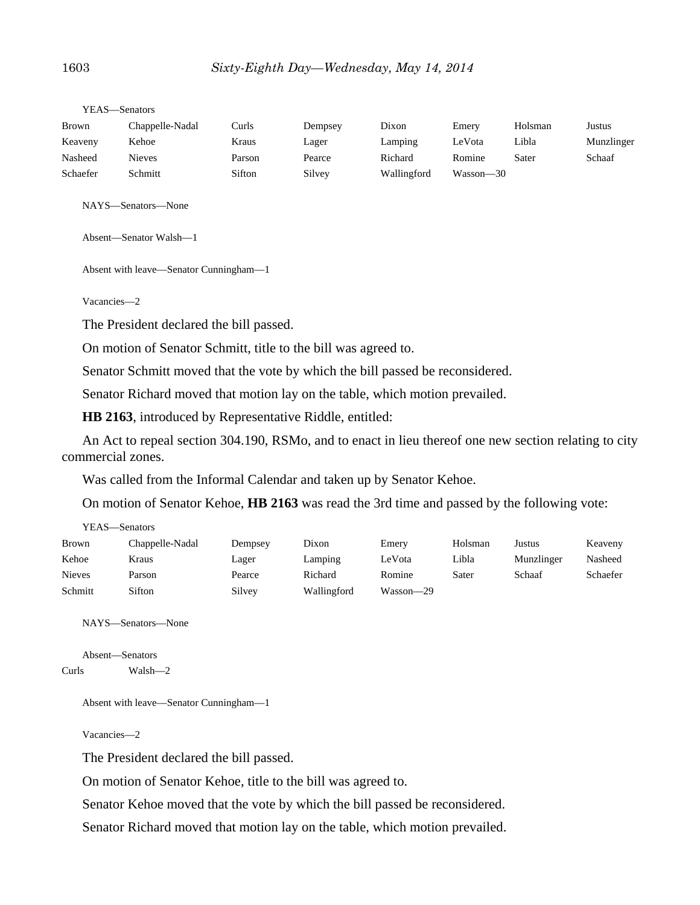| Brown    | Chappelle-Nadal | Curls  | Dempsey | Dixon       | Emery         | Holsman | Justus     |
|----------|-----------------|--------|---------|-------------|---------------|---------|------------|
| Keaveny  | Kehoe           | Kraus  | Lager   | Lamping     | LeVota        | Libla   | Munzlinger |
| Nasheed  | <b>Nieves</b>   | Parson | Pearce  | Richard     | Romine        | Sater   | Schaaf     |
| Schaefer | Schmitt         | Sifton | Silvey  | Wallingford | $Wasson - 30$ |         |            |

YEAS—Senators

NAYS—Senators—None

Absent—Senator Walsh—1

Absent with leave—Senator Cunningham—1

Vacancies—2

The President declared the bill passed.

On motion of Senator Schmitt, title to the bill was agreed to.

Senator Schmitt moved that the vote by which the bill passed be reconsidered.

Senator Richard moved that motion lay on the table, which motion prevailed.

**HB 2163**, introduced by Representative Riddle, entitled:

An Act to repeal section 304.190, RSMo, and to enact in lieu thereof one new section relating to city commercial zones.

Was called from the Informal Calendar and taken up by Senator Kehoe.

On motion of Senator Kehoe, **HB 2163** was read the 3rd time and passed by the following vote:

| YEAS- | -Senators |
|-------|-----------|
|-------|-----------|

| Brown         | Chappelle-Nadal | Dempsey | Dixon       | Emery     | Holsman | Justus     | Keaveny  |
|---------------|-----------------|---------|-------------|-----------|---------|------------|----------|
| Kehoe         | Kraus           | Lager   | Lamping     | LeVota    | Libla   | Munzlinger | Nasheed  |
| <b>Nieves</b> | Parson          | Pearce  | Richard     | Romine    | Sater   | Schaaf     | Schaefer |
| Schmitt       | Sifton          | Silvey  | Wallingford | Wasson-29 |         |            |          |

NAYS—Senators—None

```
Absent—Senators
Curls Walsh—2
```
Absent with leave—Senator Cunningham—1

Vacancies—2

The President declared the bill passed.

On motion of Senator Kehoe, title to the bill was agreed to.

Senator Kehoe moved that the vote by which the bill passed be reconsidered.

Senator Richard moved that motion lay on the table, which motion prevailed.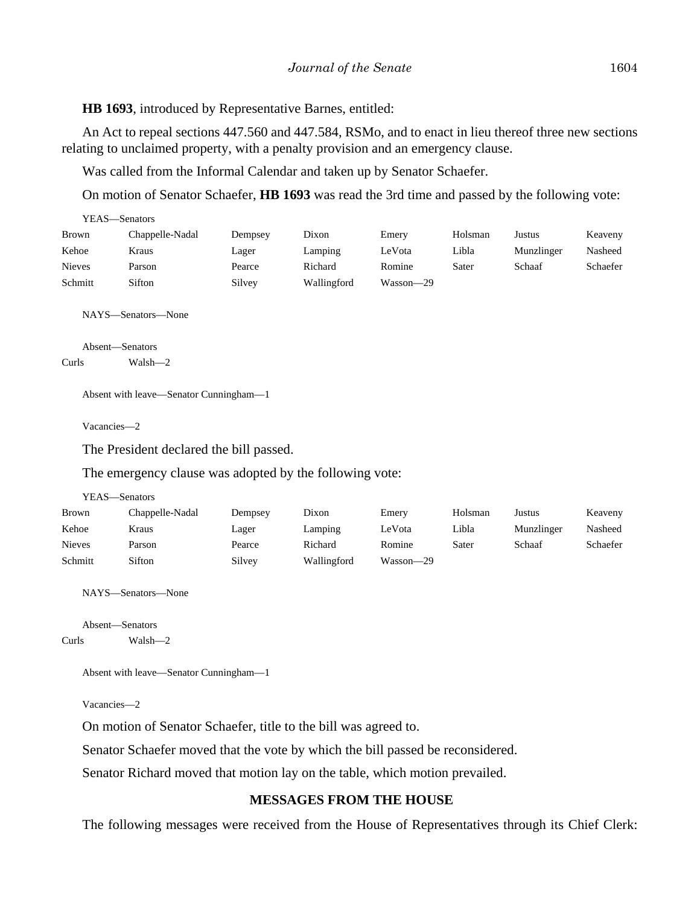**HB 1693**, introduced by Representative Barnes, entitled:

An Act to repeal sections 447.560 and 447.584, RSMo, and to enact in lieu thereof three new sections relating to unclaimed property, with a penalty provision and an emergency clause.

Was called from the Informal Calendar and taken up by Senator Schaefer.

On motion of Senator Schaefer, **HB 1693** was read the 3rd time and passed by the following vote:

| YEAS—Senators |                 |         |             |           |         |            |          |
|---------------|-----------------|---------|-------------|-----------|---------|------------|----------|
| Brown         | Chappelle-Nadal | Dempsey | Dixon       | Emery     | Holsman | Justus     | Keaveny  |
| Kehoe         | Kraus           | Lager   | Lamping     | LeVota    | Libla   | Munzlinger | Nasheed  |
| <b>Nieves</b> | Parson          | Pearce  | Richard     | Romine    | Sater   | Schaaf     | Schaefer |
| Schmitt       | Sifton          | Silvey  | Wallingford | Wasson-29 |         |            |          |
|               |                 |         |             |           |         |            |          |

NAYS—Senators—None

Absent—Senators Curls Walsh—2

Absent with leave—Senator Cunningham—1

Vacancies—2

The President declared the bill passed.

The emergency clause was adopted by the following vote:

YEAS—Senators

| <b>Brown</b>  | Chappelle-Nadal | Dempsey | Dixon       | Emery     | Holsman | Justus     | Keaveny         |
|---------------|-----------------|---------|-------------|-----------|---------|------------|-----------------|
| Kehoe         | Kraus           | Lager   | Lamping     | LeVota    | Libla   | Munzlinger | Nasheed         |
| <b>Nieves</b> | Parson          | Pearce  | Richard     | Romine    | Sater   | Schaaf     | <b>Schaefer</b> |
| Schmitt       | Sifton          | Silvey  | Wallingford | Wasson—29 |         |            |                 |

NAYS—Senators—None

Absent—Senators

Curls Walsh—2

```
Absent with leave—Senator Cunningham—1
```
Vacancies—2

On motion of Senator Schaefer, title to the bill was agreed to.

Senator Schaefer moved that the vote by which the bill passed be reconsidered.

Senator Richard moved that motion lay on the table, which motion prevailed.

#### **MESSAGES FROM THE HOUSE**

The following messages were received from the House of Representatives through its Chief Clerk: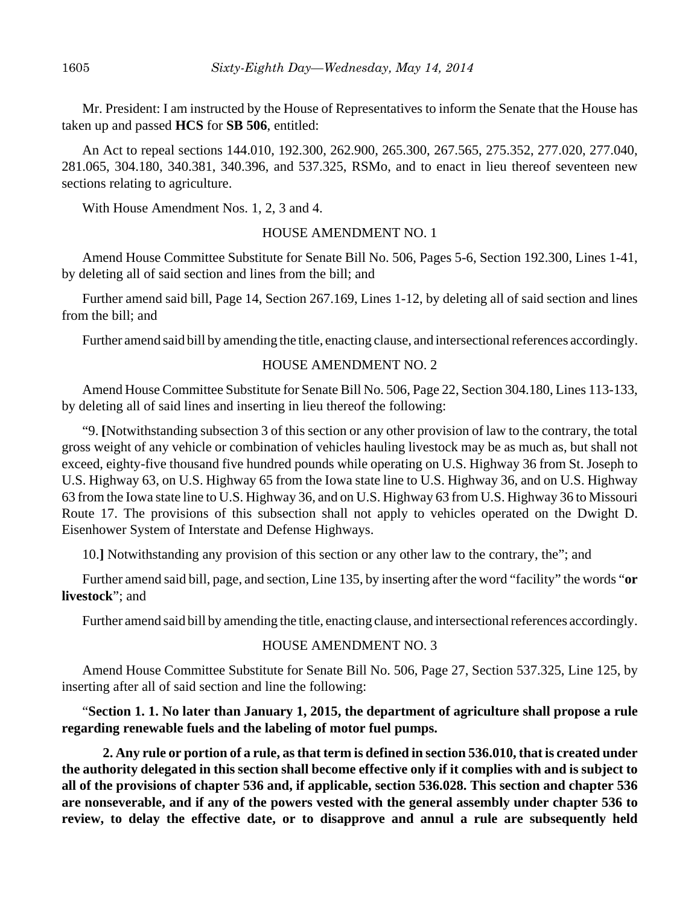Mr. President: I am instructed by the House of Representatives to inform the Senate that the House has taken up and passed **HCS** for **SB 506**, entitled:

An Act to repeal sections 144.010, 192.300, 262.900, 265.300, 267.565, 275.352, 277.020, 277.040, 281.065, 304.180, 340.381, 340.396, and 537.325, RSMo, and to enact in lieu thereof seventeen new sections relating to agriculture.

With House Amendment Nos. 1, 2, 3 and 4.

### HOUSE AMENDMENT NO. 1

Amend House Committee Substitute for Senate Bill No. 506, Pages 5-6, Section 192.300, Lines 1-41, by deleting all of said section and lines from the bill; and

Further amend said bill, Page 14, Section 267.169, Lines 1-12, by deleting all of said section and lines from the bill; and

Further amend said bill by amending the title, enacting clause, and intersectional references accordingly.

### HOUSE AMENDMENT NO. 2

Amend House Committee Substitute for Senate Bill No. 506, Page 22, Section 304.180, Lines 113-133, by deleting all of said lines and inserting in lieu thereof the following:

"9. **[**Notwithstanding subsection 3 of this section or any other provision of law to the contrary, the total gross weight of any vehicle or combination of vehicles hauling livestock may be as much as, but shall not exceed, eighty-five thousand five hundred pounds while operating on U.S. Highway 36 from St. Joseph to U.S. Highway 63, on U.S. Highway 65 from the Iowa state line to U.S. Highway 36, and on U.S. Highway 63 from the Iowa state line to U.S. Highway 36, and on U.S. Highway 63 from U.S. Highway 36 to Missouri Route 17. The provisions of this subsection shall not apply to vehicles operated on the Dwight D. Eisenhower System of Interstate and Defense Highways.

10.**]** Notwithstanding any provision of this section or any other law to the contrary, the"; and

Further amend said bill, page, and section, Line 135, by inserting after the word "facility" the words "**or livestock**"; and

Further amend said bill by amending the title, enacting clause, and intersectional references accordingly.

## HOUSE AMENDMENT NO. 3

Amend House Committee Substitute for Senate Bill No. 506, Page 27, Section 537.325, Line 125, by inserting after all of said section and line the following:

"**Section 1. 1. No later than January 1, 2015, the department of agriculture shall propose a rule regarding renewable fuels and the labeling of motor fuel pumps.** 

**2. Any rule or portion of a rule, as that term is defined in section 536.010, that is created under the authority delegated in this section shall become effective only if it complies with and is subject to all of the provisions of chapter 536 and, if applicable, section 536.028. This section and chapter 536 are nonseverable, and if any of the powers vested with the general assembly under chapter 536 to review, to delay the effective date, or to disapprove and annul a rule are subsequently held**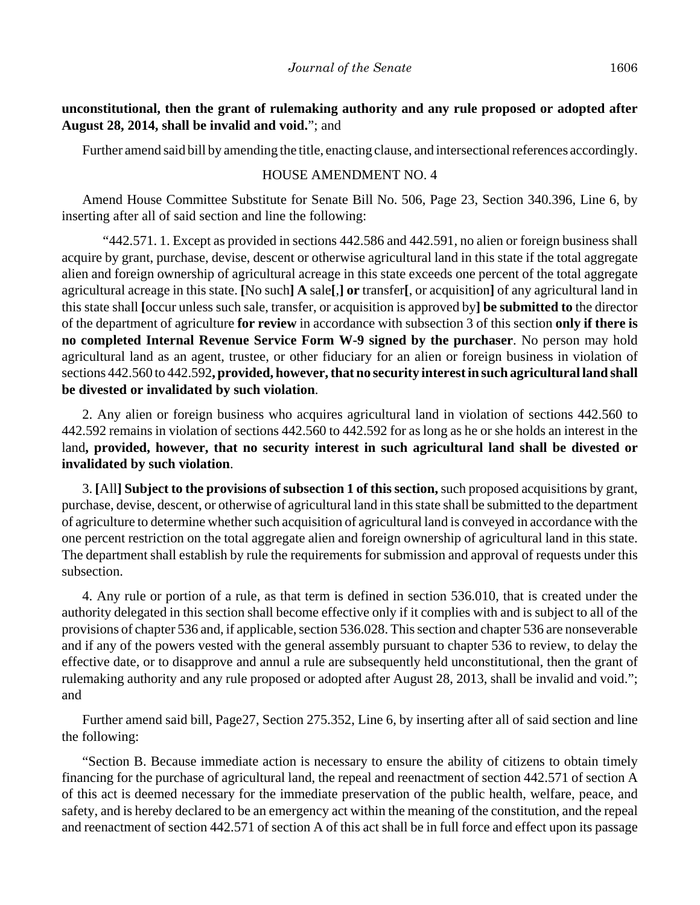Further amend said bill by amending the title, enacting clause, and intersectional references accordingly.

## HOUSE AMENDMENT NO. 4

Amend House Committee Substitute for Senate Bill No. 506, Page 23, Section 340.396, Line 6, by inserting after all of said section and line the following:

"442.571. 1. Except as provided in sections 442.586 and 442.591, no alien or foreign business shall acquire by grant, purchase, devise, descent or otherwise agricultural land in this state if the total aggregate alien and foreign ownership of agricultural acreage in this state exceeds one percent of the total aggregate agricultural acreage in this state. **[**No such**] A** sale**[**,**] or** transfer**[**, or acquisition**]** of any agricultural land in this state shall **[**occur unless such sale, transfer, or acquisition is approved by**] be submitted to** the director of the department of agriculture **for review** in accordance with subsection 3 of this section **only if there is no completed Internal Revenue Service Form W-9 signed by the purchaser**. No person may hold agricultural land as an agent, trustee, or other fiduciary for an alien or foreign business in violation of sections 442.560 to 442.592**, provided, however, that no security interest in such agricultural land shall be divested or invalidated by such violation**.

2. Any alien or foreign business who acquires agricultural land in violation of sections 442.560 to 442.592 remains in violation of sections 442.560 to 442.592 for as long as he or she holds an interest in the land**, provided, however, that no security interest in such agricultural land shall be divested or invalidated by such violation**.

3. **[**All**] Subject to the provisions of subsection 1 of this section,** such proposed acquisitions by grant, purchase, devise, descent, or otherwise of agricultural land in this state shall be submitted to the department of agriculture to determine whether such acquisition of agricultural land is conveyed in accordance with the one percent restriction on the total aggregate alien and foreign ownership of agricultural land in this state. The department shall establish by rule the requirements for submission and approval of requests under this subsection.

4. Any rule or portion of a rule, as that term is defined in section 536.010, that is created under the authority delegated in this section shall become effective only if it complies with and is subject to all of the provisions of chapter 536 and, if applicable, section 536.028. This section and chapter 536 are nonseverable and if any of the powers vested with the general assembly pursuant to chapter 536 to review, to delay the effective date, or to disapprove and annul a rule are subsequently held unconstitutional, then the grant of rulemaking authority and any rule proposed or adopted after August 28, 2013, shall be invalid and void."; and

Further amend said bill, Page27, Section 275.352, Line 6, by inserting after all of said section and line the following:

"Section B. Because immediate action is necessary to ensure the ability of citizens to obtain timely financing for the purchase of agricultural land, the repeal and reenactment of section 442.571 of section A of this act is deemed necessary for the immediate preservation of the public health, welfare, peace, and safety, and is hereby declared to be an emergency act within the meaning of the constitution, and the repeal and reenactment of section 442.571 of section A of this act shall be in full force and effect upon its passage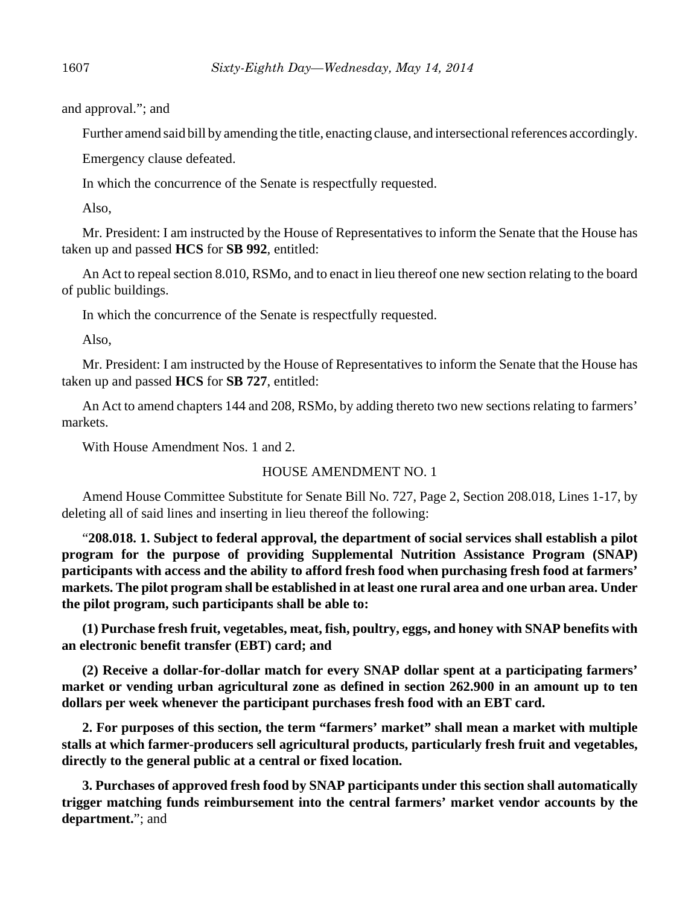and approval."; and

Further amend said bill by amending the title, enacting clause, and intersectional references accordingly.

Emergency clause defeated.

In which the concurrence of the Senate is respectfully requested.

Also,

Mr. President: I am instructed by the House of Representatives to inform the Senate that the House has taken up and passed **HCS** for **SB 992**, entitled:

An Act to repeal section 8.010, RSMo, and to enact in lieu thereof one new section relating to the board of public buildings.

In which the concurrence of the Senate is respectfully requested.

Also,

Mr. President: I am instructed by the House of Representatives to inform the Senate that the House has taken up and passed **HCS** for **SB 727**, entitled:

An Act to amend chapters 144 and 208, RSMo, by adding thereto two new sections relating to farmers' markets.

With House Amendment Nos. 1 and 2.

# HOUSE AMENDMENT NO. 1

Amend House Committee Substitute for Senate Bill No. 727, Page 2, Section 208.018, Lines 1-17, by deleting all of said lines and inserting in lieu thereof the following:

"**208.018. 1. Subject to federal approval, the department of social services shall establish a pilot program for the purpose of providing Supplemental Nutrition Assistance Program (SNAP) participants with access and the ability to afford fresh food when purchasing fresh food at farmers' markets. The pilot program shall be established in at least one rural area and one urban area. Under the pilot program, such participants shall be able to:**

**(1) Purchase fresh fruit, vegetables, meat, fish, poultry, eggs, and honey with SNAP benefits with an electronic benefit transfer (EBT) card; and**

**(2) Receive a dollar-for-dollar match for every SNAP dollar spent at a participating farmers' market or vending urban agricultural zone as defined in section 262.900 in an amount up to ten dollars per week whenever the participant purchases fresh food with an EBT card.**

**2. For purposes of this section, the term "farmers' market" shall mean a market with multiple stalls at which farmer-producers sell agricultural products, particularly fresh fruit and vegetables, directly to the general public at a central or fixed location.**

**3. Purchases of approved fresh food by SNAP participants under this section shall automatically trigger matching funds reimbursement into the central farmers' market vendor accounts by the department.**"; and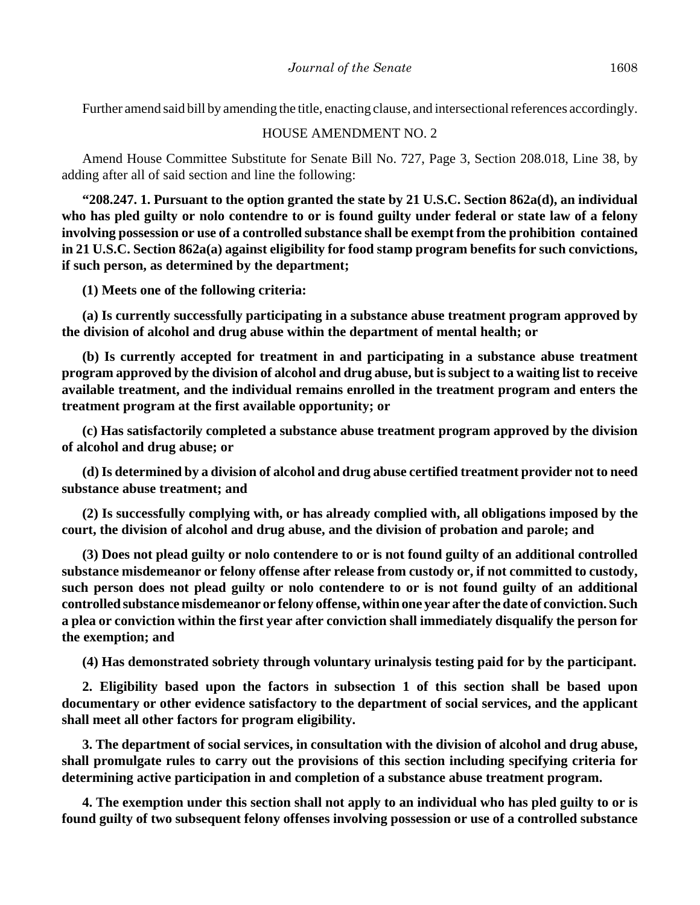Further amend said bill by amending the title, enacting clause, and intersectional references accordingly.

#### HOUSE AMENDMENT NO. 2

Amend House Committee Substitute for Senate Bill No. 727, Page 3, Section 208.018, Line 38, by adding after all of said section and line the following:

**"208.247. 1. Pursuant to the option granted the state by 21 U.S.C. Section 862a(d), an individual who has pled guilty or nolo contendre to or is found guilty under federal or state law of a felony involving possession or use of a controlled substance shall be exempt from the prohibition contained in 21 U.S.C. Section 862a(a) against eligibility for food stamp program benefits for such convictions, if such person, as determined by the department;**

**(1) Meets one of the following criteria:**

**(a) Is currently successfully participating in a substance abuse treatment program approved by the division of alcohol and drug abuse within the department of mental health; or** 

**(b) Is currently accepted for treatment in and participating in a substance abuse treatment program approved by the division of alcohol and drug abuse, but is subject to a waiting list to receive available treatment, and the individual remains enrolled in the treatment program and enters the treatment program at the first available opportunity; or**

**(c) Has satisfactorily completed a substance abuse treatment program approved by the division of alcohol and drug abuse; or**

**(d) Is determined by a division of alcohol and drug abuse certified treatment provider not to need substance abuse treatment; and**

**(2) Is successfully complying with, or has already complied with, all obligations imposed by the court, the division of alcohol and drug abuse, and the division of probation and parole; and** 

**(3) Does not plead guilty or nolo contendere to or is not found guilty of an additional controlled substance misdemeanor or felony offense after release from custody or, if not committed to custody, such person does not plead guilty or nolo contendere to or is not found guilty of an additional controlled substance misdemeanor or felony offense, within one year after the date of conviction. Such a plea or conviction within the first year after conviction shall immediately disqualify the person for the exemption; and** 

**(4) Has demonstrated sobriety through voluntary urinalysis testing paid for by the participant.**

**2. Eligibility based upon the factors in subsection 1 of this section shall be based upon documentary or other evidence satisfactory to the department of social services, and the applicant shall meet all other factors for program eligibility.** 

**3. The department of social services, in consultation with the division of alcohol and drug abuse, shall promulgate rules to carry out the provisions of this section including specifying criteria for determining active participation in and completion of a substance abuse treatment program.** 

**4. The exemption under this section shall not apply to an individual who has pled guilty to or is found guilty of two subsequent felony offenses involving possession or use of a controlled substance**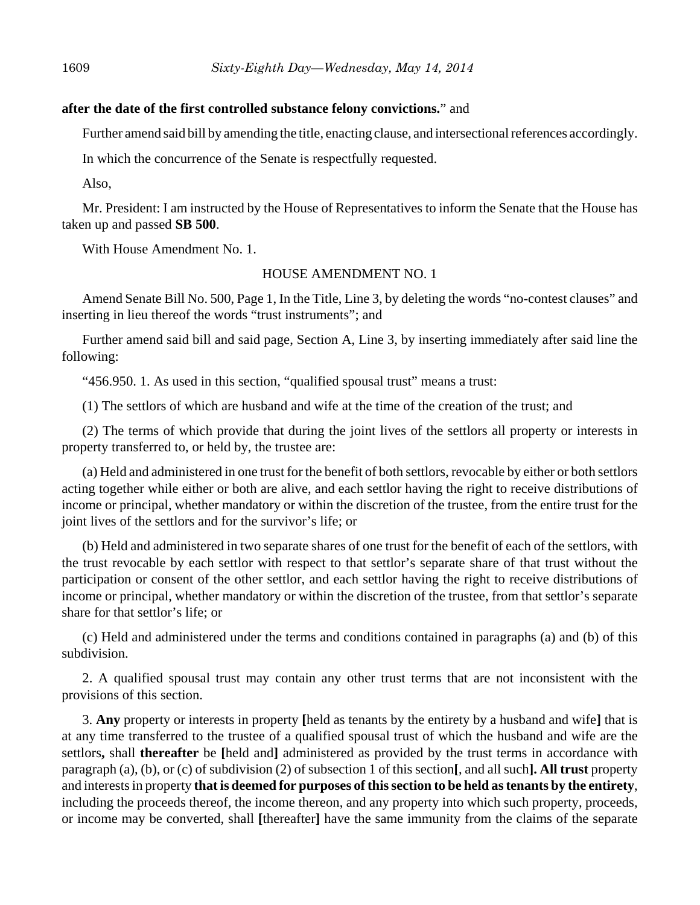#### **after the date of the first controlled substance felony convictions.**" and

Further amend said bill by amending the title, enacting clause, and intersectional references accordingly.

In which the concurrence of the Senate is respectfully requested.

Also,

Mr. President: I am instructed by the House of Representatives to inform the Senate that the House has taken up and passed **SB 500**.

With House Amendment No. 1.

#### HOUSE AMENDMENT NO. 1

Amend Senate Bill No. 500, Page 1, In the Title, Line 3, by deleting the words "no-contest clauses" and inserting in lieu thereof the words "trust instruments"; and

Further amend said bill and said page, Section A, Line 3, by inserting immediately after said line the following:

"456.950. 1. As used in this section, "qualified spousal trust" means a trust:

(1) The settlors of which are husband and wife at the time of the creation of the trust; and

(2) The terms of which provide that during the joint lives of the settlors all property or interests in property transferred to, or held by, the trustee are:

(a) Held and administered in one trust for the benefit of both settlors, revocable by either or both settlors acting together while either or both are alive, and each settlor having the right to receive distributions of income or principal, whether mandatory or within the discretion of the trustee, from the entire trust for the joint lives of the settlors and for the survivor's life; or

(b) Held and administered in two separate shares of one trust for the benefit of each of the settlors, with the trust revocable by each settlor with respect to that settlor's separate share of that trust without the participation or consent of the other settlor, and each settlor having the right to receive distributions of income or principal, whether mandatory or within the discretion of the trustee, from that settlor's separate share for that settlor's life; or

(c) Held and administered under the terms and conditions contained in paragraphs (a) and (b) of this subdivision.

2. A qualified spousal trust may contain any other trust terms that are not inconsistent with the provisions of this section.

3. **Any** property or interests in property **[**held as tenants by the entirety by a husband and wife**]** that is at any time transferred to the trustee of a qualified spousal trust of which the husband and wife are the settlors**,** shall **thereafter** be **[**held and**]** administered as provided by the trust terms in accordance with paragraph (a), (b), or (c) of subdivision (2) of subsection 1 of this section**[**, and all such**]. All trust** property and interests in property **that is deemed for purposes of this section to be held as tenants by the entirety**, including the proceeds thereof, the income thereon, and any property into which such property, proceeds, or income may be converted, shall **[**thereafter**]** have the same immunity from the claims of the separate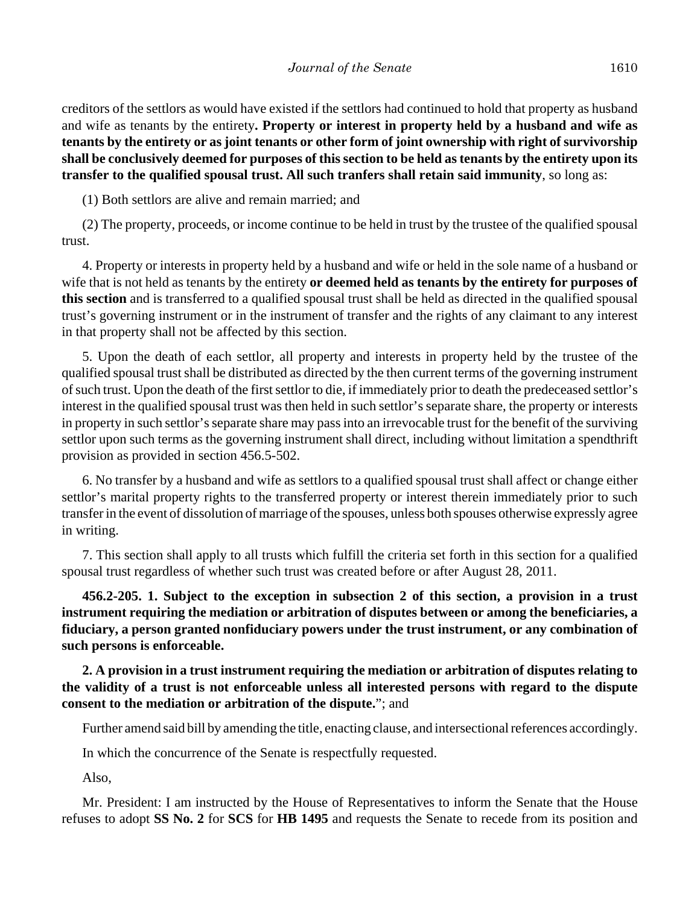creditors of the settlors as would have existed if the settlors had continued to hold that property as husband and wife as tenants by the entirety**. Property or interest in property held by a husband and wife as tenants by the entirety or as joint tenants or other form of joint ownership with right of survivorship shall be conclusively deemed for purposes of this section to be held as tenants by the entirety upon its transfer to the qualified spousal trust. All such tranfers shall retain said immunity**, so long as:

(1) Both settlors are alive and remain married; and

(2) The property, proceeds, or income continue to be held in trust by the trustee of the qualified spousal trust.

4. Property or interests in property held by a husband and wife or held in the sole name of a husband or wife that is not held as tenants by the entirety **or deemed held as tenants by the entirety for purposes of this section** and is transferred to a qualified spousal trust shall be held as directed in the qualified spousal trust's governing instrument or in the instrument of transfer and the rights of any claimant to any interest in that property shall not be affected by this section.

5. Upon the death of each settlor, all property and interests in property held by the trustee of the qualified spousal trust shall be distributed as directed by the then current terms of the governing instrument of such trust. Upon the death of the first settlor to die, if immediately prior to death the predeceased settlor's interest in the qualified spousal trust was then held in such settlor's separate share, the property or interests in property in such settlor's separate share may pass into an irrevocable trust for the benefit of the surviving settlor upon such terms as the governing instrument shall direct, including without limitation a spendthrift provision as provided in section 456.5-502.

6. No transfer by a husband and wife as settlors to a qualified spousal trust shall affect or change either settlor's marital property rights to the transferred property or interest therein immediately prior to such transfer in the event of dissolution of marriage of the spouses, unless both spouses otherwise expressly agree in writing.

7. This section shall apply to all trusts which fulfill the criteria set forth in this section for a qualified spousal trust regardless of whether such trust was created before or after August 28, 2011.

**456.2-205. 1. Subject to the exception in subsection 2 of this section, a provision in a trust instrument requiring the mediation or arbitration of disputes between or among the beneficiaries, a fiduciary, a person granted nonfiduciary powers under the trust instrument, or any combination of such persons is enforceable.**

**2. A provision in a trust instrument requiring the mediation or arbitration of disputes relating to the validity of a trust is not enforceable unless all interested persons with regard to the dispute consent to the mediation or arbitration of the dispute.**"; and

Further amend said bill by amending the title, enacting clause, and intersectional references accordingly.

In which the concurrence of the Senate is respectfully requested.

Also,

Mr. President: I am instructed by the House of Representatives to inform the Senate that the House refuses to adopt **SS No. 2** for **SCS** for **HB 1495** and requests the Senate to recede from its position and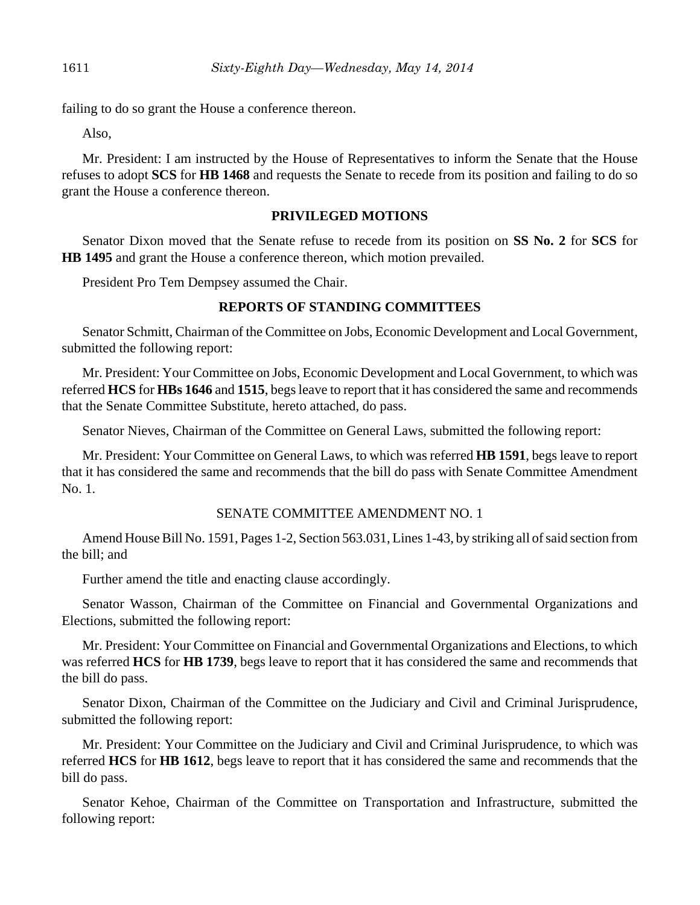failing to do so grant the House a conference thereon.

Also,

Mr. President: I am instructed by the House of Representatives to inform the Senate that the House refuses to adopt **SCS** for **HB 1468** and requests the Senate to recede from its position and failing to do so grant the House a conference thereon.

### **PRIVILEGED MOTIONS**

Senator Dixon moved that the Senate refuse to recede from its position on **SS No. 2** for **SCS** for **HB 1495** and grant the House a conference thereon, which motion prevailed.

President Pro Tem Dempsey assumed the Chair.

## **REPORTS OF STANDING COMMITTEES**

Senator Schmitt, Chairman of the Committee on Jobs, Economic Development and Local Government, submitted the following report:

Mr. President: Your Committee on Jobs, Economic Development and Local Government, to which was referred **HCS** for **HBs 1646** and **1515**, begs leave to report that it has considered the same and recommends that the Senate Committee Substitute, hereto attached, do pass.

Senator Nieves, Chairman of the Committee on General Laws, submitted the following report:

Mr. President: Your Committee on General Laws, to which was referred **HB 1591**, begs leave to report that it has considered the same and recommends that the bill do pass with Senate Committee Amendment No. 1.

#### SENATE COMMITTEE AMENDMENT NO. 1

Amend House Bill No. 1591, Pages 1-2, Section 563.031, Lines 1-43, by striking all of said section from the bill; and

Further amend the title and enacting clause accordingly.

Senator Wasson, Chairman of the Committee on Financial and Governmental Organizations and Elections, submitted the following report:

Mr. President: Your Committee on Financial and Governmental Organizations and Elections, to which was referred **HCS** for **HB 1739**, begs leave to report that it has considered the same and recommends that the bill do pass.

Senator Dixon, Chairman of the Committee on the Judiciary and Civil and Criminal Jurisprudence, submitted the following report:

Mr. President: Your Committee on the Judiciary and Civil and Criminal Jurisprudence, to which was referred **HCS** for **HB 1612**, begs leave to report that it has considered the same and recommends that the bill do pass.

Senator Kehoe, Chairman of the Committee on Transportation and Infrastructure, submitted the following report: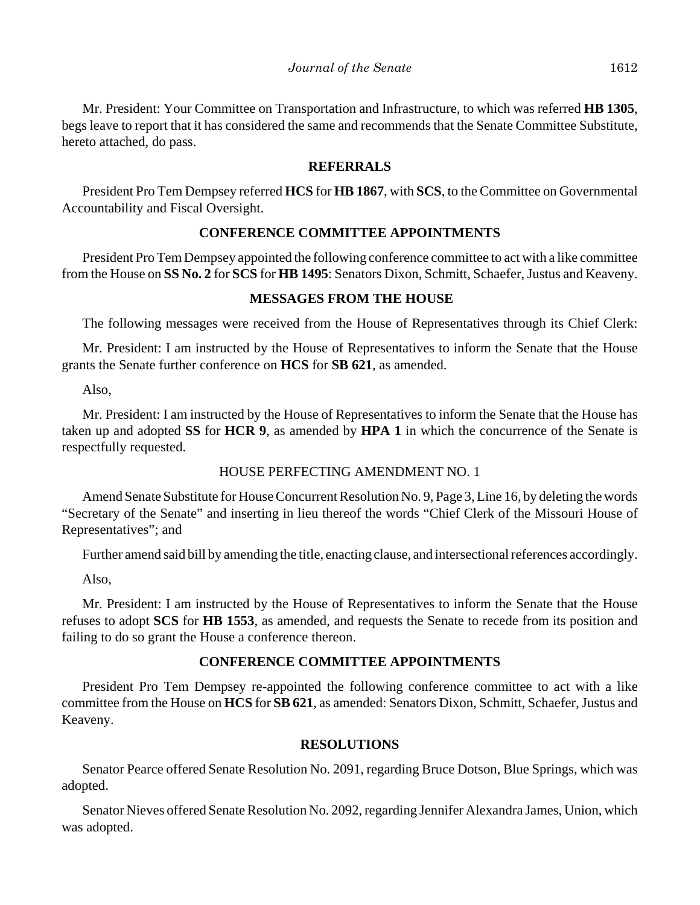Mr. President: Your Committee on Transportation and Infrastructure, to which was referred **HB 1305**, begs leave to report that it has considered the same and recommends that the Senate Committee Substitute, hereto attached, do pass.

## **REFERRALS**

President Pro Tem Dempsey referred **HCS** for **HB 1867**, with **SCS**, to the Committee on Governmental Accountability and Fiscal Oversight.

### **CONFERENCE COMMITTEE APPOINTMENTS**

President Pro Tem Dempsey appointed the following conference committee to act with a like committee from the House on **SS No. 2** for **SCS** for **HB 1495**: Senators Dixon, Schmitt, Schaefer, Justus and Keaveny.

### **MESSAGES FROM THE HOUSE**

The following messages were received from the House of Representatives through its Chief Clerk:

Mr. President: I am instructed by the House of Representatives to inform the Senate that the House grants the Senate further conference on **HCS** for **SB 621**, as amended.

Also,

Mr. President: I am instructed by the House of Representatives to inform the Senate that the House has taken up and adopted **SS** for **HCR 9**, as amended by **HPA 1** in which the concurrence of the Senate is respectfully requested.

### HOUSE PERFECTING AMENDMENT NO. 1

Amend Senate Substitute for House Concurrent Resolution No. 9, Page 3, Line 16, by deleting the words "Secretary of the Senate" and inserting in lieu thereof the words "Chief Clerk of the Missouri House of Representatives"; and

Further amend said bill by amending the title, enacting clause, and intersectional references accordingly.

Also,

Mr. President: I am instructed by the House of Representatives to inform the Senate that the House refuses to adopt **SCS** for **HB 1553**, as amended, and requests the Senate to recede from its position and failing to do so grant the House a conference thereon.

# **CONFERENCE COMMITTEE APPOINTMENTS**

President Pro Tem Dempsey re-appointed the following conference committee to act with a like committee from the House on **HCS** for **SB 621**, as amended: Senators Dixon, Schmitt, Schaefer, Justus and Keaveny.

### **RESOLUTIONS**

Senator Pearce offered Senate Resolution No. 2091, regarding Bruce Dotson, Blue Springs, which was adopted.

Senator Nieves offered Senate Resolution No. 2092, regarding Jennifer Alexandra James, Union, which was adopted.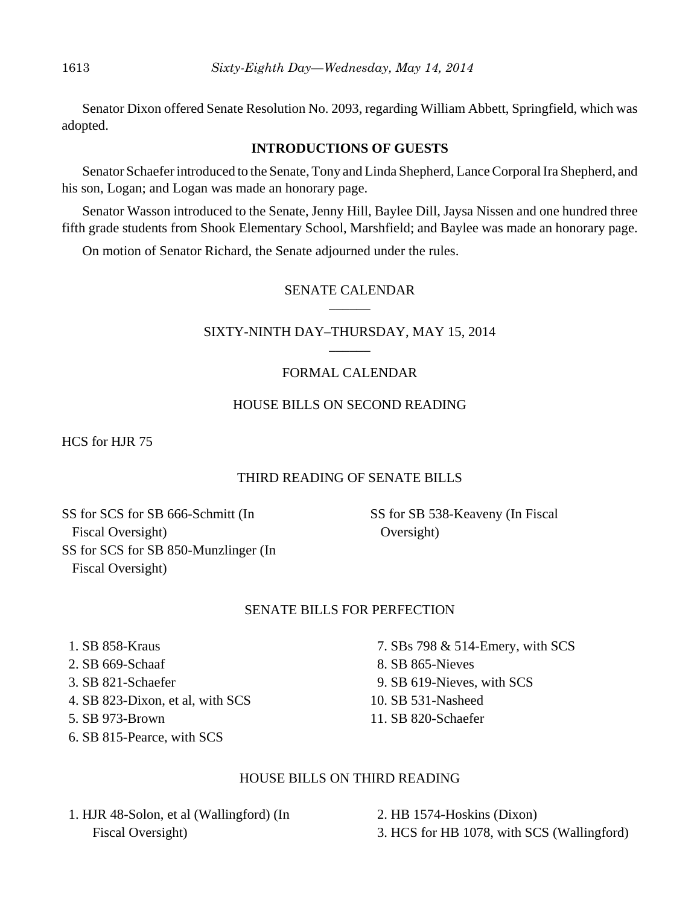Senator Dixon offered Senate Resolution No. 2093, regarding William Abbett, Springfield, which was adopted.

### **INTRODUCTIONS OF GUESTS**

Senator Schaefer introduced to the Senate, Tony and Linda Shepherd, Lance Corporal Ira Shepherd, and his son, Logan; and Logan was made an honorary page.

Senator Wasson introduced to the Senate, Jenny Hill, Baylee Dill, Jaysa Nissen and one hundred three fifth grade students from Shook Elementary School, Marshfield; and Baylee was made an honorary page.

On motion of Senator Richard, the Senate adjourned under the rules.

#### SENATE CALENDAR  $\overline{\phantom{a}}$

#### SIXTY-NINTH DAY–THURSDAY, MAY 15, 2014  $\overline{\phantom{a}}$

# FORMAL CALENDAR

# HOUSE BILLS ON SECOND READING

HCS for HJR 75

# THIRD READING OF SENATE BILLS

SS for SCS for SB 666-Schmitt (In Fiscal Oversight) SS for SCS for SB 850-Munzlinger (In Fiscal Oversight)

SS for SB 538-Keaveny (In Fiscal Oversight)

# SENATE BILLS FOR PERFECTION

- 1. SB 858-Kraus
- 2. SB 669-Schaaf
- 3. SB 821-Schaefer
- 4. SB 823-Dixon, et al, with SCS
- 5. SB 973-Brown
- 6. SB 815-Pearce, with SCS
- 
- 7. SBs 798 & 514-Emery, with SCS
- 8. SB 865-Nieves
- 9. SB 619-Nieves, with SCS
- 10. SB 531-Nasheed
- 11. SB 820-Schaefer

# HOUSE BILLS ON THIRD READING

 1. HJR 48-Solon, et al (Wallingford) (In Fiscal Oversight)

 2. HB 1574-Hoskins (Dixon) 3. HCS for HB 1078, with SCS (Wallingford)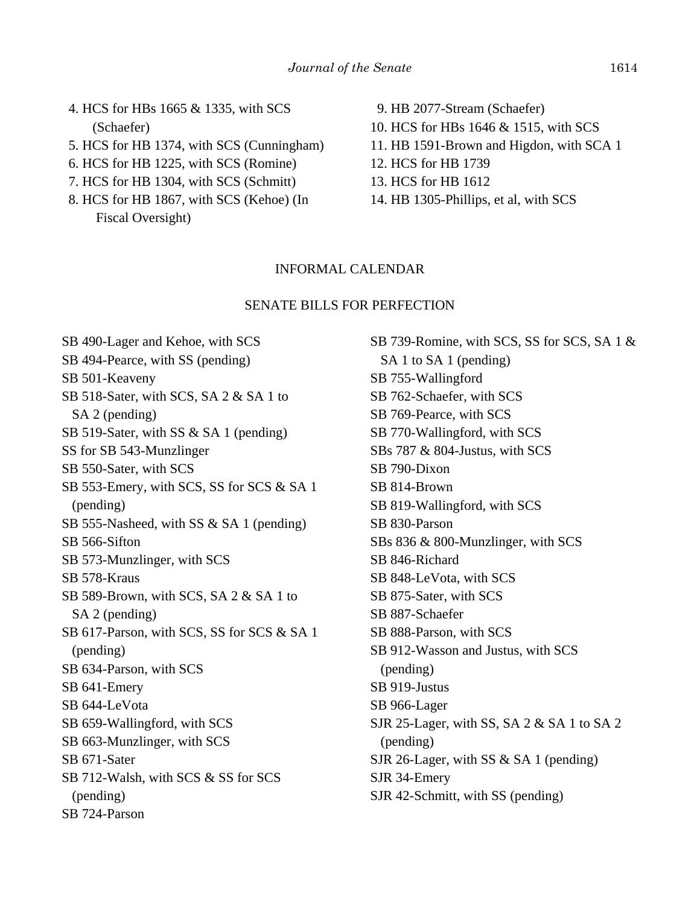- 4. HCS for HBs 1665 & 1335, with SCS (Schaefer)
- 5. HCS for HB 1374, with SCS (Cunningham)
- 6. HCS for HB 1225, with SCS (Romine)
- 7. HCS for HB 1304, with SCS (Schmitt)
- 8. HCS for HB 1867, with SCS (Kehoe) (In Fiscal Oversight)
- 9. HB 2077-Stream (Schaefer)
- 10. HCS for HBs 1646 & 1515, with SCS
- 11. HB 1591-Brown and Higdon, with SCA 1
- 12. HCS for HB 1739
- 13. HCS for HB 1612
- 14. HB 1305-Phillips, et al, with SCS

#### INFORMAL CALENDAR

#### SENATE BILLS FOR PERFECTION

SB 490-Lager and Kehoe, with SCS SB 494-Pearce, with SS (pending) SB 501-Keaveny SB 518-Sater, with SCS, SA 2 & SA 1 to SA 2 (pending) SB 519-Sater, with SS & SA 1 (pending) SS for SB 543-Munzlinger SB 550-Sater, with SCS SB 553-Emery, with SCS, SS for SCS & SA 1 (pending) SB 555-Nasheed, with SS & SA 1 (pending) SB 566-Sifton SB 573-Munzlinger, with SCS SB 578-Kraus SB 589-Brown, with SCS, SA 2 & SA 1 to SA 2 (pending) SB 617-Parson, with SCS, SS for SCS & SA 1 (pending) SB 634-Parson, with SCS SB 641-Emery SB 644-LeVota SB 659-Wallingford, with SCS SB 663-Munzlinger, with SCS SB 671-Sater SB 712-Walsh, with SCS & SS for SCS (pending) SB 724-Parson

SB 739-Romine, with SCS, SS for SCS, SA 1 & SA 1 to SA 1 (pending) SB 755-Wallingford SB 762-Schaefer, with SCS SB 769-Pearce, with SCS SB 770-Wallingford, with SCS SBs 787 & 804-Justus, with SCS SB 790-Dixon SB 814-Brown SB 819-Wallingford, with SCS SB 830-Parson SBs 836 & 800-Munzlinger, with SCS SB 846-Richard SB 848-LeVota, with SCS SB 875-Sater, with SCS SB 887-Schaefer SB 888-Parson, with SCS SB 912-Wasson and Justus, with SCS (pending) SB 919-Justus SB 966-Lager SJR 25-Lager, with SS, SA 2 & SA 1 to SA 2 (pending) SJR 26-Lager, with SS & SA 1 (pending) SJR 34-Emery SJR 42-Schmitt, with SS (pending)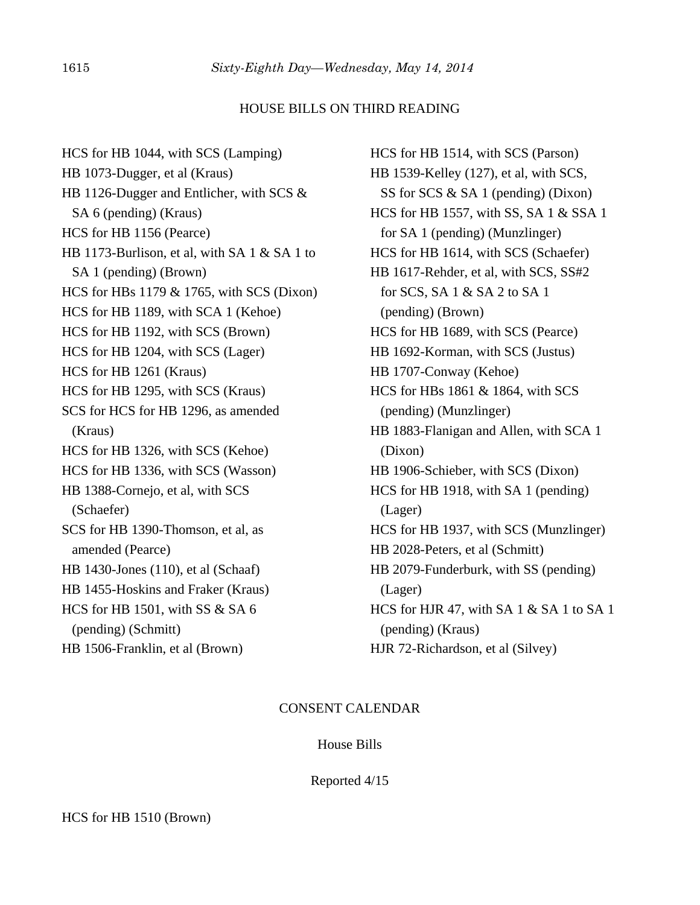#### HOUSE BILLS ON THIRD READING

HCS for HB 1044, with SCS (Lamping) HB 1073-Dugger, et al (Kraus) HB 1126-Dugger and Entlicher, with SCS & SA 6 (pending) (Kraus) HCS for HB 1156 (Pearce) HB 1173-Burlison, et al, with SA 1 & SA 1 to SA 1 (pending) (Brown) HCS for HBs 1179 & 1765, with SCS (Dixon) HCS for HB 1189, with SCA 1 (Kehoe) HCS for HB 1192, with SCS (Brown) HCS for HB 1204, with SCS (Lager) HCS for HB 1261 (Kraus) HCS for HB 1295, with SCS (Kraus) SCS for HCS for HB 1296, as amended (Kraus) HCS for HB 1326, with SCS (Kehoe) HCS for HB 1336, with SCS (Wasson) HB 1388-Cornejo, et al, with SCS (Schaefer) SCS for HB 1390-Thomson, et al, as amended (Pearce) HB 1430-Jones (110), et al (Schaaf) HB 1455-Hoskins and Fraker (Kraus) HCS for HB 1501, with SS & SA 6 (pending) (Schmitt) HB 1506-Franklin, et al (Brown)

HCS for HB 1514, with SCS (Parson) HB 1539-Kelley (127), et al, with SCS, SS for SCS & SA 1 (pending) (Dixon) HCS for HB 1557, with SS, SA 1 & SSA 1 for SA 1 (pending) (Munzlinger) HCS for HB 1614, with SCS (Schaefer) HB 1617-Rehder, et al, with SCS, SS#2 for SCS, SA 1 & SA 2 to SA 1 (pending) (Brown) HCS for HB 1689, with SCS (Pearce) HB 1692-Korman, with SCS (Justus) HB 1707-Conway (Kehoe) HCS for HBs 1861 & 1864, with SCS (pending) (Munzlinger) HB 1883-Flanigan and Allen, with SCA 1 (Dixon) HB 1906-Schieber, with SCS (Dixon) HCS for HB 1918, with SA 1 (pending) (Lager) HCS for HB 1937, with SCS (Munzlinger) HB 2028-Peters, et al (Schmitt) HB 2079-Funderburk, with SS (pending) (Lager) HCS for HJR 47, with SA  $1 \& S$ A  $1$  to SA  $1$  (pending) (Kraus) HJR 72-Richardson, et al (Silvey)

#### CONSENT CALENDAR

#### House Bills

Reported 4/15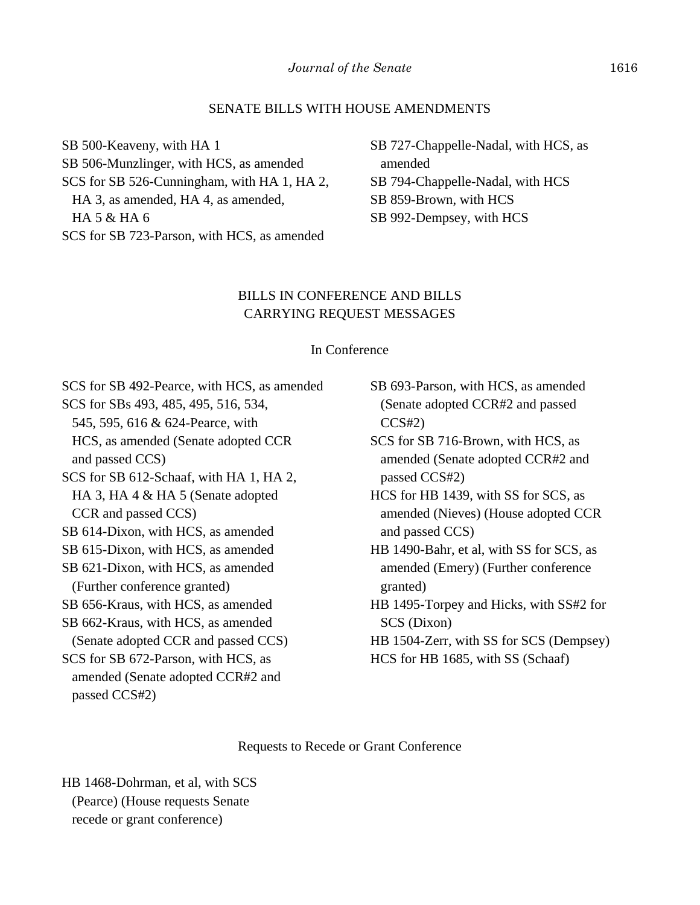#### SENATE BILLS WITH HOUSE AMENDMENTS

SB 500-Keaveny, with HA 1 SB 506-Munzlinger, with HCS, as amended

SCS for SB 526-Cunningham, with HA 1, HA 2, HA 3, as amended, HA 4, as amended, HA 5 & HA 6 SCS for SB 723-Parson, with HCS, as amended

SB 727-Chappelle-Nadal, with HCS, as amended SB 794-Chappelle-Nadal, with HCS SB 859-Brown, with HCS SB 992-Dempsey, with HCS

# BILLS IN CONFERENCE AND BILLS CARRYING REQUEST MESSAGES

#### In Conference

SCS for SB 492-Pearce, with HCS, as amended SCS for SBs 493, 485, 495, 516, 534, 545, 595, 616 & 624-Pearce, with HCS, as amended (Senate adopted CCR and passed CCS) SCS for SB 612-Schaaf, with HA 1, HA 2, HA 3, HA 4 & HA 5 (Senate adopted CCR and passed CCS) SB 614-Dixon, with HCS, as amended SB 615-Dixon, with HCS, as amended SB 621-Dixon, with HCS, as amended (Further conference granted) SB 656-Kraus, with HCS, as amended SB 662-Kraus, with HCS, as amended (Senate adopted CCR and passed CCS) SCS for SB 672-Parson, with HCS, as amended (Senate adopted CCR#2 and

- SB 693-Parson, with HCS, as amended (Senate adopted CCR#2 and passed  $CCS#2$
- SCS for SB 716-Brown, with HCS, as amended (Senate adopted CCR#2 and passed CCS#2)
- HCS for HB 1439, with SS for SCS, as amended (Nieves) (House adopted CCR and passed CCS)
- HB 1490-Bahr, et al, with SS for SCS, as amended (Emery) (Further conference granted)
- HB 1495-Torpey and Hicks, with SS#2 for SCS (Dixon)
- HB 1504-Zerr, with SS for SCS (Dempsey) HCS for HB 1685, with SS (Schaaf)

#### Requests to Recede or Grant Conference

HB 1468-Dohrman, et al, with SCS (Pearce) (House requests Senate recede or grant conference)

passed CCS#2)